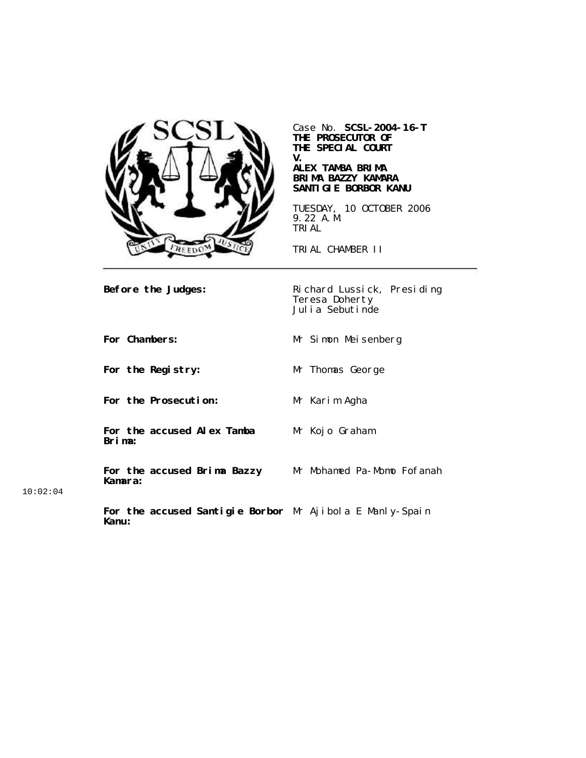

Case No. **SCSL-2004-16-T THE PROSECUTOR OF THE SPECIAL COURT V.**

#### **ALEX TAMBA BRIMA BRIMA BAZZY KAMARA SANTIGIE BORBOR KANU**

TUESDAY, 10 OCTOBER 2006 9.22 A.M. TRIAL

TRIAL CHAMBER II

**Before the Judges:** Richard Lussick, Presiding Teresa Doherty Julia Sebutinde

**For Chambers:** Mr Simon Meisenberg **For the Registry:** Mr Thomas George **For the Prosecution:** Mr Karim Agha **For the accused Alex Tamba Brima:** Mr Kojo Graham **For the accused Brima Bazzy Kamara:** Mr Mohamed Pa-Momo Fofanah **For the accused Santigie Borbor** Mr Ajibola E Manly-Spain

10:02:04

**Kanu:**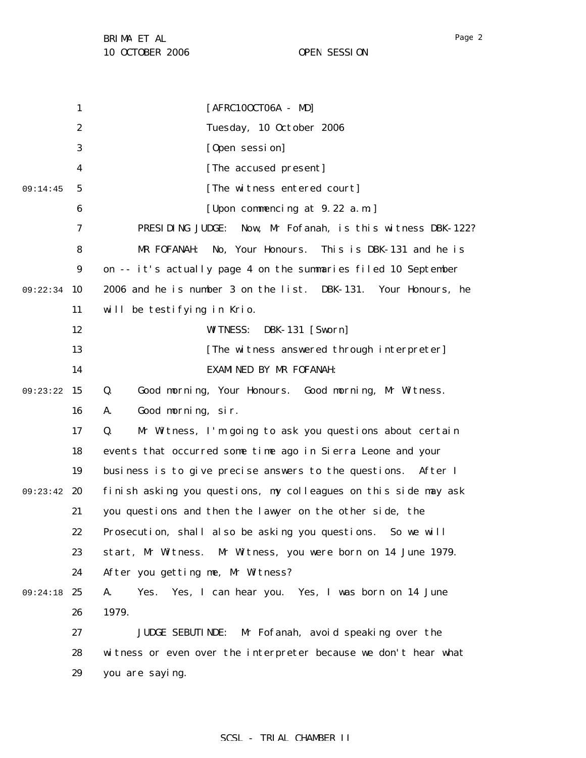1 2 3 4 5 6 7 8 9 09:22:34 10 11 12 13 14 09:23:22 15 16 17 18 19 09:23:42 20 21 22 23 24 09:24:18 25 26 27 28 29 09:14:45 [AFRC10OCT06A - MD] Tuesday, 10 October 2006 [Open session] [The accused present] [The witness entered court] [Upon commencing at 9.22 a.m.] PRESIDING JUDGE: Now, Mr Fofanah, is this witness DBK-122? MR FOFANAH: No, Your Honours. This is DBK-131 and he is on -- it's actually page 4 on the summaries filed 10 September 2006 and he is number 3 on the list. DBK-131. Your Honours, he will be testifying in Krio. WITNESS: DBK-131 [Sworn] [The witness answered through interpreter] EXAMINED BY MR FOFANAH: Q. Good morning, Your Honours. Good morning, Mr Witness. A. Good morning, sir. Q. Mr Witness, I'm going to ask you questions about certain events that occurred some time ago in Sierra Leone and your business is to give precise answers to the questions. After I finish asking you questions, my colleagues on this side may ask you questions and then the lawyer on the other side, the Prosecution, shall also be asking you questions. So we will start, Mr Witness. Mr Witness, you were born on 14 June 1979. After you getting me, Mr Witness? A. Yes. Yes, I can hear you. Yes, I was born on 14 June 1979. JUDGE SEBUTINDE: Mr Fofanah, avoid speaking over the witness or even over the interpreter because we don't hear what you are saying.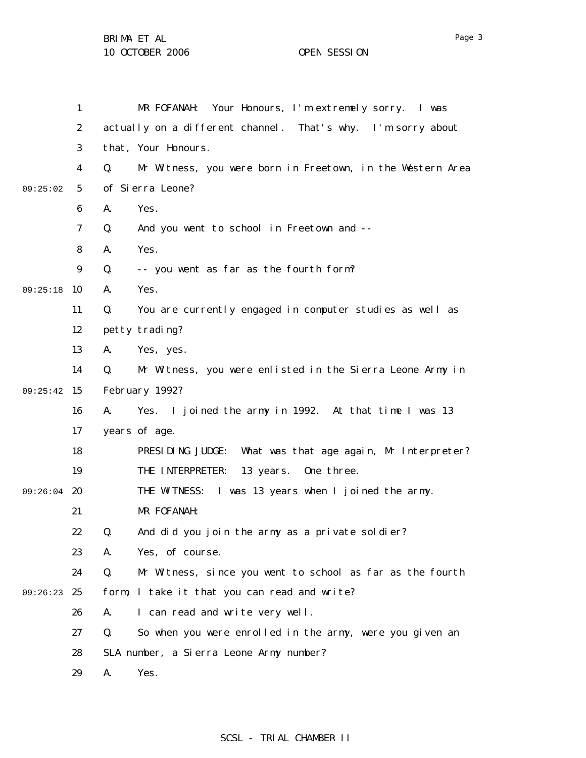|               | 1                |    | MR FOFANAH: Your Honours, I'm extremely sorry. I was         |
|---------------|------------------|----|--------------------------------------------------------------|
|               | $\boldsymbol{2}$ |    | actually on a different channel. That's why. I'm sorry about |
|               | 3                |    | that, Your Honours.                                          |
|               | 4                | Q. | Mr Witness, you were born in Freetown, in the Western Area   |
| 09:25:02      | $5\phantom{.0}$  |    | of Sierra Leone?                                             |
|               | 6                | A. | Yes.                                                         |
|               | 7                | Q. | And you went to school in Freetown and --                    |
|               | 8                | A. | Yes.                                                         |
|               | 9                | Q. | -- you went as far as the fourth form?                       |
| 09:25:18      | 10               | A. | Yes.                                                         |
|               | 11               | Q. | You are currently engaged in computer studies as well as     |
|               | 12               |    | petty trading?                                               |
|               | 13               | A. | Yes, yes.                                                    |
|               | 14               | Q. | Mr Witness, you were enlisted in the Sierra Leone Army in    |
| 09:25:42      | 15               |    | February 1992?                                               |
|               | 16               | A. | Yes. I joined the army in 1992. At that time I was 13        |
|               | 17               |    | years of age.                                                |
|               | 18               |    | PRESIDING JUDGE:<br>What was that age again, Mr Interpreter? |
|               | 19               |    | THE INTERPRETER:<br>13 years.<br>One three.                  |
| $09:26:04$ 20 |                  |    | THE WITNESS: I was 13 years when I joined the army.          |
|               | 21               |    | MR FOFANAH:                                                  |
|               | 22               | Q. | And did you join the army as a private soldier?              |
|               | 23               | A. | Yes, of course.                                              |
|               | 24               | Q. | Mr Witness, since you went to school as far as the fourth    |
| 09:26:23      | 25               |    | form, I take it that you can read and write?                 |
|               | 26               | A. | I can read and write very well.                              |
|               | 27               | Q. | So when you were enrolled in the army, were you given an     |
|               | 28               |    | SLA number, a Sierra Leone Army number?                      |
|               | 29               | A. | Yes.                                                         |

SCSL - TRIAL CHAMBER II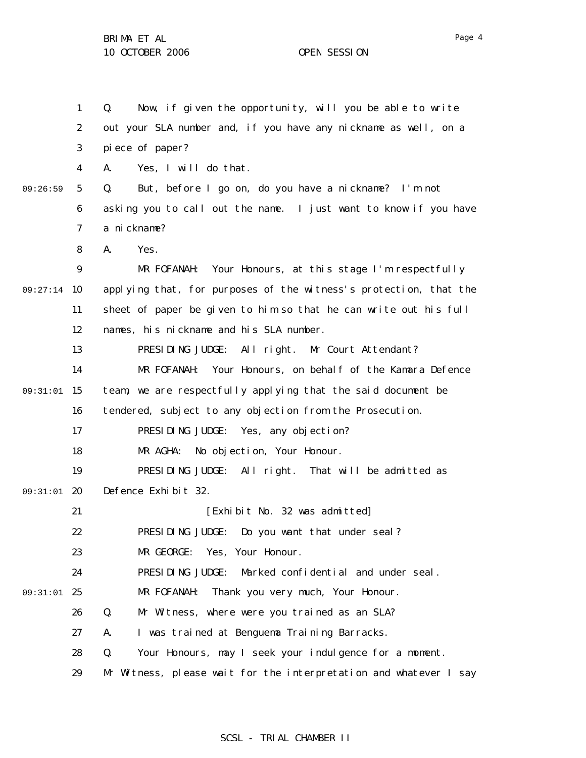1 2 3 4 5 6 7 8 9 09:27:14 10 11 12 13 14 09:31:01 15 16 17 18 19 09:31:01 20 21 22 23 24 09:31:01 25 26 27 28 29 09:26:59 Q. Now, if given the opportunity, will you be able to write out your SLA number and, if you have any nickname as well, on a piece of paper? A. Yes, I will do that. Q. But, before I go on, do you have a nickname? I'm not asking you to call out the name. I just want to know if you have a nickname? A. Yes. MR FOFANAH: Your Honours, at this stage I'm respectfully applying that, for purposes of the witness's protection, that the sheet of paper be given to him so that he can write out his full names, his nickname and his SLA number. PRESIDING JUDGE: All right. Mr Court Attendant? MR FOFANAH: Your Honours, on behalf of the Kamara Defence team, we are respectfully applying that the said document be tendered, subject to any objection from the Prosecution. PRESIDING JUDGE: Yes, any objection? MR AGHA: No objection, Your Honour. PRESIDING JUDGE: All right. That will be admitted as Defence Exhibit 32. [Exhibit No. 32 was admitted] PRESIDING JUDGE: Do you want that under seal? MR GEORGE: Yes, Your Honour. PRESIDING JUDGE: Marked confidential and under seal. MR FOFANAH: Thank you very much, Your Honour. Q. Mr Witness, where were you trained as an SLA? A. I was trained at Benguema Training Barracks. Q. Your Honours, may I seek your indulgence for a moment. Mr Witness, please wait for the interpretation and whatever I say

SCSL - TRIAL CHAMBER II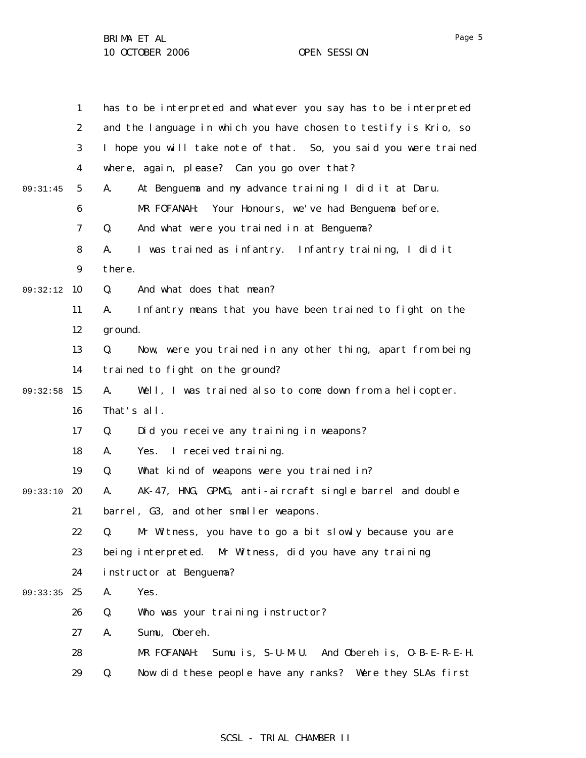|          | $\mathbf{1}$     | has to be interpreted and whatever you say has to be interpreted |
|----------|------------------|------------------------------------------------------------------|
|          | $\boldsymbol{2}$ | and the language in which you have chosen to testify is Krio, so |
|          | 3                | I hope you will take note of that. So, you said you were trained |
|          | 4                | where, again, please? Can you go over that?                      |
| 09:31:45 | $5\overline{)}$  | At Benguema and my advance training I did it at Daru.<br>A.      |
|          | 6                | Your Honours, we've had Benguema before.<br>MR FOFANAH:          |
|          | 7                | And what were you trained in at Benguema?<br>Q.                  |
|          | 8                | I was trained as infantry. Infantry training, I did it<br>A.     |
|          | $\boldsymbol{9}$ | there.                                                           |
| 09:32:12 | 10               | And what does that mean?<br>Q.                                   |
|          | 11               | Infantry means that you have been trained to fight on the<br>A.  |
|          | 12               | ground.                                                          |
|          | 13               | Now, were you trained in any other thing, apart from being<br>Q. |
|          | 14               | trained to fight on the ground?                                  |
| 09:32:58 | 15               | Well, I was trained also to come down from a helicopter.<br>A.   |
|          | 16               | That's all.                                                      |
|          | 17               | Did you receive any training in weapons?<br>Q.                   |
|          | 18               | I received training.<br>A.<br>Yes.                               |
|          | 19               | What kind of weapons were you trained in?<br>Q.                  |
| 09:33:10 | 20               | AK-47, HNG, GPMG, anti-aircraft single barrel and double<br>A.   |
|          | 21               | barrel, G3, and other smaller weapons.                           |
|          | 22               | Mr Witness, you have to go a bit slowly because you are<br>Q.    |
|          | 23               | being interpreted. Mr Witness, did you have any training         |
|          | 24               | instructor at Benguema?                                          |
| 09:33:35 | 25               | A.<br>Yes.                                                       |
|          | 26               | Q.<br>Who was your training instructor?                          |
|          | 27               | Sumu, Obereh.<br>A.                                              |
|          | 28               | MR FOFANAH:<br>Sumu is, S-U-M-U. And Obereh is, O-B-E-R-E-H.     |
|          | 29               | Now did these people have any ranks? Were they SLAs first<br>Q.  |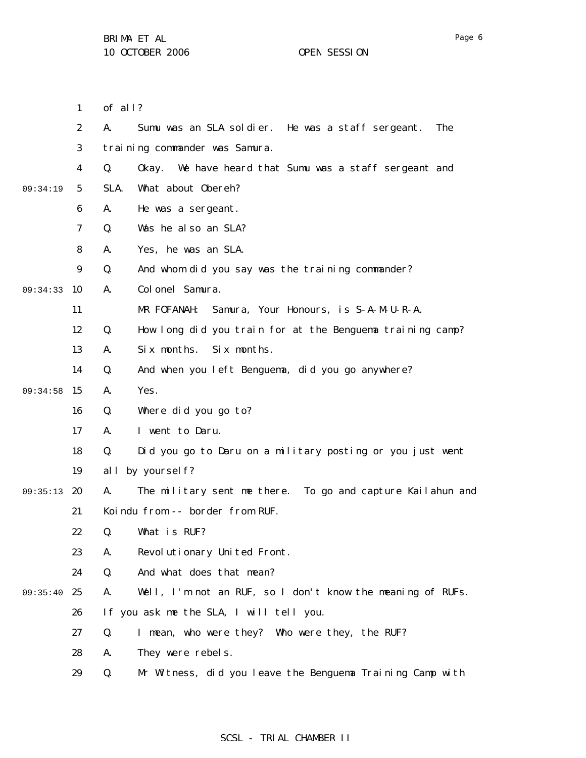1 of all?

|          | $\boldsymbol{2}$ | A.   | Sumu was an SLA soldier. He was a staff sergeant.<br>The   |
|----------|------------------|------|------------------------------------------------------------|
|          | 3                |      | training commander was Samura.                             |
|          | 4                | Q.   | Okay. We have heard that Sumu was a staff sergeant and     |
| 09:34:19 | $\sqrt{5}$       | SLA. | What about Obereh?                                         |
|          | 6                | A.   | He was a sergeant.                                         |
|          | 7                | Q.   | Was he also an SLA?                                        |
|          | 8                | A.   | Yes, he was an SLA.                                        |
|          | 9                | Q.   | And whom did you say was the training commander?           |
| 09:34:33 | 10               | A.   | Colonel Samura.                                            |
|          | 11               |      | MR FOFANAH:<br>Samura, Your Honours, is S-A-M-U-R-A.       |
|          | 12               | Q.   | How long did you train for at the Benguema training camp?  |
|          | 13               | A.   | Six months.<br>Six months.                                 |
|          | 14               | Q.   | And when you left Benguema, did you go anywhere?           |
| 09:34:58 | 15               | A.   | Yes.                                                       |
|          | 16               | Q.   | Where did you go to?                                       |
|          | 17               | A.   | I went to Daru.                                            |
|          | 18               | Q.   | Did you go to Daru on a military posting or you just went  |
|          | 19               |      | all by yourself?                                           |
| 09:35:13 | 20               | A.   | The military sent me there. To go and capture Kailahun and |
|          | 21               |      | Koindu from -- border from RUF.                            |
|          | 22               | Q.   | What is RUF?                                               |
|          | 23               | A.   | Revolutionary United Front.                                |
|          | 24               | Q.   | And what does that mean?                                   |
| 09:35:40 | 25               | A.   | Well, I'm not an RUF, so I don't know the meaning of RUFs. |
|          | 26               |      | If you ask me the SLA, I will tell you.                    |
|          | 27               | Q.   | I mean, who were they? Who were they, the RUF?             |
|          | 28               | A.   | They were rebels.                                          |
|          | 29               | Q.   | Mr Witness, did you leave the Benguema Training Camp with  |

Page 6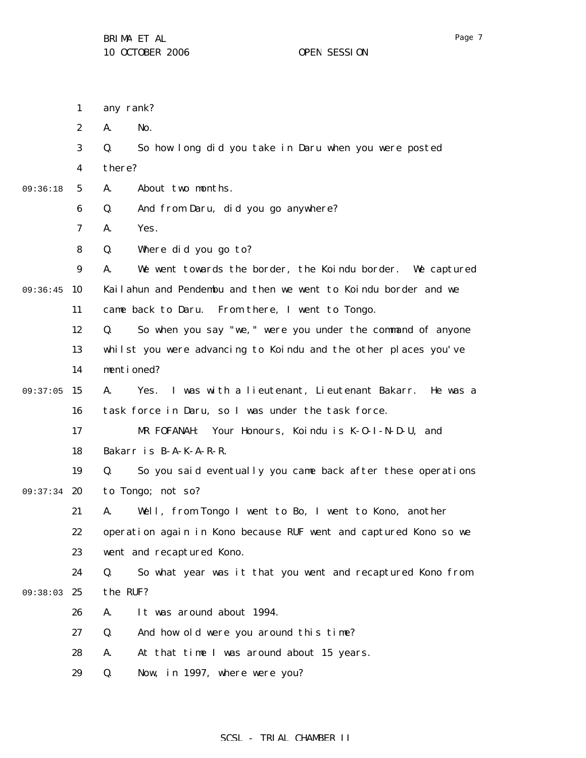any rank?

1

|          | $\boldsymbol{2}$ | No.<br>A.                                                             |
|----------|------------------|-----------------------------------------------------------------------|
|          | 3                | Q.<br>So how long did you take in Daru when you were posted           |
|          | 4                | there?                                                                |
| 09:36:18 | 5                | About two months.<br>A.                                               |
|          | 6                | And from Daru, did you go anywhere?<br>Q.                             |
|          | 7                | Yes.<br>A.                                                            |
|          | 8                | Q.<br>Where did you go to?                                            |
|          | $\boldsymbol{9}$ | We went towards the border, the Koindu border. We captured<br>A.      |
| 09:36:45 | 10               | Kailahun and Pendembu and then we went to Koindu border and we        |
|          | 11               | came back to Daru. From there, I went to Tongo.                       |
|          | 12               | So when you say "we, " were you under the command of anyone<br>Q.     |
|          | 13               | whilst you were advancing to Koindu and the other places you've       |
|          | 14               | mentioned?                                                            |
| 09:37:05 | 15               | I was with a lieutenant, Lieutenant Bakarr.<br>A.<br>Yes.<br>He was a |
|          | 16               | task force in Daru, so I was under the task force.                    |
|          | 17               | Your Honours, Koindu is K-0-I-N-D-U, and<br>MR FOFANAH:               |
|          | 18               | Bakarr is B-A-K-A-R-R.                                                |
|          | 19               | Q.<br>So you said eventually you came back after these operations     |
| 09:37:34 | 20               | to Tongo; not so?                                                     |
|          | 21               | Well, from Tongo I went to Bo, I went to Kono, another<br>A.          |
|          | 22               | operation again in Kono because RUF went and captured Kono so we      |
|          | 23               | went and recaptured Kono.                                             |
|          | 24               | So what year was it that you went and recaptured Kono from<br>Q.      |
| 09:38:03 | 25               | the RUF?                                                              |
|          | 26               | It was around about 1994.<br>A.                                       |
|          | 27               | Q.<br>And how old were you around this time?                          |
|          | 28               | At that time I was around about 15 years.<br>A.                       |
|          | 29               | Now, in 1997, where were you?<br>Q.                                   |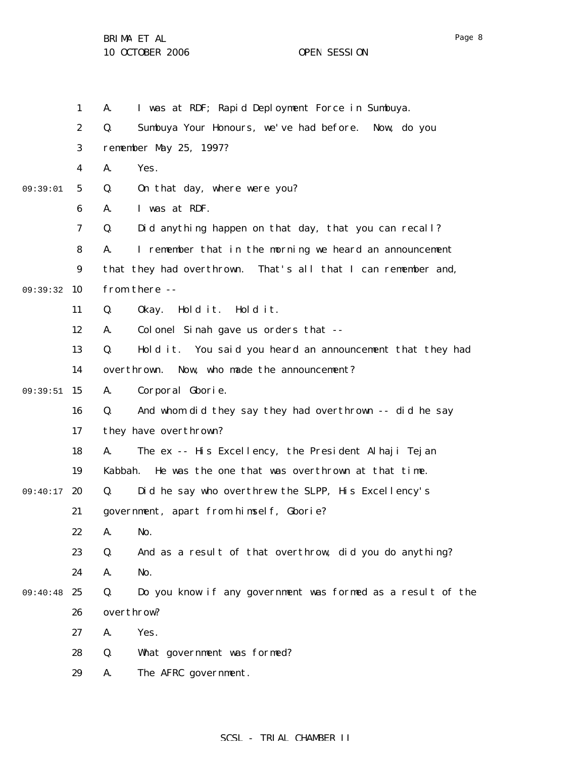|          | $\mathbf{1}$     | I was at RDF; Rapid Deployment Force in Sumbuya.<br>A.            |
|----------|------------------|-------------------------------------------------------------------|
|          | $\boldsymbol{2}$ | Q.<br>Sumbuya Your Honours, we've had before.<br>Now, do you      |
|          | 3                | remember May 25, 1997?                                            |
|          | 4                | Yes.<br>A.                                                        |
| 09:39:01 | $5\phantom{.0}$  | Q.<br>On that day, where were you?                                |
|          | 6                | I was at RDF.<br>A.                                               |
|          | 7                | Did anything happen on that day, that you can recall?<br>Q.       |
|          | 8                | I remember that in the morning we heard an announcement<br>A.     |
|          | $\boldsymbol{9}$ | that they had overthrown. That's all that I can remember and,     |
| 09:39:32 | 10               | from there --                                                     |
|          | 11               | Q.<br>Okay. Hold it.<br>Hold it.                                  |
|          | 12               | Colonel Sinah gave us orders that --<br>A.                        |
|          | 13               | Hold it. You said you heard an announcement that they had<br>Q.   |
|          | 14               | overthrown.<br>Now, who made the announcement?                    |
| 09:39:51 | 15               | Corporal Gborie.<br>A.                                            |
|          | 16               | And whom did they say they had overthrown -- did he say<br>Q.     |
|          | 17               | they have overthrown?                                             |
|          | 18               | The ex -- His Excellency, the President Alhaji Tejan<br>A.        |
|          | 19               | He was the one that was overthrown at that time.<br>Kabbah.       |
| 09:40:17 | 20               | Did he say who overthrew the SLPP, His Excellency's<br>Q.         |
|          | 21               | government, apart from himself, Gborie?                           |
|          | 22               | A. No.                                                            |
|          | 23               | And as a result of that overthrow, did you do anything?<br>Q.     |
|          | 24               | No.<br>A.                                                         |
| 09:40:48 | 25               | Do you know if any government was formed as a result of the<br>Q. |
|          | 26               | overthrow?                                                        |
|          | 27               | Yes.<br>A.                                                        |
|          | 28               | Q.<br>What government was formed?                                 |
|          | 29               | The AFRC government.<br>A.                                        |
|          |                  |                                                                   |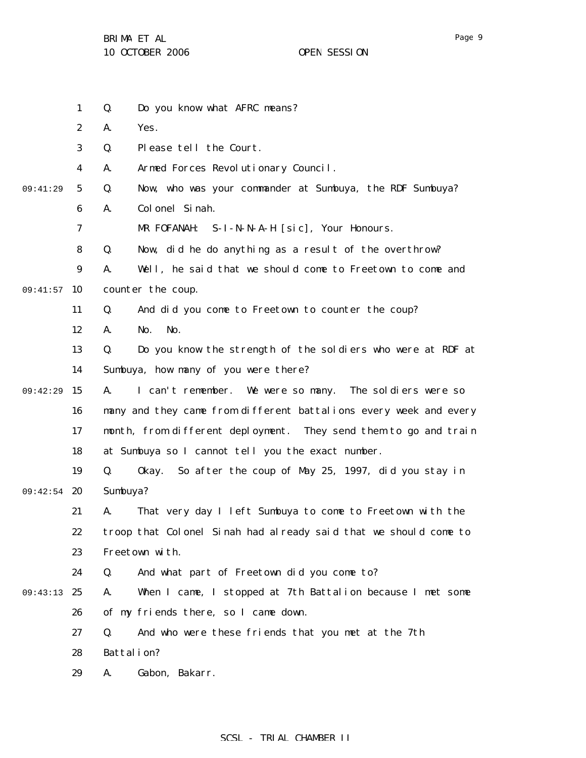BRIMA ET AL

10 OCTOBER 2006 OPEN SESSION

1 2 3 4 5 6 7 8 9 09:41:57 10 11 12 13 14 09:42:29 15 16 17 18 19 09:42:54 20 21 22 23 24 09:43:13 25 26 27 28 29 09:41:29 Q. Do you know what AFRC means? A. Yes. Q. Please tell the Court. A. Armed Forces Revolutionary Council. Q. Now, who was your commander at Sumbuya, the RDF Sumbuya? A. Colonel Sinah. MR FOFANAH: S-I-N-N-A-H [sic], Your Honours. Q. Now, did he do anything as a result of the overthrow? A. Well, he said that we should come to Freetown to come and counter the coup. Q. And did you come to Freetown to counter the coup? A. No. No. Q. Do you know the strength of the soldiers who were at RDF at Sumbuya, how many of you were there? A. I can't remember. We were so many. The soldiers were so many and they came from different battalions every week and every month, from different deployment. They send them to go and train at Sumbuya so I cannot tell you the exact number. Q. Okay. So after the coup of May 25, 1997, did you stay in Sumbuya? A. That very day I left Sumbuya to come to Freetown with the troop that Colonel Sinah had already said that we should come to Freetown with. Q. And what part of Freetown did you come to? A. When I came, I stopped at 7th Battalion because I met some of my friends there, so I came down. Q. And who were these friends that you met at the 7th Battalion? A. Gabon, Bakarr.

### SCSL - TRIAL CHAMBER II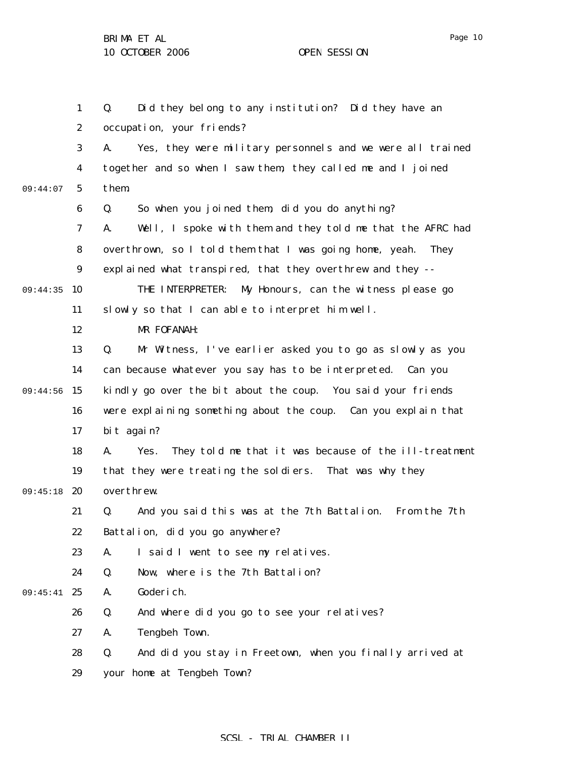1 2 3 4 5 6 7 8 9 09:44:35 10 11 12 13 14 09:44:56 15 16 17 18 19 09:45:18 20 21 22 23 24 09:45:41 25 26 27 28 29 09:44:07 Q. Did they belong to any institution? Did they have an occupation, your friends? A. Yes, they were military personnels and we were all trained together and so when I saw them, they called me and I joined them. Q. So when you joined them, did you do anything? A. Well, I spoke with them and they told me that the AFRC had overthrown, so I told them that I was going home, yeah. They explained what transpired, that they overthrew and they -- THE INTERPRETER: My Honours, can the witness please go slowly so that I can able to interpret him well. MR FOFANAH: Q. Mr Witness, I've earlier asked you to go as slowly as you can because whatever you say has to be interpreted. Can you kindly go over the bit about the coup. You said your friends were explaining something about the coup. Can you explain that bit again? A. Yes. They told me that it was because of the ill-treatment that they were treating the soldiers. That was why they overthrew. Q. And you said this was at the 7th Battalion. From the 7th Battalion, did you go anywhere? A. I said I went to see my relatives. Q. Now, where is the 7th Battalion? A. Goderich. Q. And where did you go to see your relatives? A. Tengbeh Town. Q. And did you stay in Freetown, when you finally arrived at your home at Tengbeh Town?

### SCSL - TRIAL CHAMBER II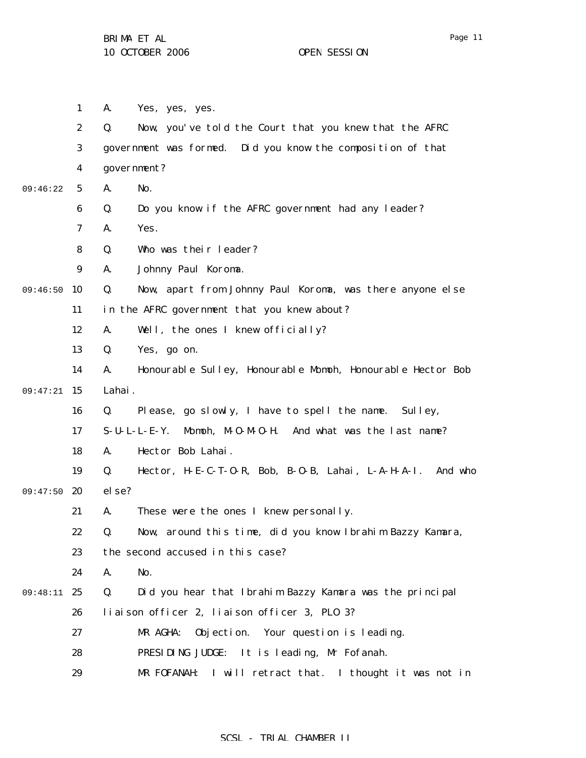1 2 3 4 5 6 7 8 9 09:46:50 10 11 12 13 14 09:47:21 15 16 17 18 19 09:47:50 20 21 22 23 24 09:48:11 25 26 27 28 29 09:46:22 A. Yes, yes, yes. Q. Now, you've told the Court that you knew that the AFRC government was formed. Did you know the composition of that government? A. No. Q. Do you know if the AFRC government had any leader? A. Yes. Q. Who was their leader? A. Johnny Paul Koroma. Q. Now, apart from Johnny Paul Koroma, was there anyone else in the AFRC government that you knew about? A. Well, the ones I knew officially? Q. Yes, go on. A. Honourable Sulley, Honourable Momoh, Honourable Hector Bob Lahai. Q. Please, go slowly, I have to spell the name. Sulley, S-U-L-L-E-Y. Momoh, M-O-M-O-H. And what was the last name? A. Hector Bob Lahai. Q. Hector, H-E-C-T-O-R, Bob, B-O-B, Lahai, L-A-H-A-I. And who else? A. These were the ones I knew personally. Q. Now, around this time, did you know Ibrahim Bazzy Kamara, the second accused in this case? A. No. Q. Did you hear that Ibrahim Bazzy Kamara was the principal liaison officer 2, liaison officer 3, PLO 3? MR AGHA: Objection. Your question is leading. PRESIDING JUDGE: It is leading, Mr Fofanah. MR FOFANAH: I will retract that. I thought it was not in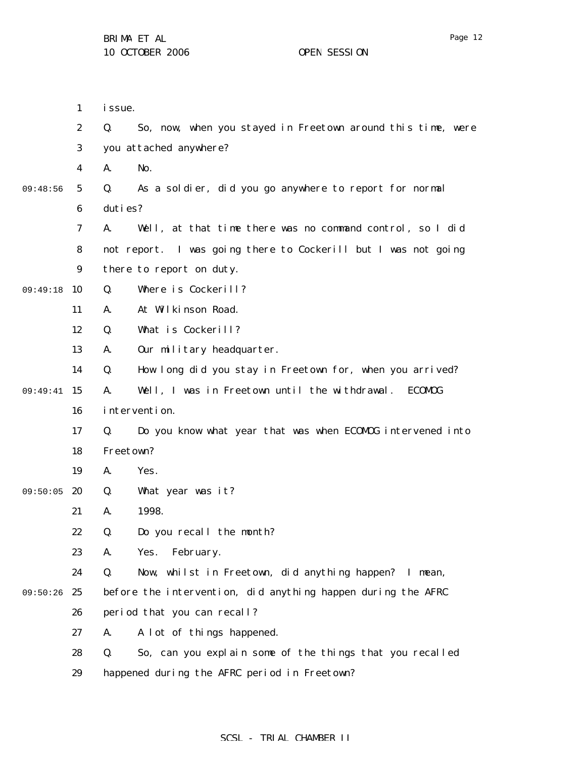09:48:56

09:49:18

09:49:41

09:50:05

09:50:26

| 1                | <i>i</i> ssue. |                                                                |
|------------------|----------------|----------------------------------------------------------------|
| $\boldsymbol{2}$ | Q.             | So, now, when you stayed in Freetown around this time, were    |
| 3                |                | you attached anywhere?                                         |
| 4                | A.             | No.                                                            |
| 5                | Q.             | As a soldier, did you go anywhere to report for normal         |
| 6                | duties?        |                                                                |
| 7                | A.             | Well, at that time there was no command control, so I did      |
| 8                |                | not report. I was going there to Cockerill but I was not going |
| 9                |                | there to report on duty.                                       |
| 10               | Q.             | Where is Cockerill?                                            |
| 11               | A.             | At Wilkinson Road.                                             |
| 12               | Q.             | What is Cockerill?                                             |
| 13               | A.             | Our military headquarter.                                      |
| 14               | Q.             | How long did you stay in Freetown for, when you arrived?       |
| 15               | A.             | Well, I was in Freetown until the withdrawal.<br>ECOMOG        |
| 16               |                | intervention.                                                  |
| 17               | Q.             | Do you know what year that was when ECOMDG intervened into     |
| 18               | Freetown?      |                                                                |
| 19               | A.             | Yes.                                                           |
| 20               | Q.             | What year was it?                                              |
| 21               | A.             | 1998.                                                          |
| 22               | Q.             | Do you recall the month?                                       |
| 23               | A.             | February.<br>Yes.                                              |
| 24               | Q.             | Now, whilst in Freetown, did anything happen?<br>I mean,       |
| 25               |                | before the intervention, did anything happen during the AFRC   |
| 26               |                | period that you can recall?                                    |
| 27               | A.             | A lot of things happened.                                      |

28 29 Q. So, can you explain some of the things that you recalled happened during the AFRC period in Freetown?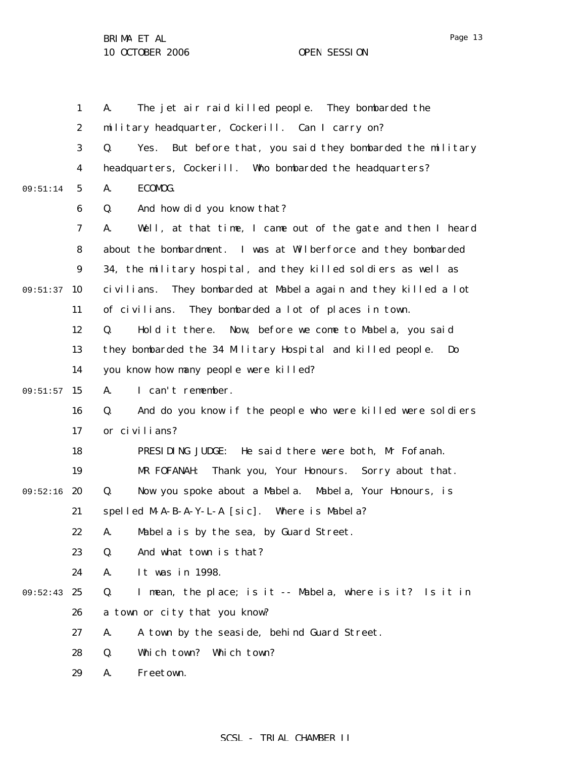|          | $\mathbf{1}$            | The jet air raid killed people. They bombarded the<br>A.                    |
|----------|-------------------------|-----------------------------------------------------------------------------|
|          | $\boldsymbol{2}$        | military headquarter, Cockerill. Can I carry on?                            |
|          | 3                       | Yes. But before that, you said they bombarded the military<br>Q.            |
|          | $\overline{\mathbf{4}}$ | headquarters, Cockerill. Who bombarded the headquarters?                    |
| 09:51:14 | $\mathbf{5}$            | ECOMOG.<br>A.                                                               |
|          | $\boldsymbol{6}$        | And how did you know that?<br>Q.                                            |
|          | $\boldsymbol{7}$        | Well, at that time, I came out of the gate and then I heard<br>A.           |
|          | 8                       | about the bombardment. I was at Wilberforce and they bombarded              |
|          | 9                       | 34, the military hospital, and they killed soldiers as well as              |
| 09:51:37 | 10                      | civilians. They bombarded at Mabela again and they killed a lot             |
|          | 11                      | of civilians.<br>They bombarded a lot of places in town.                    |
|          | 12                      | Hold it there. Now, before we come to Mabela, you said<br>Q.                |
|          | 13                      | they bombarded the 34 Military Hospital and killed people.<br>$\mathbf{Do}$ |
|          | 14                      | you know how many people were killed?                                       |
| 09:51:57 | 15                      | I can't remember.<br>A.                                                     |
|          | 16                      | And do you know if the people who were killed were soldiers<br>Q.           |
|          | 17                      | or civilians?                                                               |
|          | 18                      | PRESIDING JUDGE: He said there were both, Mr Fofanah.                       |
|          | 19                      | Thank you, Your Honours. Sorry about that.<br>MR FOFANAH:                   |
| 09:52:16 | 20                      | Now you spoke about a Mabela. Mabela, Your Honours, is<br>Q.                |
|          | 21                      | spelled M-A-B-A-Y-L-A [sic]. Where is Mabela?                               |
|          | 22                      | A. Mabel a is by the sea, by Guard Street.                                  |
|          | 23                      | And what town is that?<br>Q.                                                |
|          | 24                      | It was in 1998.<br>A.                                                       |
| 09:52:43 | 25                      | Q.<br>I mean, the place; is it -- Mabela, where is it? Is it in             |
|          | 26                      | a town or city that you know?                                               |
|          | 27                      | A town by the seaside, behind Guard Street.<br>A.                           |
|          | 28                      | Which town? Which town?<br>Q.                                               |
|          | 29                      | Freetown.<br>A.                                                             |

Page 13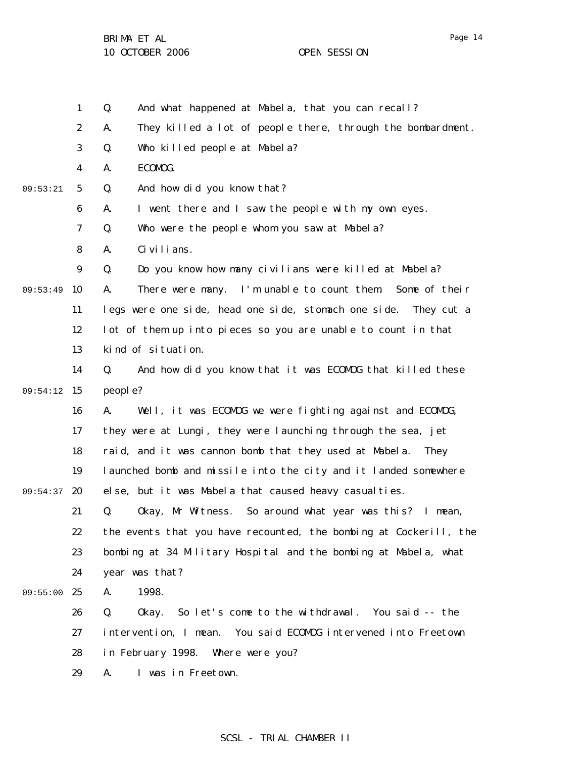1 2 3 4 5 6 7 8 9 09:53:49 10 11 12 13 14 09:54:12 15 16 17 18 19 09:54:37 20 21 22 23 24 09:55:00 25 26 27 28 29 09:53:21 Q. And what happened at Mabela, that you can recall? A. They killed a lot of people there, through the bombardment. Q. Who killed people at Mabela? A. ECOMOG. Q. And how did you know that? A. I went there and I saw the people with my own eyes. Q. Who were the people whom you saw at Mabela? A. Civilians. Q. Do you know how many civilians were killed at Mabela? A. There were many. I'm unable to count them. Some of their legs were one side, head one side, stomach one side. They cut a lot of them up into pieces so you are unable to count in that kind of situation. Q. And how did you know that it was ECOMOG that killed these people? A. Well, it was ECOMOG we were fighting against and ECOMOG, they were at Lungi, they were launching through the sea, jet raid, and it was cannon bomb that they used at Mabela. They launched bomb and missile into the city and it landed somewhere else, but it was Mabela that caused heavy casualties. Q. Okay, Mr Witness. So around what year was this? I mean, the events that you have recounted, the bombing at Cockerill, the bombing at 34 Military Hospital and the bombing at Mabela, what year was that? A. 1998. Q. Okay. So let's come to the withdrawal. You said -- the intervention, I mean. You said ECOMOG intervened into Freetown in February 1998. Where were you? A. I was in Freetown.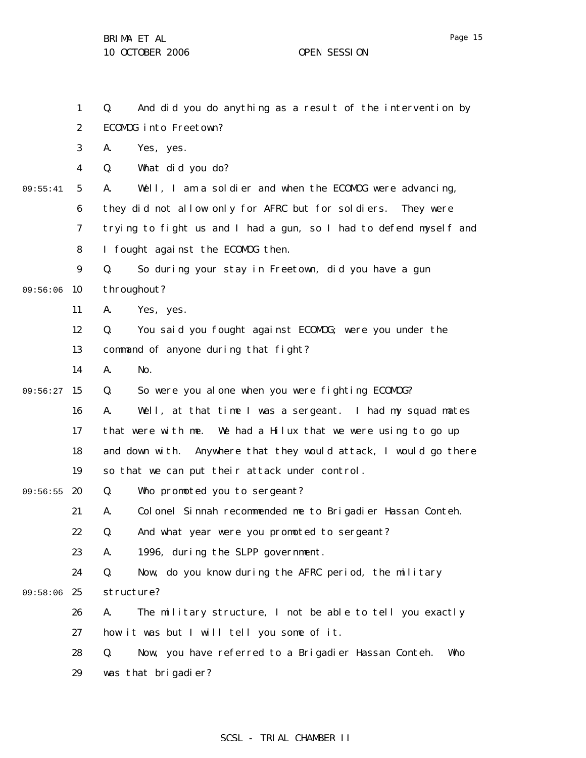1 2 3 4 5 6 7 8 9 09:56:06 10 11 12 13 14 09:56:27 15 16 17 18 19 09:56:55 20 21 22 23 24 09:58:06 25 26 27 28 29 09:55:41 Q. And did you do anything as a result of the intervention by ECOMOG into Freetown? A. Yes, yes. Q. What did you do? A. Well, I am a soldier and when the ECOMOG were advancing, they did not allow only for AFRC but for soldiers. They were trying to fight us and I had a gun, so I had to defend myself and I fought against the ECOMOG then. Q. So during your stay in Freetown, did you have a gun throughout? A. Yes, yes. Q. You said you fought against ECOMOG; were you under the command of anyone during that fight? A. No. Q. So were you alone when you were fighting ECOMOG? A. Well, at that time I was a sergeant. I had my squad mates that were with me. We had a Hilux that we were using to go up and down with. Anywhere that they would attack, I would go there so that we can put their attack under control. Q. Who promoted you to sergeant? A. Colonel Sinnah recommended me to Brigadier Hassan Conteh. Q. And what year were you promoted to sergeant? A. 1996, during the SLPP government. Q. Now, do you know during the AFRC period, the military structure? A. The military structure, I not be able to tell you exactly how it was but I will tell you some of it. Q. Now, you have referred to a Brigadier Hassan Conteh. Who was that brigadier?

Page 15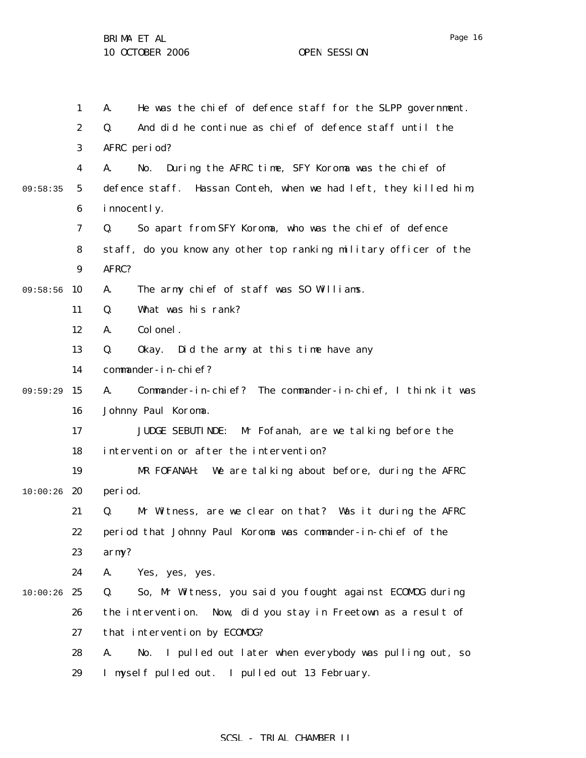1 2 3 4 5 6 7 8 9 09:58:56 10 11 12 13 14 09:59:29 15 16 17 18 19  $10:00:26$  20 21 22 23 24  $10:00:26$  25 26 27 28 29 09:58:35 A. He was the chief of defence staff for the SLPP government. Q. And did he continue as chief of defence staff until the AFRC period? A. No. During the AFRC time, SFY Koroma was the chief of defence staff. Hassan Conteh, when we had left, they killed him, innocently. Q. So apart from SFY Koroma, who was the chief of defence staff, do you know any other top ranking military officer of the AFRC? A. The army chief of staff was SO Williams. Q. What was his rank? A. Colonel. Q. Okay. Did the army at this time have any commander-in-chief? A. Commander-in-chief? The commander-in-chief, I think it was Johnny Paul Koroma. JUDGE SEBUTINDE: Mr Fofanah, are we talking before the intervention or after the intervention? MR FOFANAH: We are talking about before, during the AFRC period. Q. Mr Witness, are we clear on that? Was it during the AFRC period that Johnny Paul Koroma was commander-in-chief of the army? A. Yes, yes, yes. Q. So, Mr Witness, you said you fought against ECOMOG during the intervention. Now, did you stay in Freetown as a result of that intervention by ECOMOG? A. No. I pulled out later when everybody was pulling out, so I myself pulled out. I pulled out 13 February.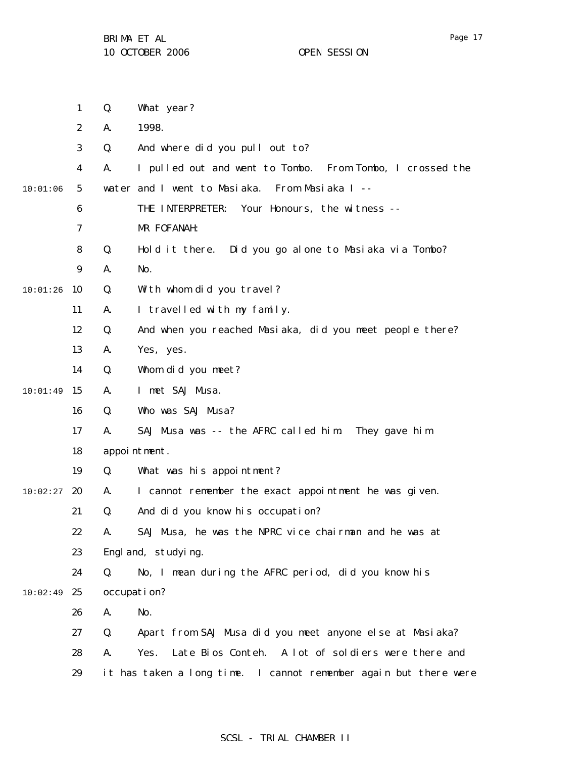|          | $\mathbf{1}$     | Q. | What year?                                                       |
|----------|------------------|----|------------------------------------------------------------------|
|          | $\boldsymbol{2}$ | A. | 1998.                                                            |
|          | 3                | Q. | And where did you pull out to?                                   |
|          | 4                | A. | I pulled out and went to Tombo. From Tombo, I crossed the        |
| 10:01:06 | $\sqrt{5}$       |    | water and I went to Masiaka. From Masiaka I --                   |
|          | 6                |    | Your Honours, the witness --<br>THE INTERPRETER:                 |
|          | 7                |    | MR FOFANAH:                                                      |
|          | 8                | Q. | Hold it there. Did you go alone to Masiaka via Tombo?            |
|          | $\boldsymbol{9}$ | A. | No.                                                              |
| 10:01:26 | 10               | Q. | With whom did you travel?                                        |
|          | 11               | A. | I travelled with my family.                                      |
|          | 12               | Q. | And when you reached Masiaka, did you meet people there?         |
|          | 13               | A. | Yes, yes.                                                        |
|          | 14               | Q. | Whom did you meet?                                               |
| 10:01:49 | 15               | A. | I met SAJ Musa.                                                  |
|          | 16               | Q. | Who was SAJ Musa?                                                |
|          | 17               | A. | SAJ Musa was -- the AFRC called him. They gave him               |
|          | 18               |    | appointment.                                                     |
|          | 19               | Q. | What was his appointment?                                        |
| 10:02:27 | 20               | A. | I cannot remember the exact appointment he was given.            |
|          | 21               | Q. | And did you know his occupation?                                 |
|          | 22               | A. | SAJ Musa, he was the NPRC vice chairman and he was at            |
|          | 23               |    | Engl and, studying.                                              |
|          | 24               | Q. | No, I mean during the AFRC period, did you know his              |
| 10:02:49 | 25               |    | occupation?                                                      |
|          | 26               | A. | No.                                                              |
|          | 27               | Q. | Apart from SAJ Musa did you meet anyone else at Masiaka?         |
|          | 28               | A. | Late Bios Conteh. A lot of soldiers were there and<br>Yes.       |
|          | 29               |    | it has taken a long time. I cannot remember again but there were |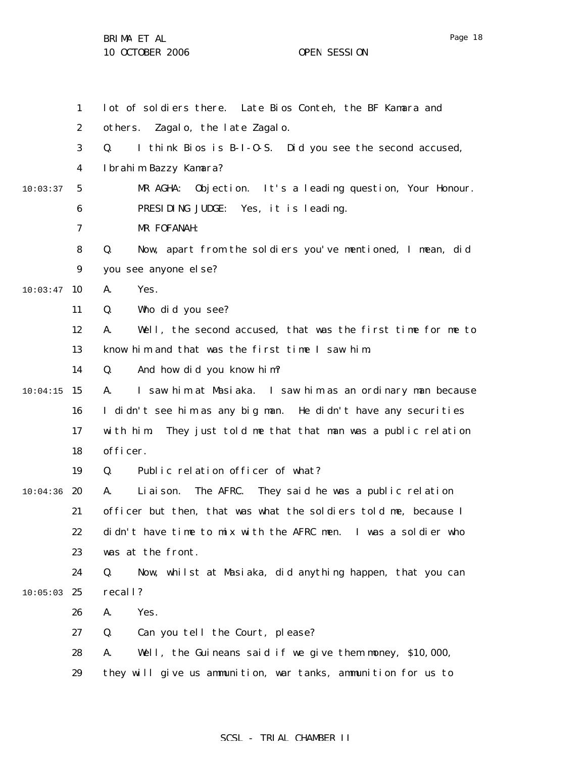BRIMA ET AL

10 OCTOBER 2006 OPEN SESSION

|          | $\mathbf{1}$            | lot of soldiers there. Late Bios Conteh, the BF Kamara and          |
|----------|-------------------------|---------------------------------------------------------------------|
|          | $\boldsymbol{2}$        | Zagalo, the late Zagalo.<br>others.                                 |
|          | 3                       | I think Bios is B-I-0-S. Did you see the second accused,<br>Q.      |
|          | $\overline{\mathbf{4}}$ | Ibrahim Bazzy Kamara?                                               |
| 10:03:37 | $5\overline{)}$         | Objection. It's a leading question, Your Honour.<br>MR AGHA:        |
|          | 6                       | PRESIDING JUDGE: Yes, it is leading.                                |
|          | 7                       | MR FOFANAH:                                                         |
|          | 8                       | Q.<br>Now, apart from the soldiers you've mentioned, I mean, did    |
|          | $\boldsymbol{9}$        | you see anyone el se?                                               |
| 10:03:47 | 10                      | Yes.<br>A.                                                          |
|          | 11                      | Who did you see?<br>Q.                                              |
|          | 12                      | Well, the second accused, that was the first time for me to<br>A.   |
|          | 13                      | know him and that was the first time I saw him.                     |
|          | 14                      | And how did you know him?<br>Q.                                     |
| 10:04:15 | 15                      | I saw him at Masiaka. I saw him as an ordinary man because<br>А.    |
|          | 16                      | I didn't see him as any big man. He didn't have any securities      |
|          | 17                      | They just told me that that man was a public relation<br>with him.  |
|          | 18                      | officer.                                                            |
|          | 19                      | Public relation officer of what?<br>Q.                              |
| 10:04:36 | 20                      | The AFRC.<br>They said he was a public relation<br>Li ai son.<br>A. |
|          | 21                      | officer but then, that was what the soldiers told me, because I     |
|          | 22                      | didn't have time to mix with the AFRC men. I was a soldier who      |
|          | 23                      | was at the front.                                                   |
|          | 24                      | Now, whilst at Masiaka, did anything happen, that you can<br>Q.     |
| 10:05:03 | 25                      | recall?                                                             |
|          | 26                      | Yes.<br>A.                                                          |
|          | 27                      | Q.<br>Can you tell the Court, please?                               |
|          | 28                      | Well, the Guineans said if we give them money, \$10,000,<br>A.      |
|          | 29                      | they will give us ammunition, war tanks, ammunition for us to       |

SCSL - TRIAL CHAMBER II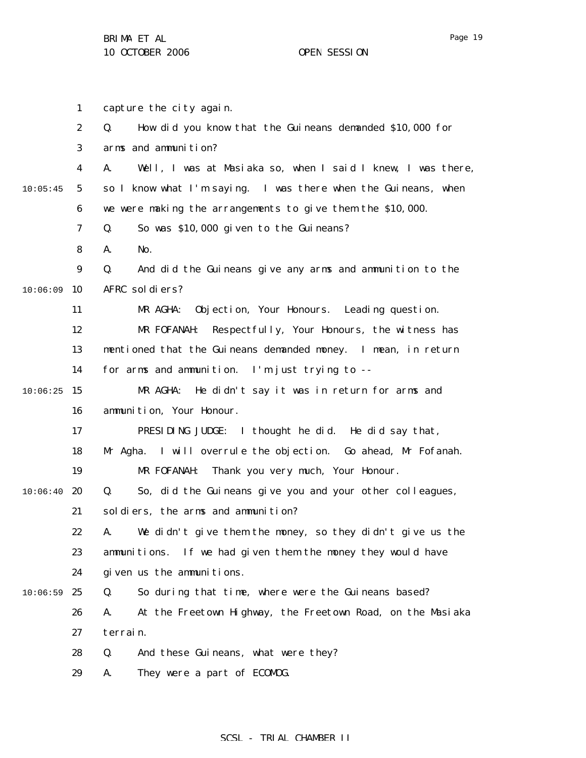1 2 3 4 5 6 7 8 9  $10:06:09$  10 11 12 13 14  $10:06:25$  15 16 17 18 19  $10:06:40$  20 21 22 23 24  $10:06:59$  25 26 27 28 29 10:05:45 capture the city again. Q. How did you know that the Guineans demanded \$10,000 for arms and ammunition? A. Well, I was at Masiaka so, when I said I knew, I was there, so I know what I'm saying. I was there when the Guineans, when we were making the arrangements to give them the \$10,000. Q. So was \$10,000 given to the Guineans? A. No. Q. And did the Guineans give any arms and ammunition to the AFRC soldiers? MR AGHA: Objection, Your Honours. Leading question. MR FOFANAH: Respectfully, Your Honours, the witness has mentioned that the Guineans demanded money. I mean, in return for arms and ammunition. I'm just trying to -- MR AGHA: He didn't say it was in return for arms and ammunition, Your Honour. PRESIDING JUDGE: I thought he did. He did say that, Mr Agha. I will overrule the objection. Go ahead, Mr Fofanah. MR FOFANAH: Thank you very much, Your Honour. Q. So, did the Guineans give you and your other colleagues, soldiers, the arms and ammunition? A. We didn't give them the money, so they didn't give us the ammunitions. If we had given them the money they would have given us the ammunitions. Q. So during that time, where were the Guineans based? A. At the Freetown Highway, the Freetown Road, on the Masiaka terrain. Q. And these Guineans, what were they? A. They were a part of ECOMOG.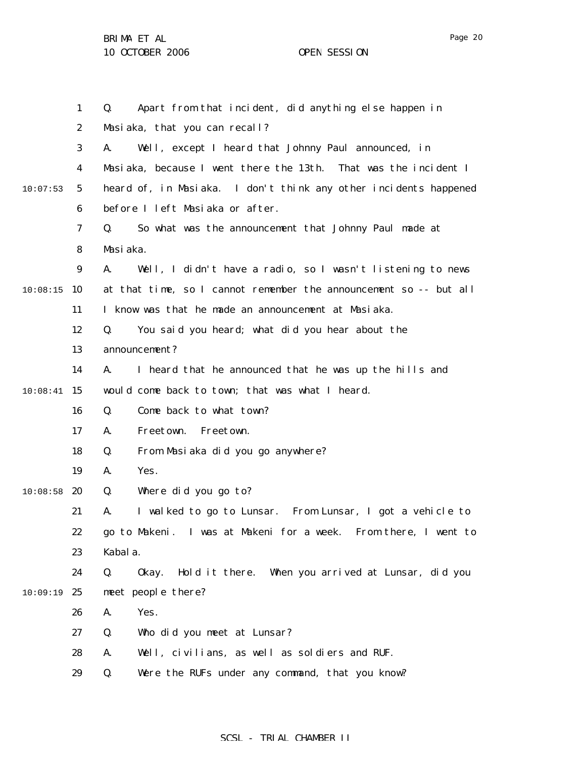|          | $\mathbf{1}$     | Apart from that incident, did anything else happen in<br>Q.        |
|----------|------------------|--------------------------------------------------------------------|
|          | $\boldsymbol{2}$ | Masiaka, that you can recall?                                      |
|          | 3                | Well, except I heard that Johnny Paul announced, in<br>A.          |
|          | 4                | Masiaka, because I went there the 13th.<br>That was the incident I |
| 10:07:53 | $5\overline{ }$  | heard of, in Masiaka. I don't think any other incidents happened   |
|          | 6                | before I left Masiaka or after.                                    |
|          | 7                | Q.<br>So what was the announcement that Johnny Paul made at        |
|          | 8                | Masiaka.                                                           |
|          | $\boldsymbol{9}$ | A.<br>Well, I didn't have a radio, so I wasn't listening to news   |
| 10:08:15 | 10               | at that time, so I cannot remember the announcement so -- but all  |
|          | 11               | I know was that he made an announcement at Masiaka.                |
|          | 12               | You said you heard; what did you hear about the<br>Q.              |
|          | 13               | announcement?                                                      |
|          | 14               | I heard that he announced that he was up the hills and<br>A.       |
| 10:08:41 | 15               | would come back to town; that was what I heard.                    |
|          | 16               | Come back to what town?<br>Q.                                      |
|          | 17               | Freetown.<br>Freetown.<br>A.                                       |
|          | 18               | From Masiaka did you go anywhere?<br>Q.                            |
|          | 19               | Yes.<br>A.                                                         |
| 10:08:58 | 20               | Where did you go to?<br>Q.                                         |
|          | 21               | I walked to go to Lunsar. From Lunsar, I got a vehicle to<br>A.    |
|          | 22               | go to Makeni. I was at Makeni for a week. From there, I went to    |
|          | 23               | Kabal a.                                                           |
|          | 24               | Q.<br>Hold it there. When you arrived at Lunsar, did you<br>0kay.  |
| 10:09:19 | 25               | meet people there?                                                 |
|          | 26               | Yes.<br>A.                                                         |
|          | 27               | Who did you meet at Lunsar?<br>Q.                                  |
|          | 28               | Well, civilians, as well as soldiers and RUF.<br>A.                |
|          | 29               | Were the RUFs under any command, that you know?<br>Q.              |
|          |                  |                                                                    |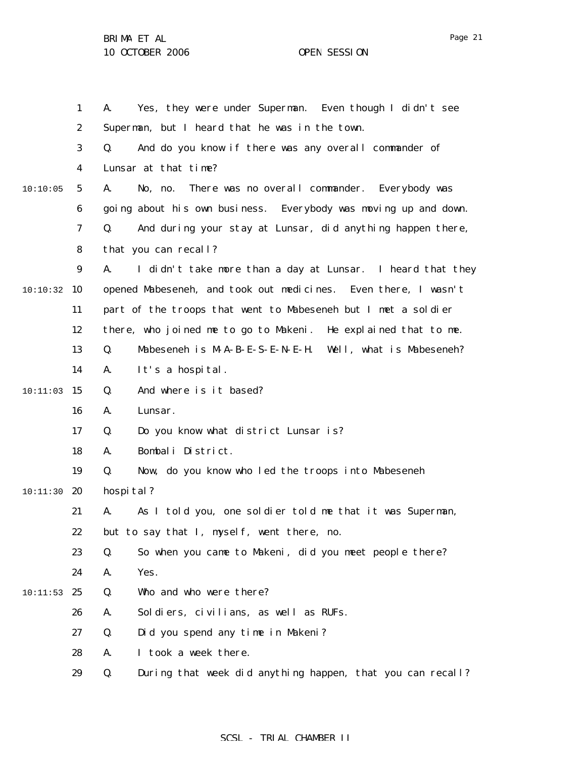|          | $\mathbf{1}$     | Yes, they were under Superman. Even though I didn't see<br>A.    |
|----------|------------------|------------------------------------------------------------------|
|          | $\boldsymbol{2}$ | Superman, but I heard that he was in the town.                   |
|          | 3                | And do you know if there was any overall commander of<br>Q.      |
|          | 4                | Lunsar at that time?                                             |
| 10:10:05 | $5\phantom{.0}$  | There was no overall commander. Everybody was<br>A.<br>No, no.   |
|          | 6                | going about his own business. Everybody was moving up and down.  |
|          | $\boldsymbol{7}$ | And during your stay at Lunsar, did anything happen there,<br>Q. |
|          | 8                | that you can recall?                                             |
|          | $\boldsymbol{9}$ | I didn't take more than a day at Lunsar. I heard that they<br>A. |
| 10:10:32 | 10               | opened Mabeseneh, and took out medicines. Even there, I wasn't   |
|          | 11               | part of the troops that went to Mabeseneh but I met a soldier    |
|          | 12               | there, who joined me to go to Makeni. He explained that to me.   |
|          | 13               | Mabeseneh is M-A-B-E-S-E-N-E-H. Well, what is Mabeseneh?<br>Q.   |
|          | 14               | It's a hospital.<br>A.                                           |
| 10:11:03 | 15               | And where is it based?<br>Q.                                     |
|          | 16               | Lunsar.<br>A.                                                    |
|          | 17               | Do you know what district Lunsar is?<br>Q.                       |
|          | 18               | Bombali District.<br>A.                                          |
|          | 19               | Now, do you know who led the troops into Mabeseneh<br>Q.         |
| 10:11:30 | 20               | hospital?                                                        |
|          | 21               | As I told you, one soldier told me that it was Superman,<br>A.   |
|          | 22               | but to say that I, myself, went there, no.                       |
|          | 23               | So when you came to Makeni, did you meet people there?<br>Q.     |
|          | 24               | Yes.<br>A.                                                       |
| 10:11:53 | 25               | Who and who were there?<br>Q.                                    |
|          | 26               | Soldiers, civilians, as well as RUFs.<br>A.                      |
|          | 27               | Did you spend any time in Makeni?<br>Q.                          |
|          | 28               | I took a week there.<br>A.                                       |
|          | 29               | During that week did anything happen, that you can recall?<br>Q. |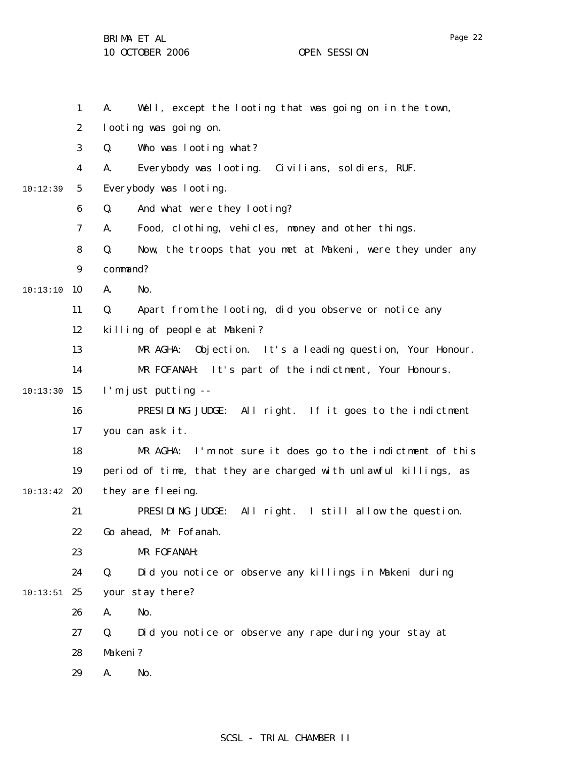BRIMA ET AL

10 OCTOBER 2006 OPEN SESSION

1 2 3 4 5 6 7 8 9 10 10:13:10 11 12 13 14  $10:13:30$  15 16 17 18 19  $10:13:42$  20 21 22 23 24  $10:13:51$  25 26 27 28 29 10:12:39 A. Well, except the looting that was going on in the town, looting was going on. Q. Who was looting what? A. Everybody was looting. Civilians, soldiers, RUF. Everybody was looting. Q. And what were they looting? A. Food, clothing, vehicles, money and other things. Q. Now, the troops that you met at Makeni, were they under any command? A. No. Q. Apart from the looting, did you observe or notice any killing of people at Makeni? MR AGHA: Objection. It's a leading question, Your Honour. MR FOFANAH: It's part of the indictment, Your Honours. I'm just putting -- PRESIDING JUDGE: All right. If it goes to the indictment you can ask it. MR AGHA: I'm not sure it does go to the indictment of this period of time, that they are charged with unlawful killings, as they are fleeing. PRESIDING JUDGE: All right. I still allow the question. Go ahead, Mr Fofanah. MR FOFANAH: Q. Did you notice or observe any killings in Makeni during your stay there? A. No. Q. Did you notice or observe any rape during your stay at Makeni? A. No.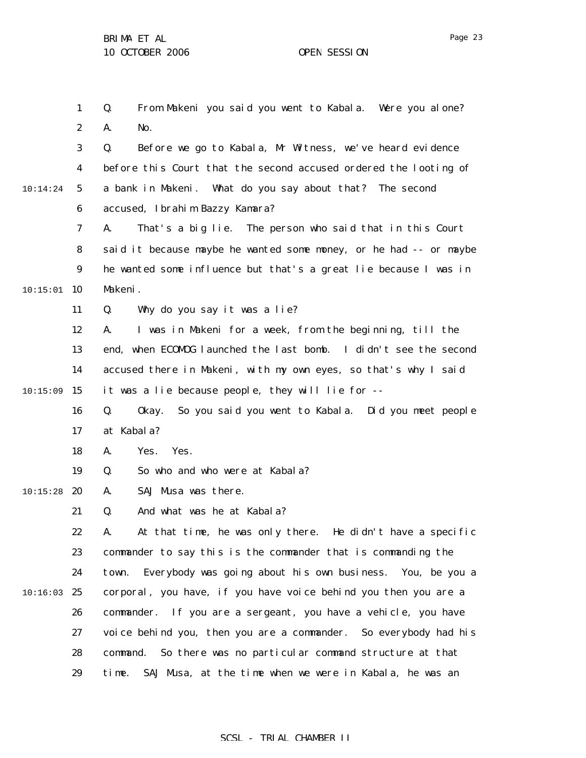|          | $\mathbf{1}$     | From Makeni you said you went to Kabala. Were you alone?<br>Q.    |
|----------|------------------|-------------------------------------------------------------------|
|          | $\boldsymbol{2}$ | No.<br>A.                                                         |
|          | 3                | Before we go to Kabala, Mr Witness, we've heard evidence<br>Q.    |
|          | 4                | before this Court that the second accused ordered the looting of  |
| 10:14:24 | 5                | a bank in Makeni. What do you say about that? The second          |
|          | 6                | accused, Ibrahim Bazzy Kamara?                                    |
|          | 7                | That's a big lie. The person who said that in this Court<br>A.    |
|          | 8                | said it because maybe he wanted some money, or he had -- or maybe |
|          | 9                | he wanted some influence but that's a great lie because I was in  |
| 10:15:01 | 10               | Makeni.                                                           |
|          | 11               | Q.<br>Why do you say it was a lie?                                |
|          | 12               | I was in Makeni for a week, from the beginning, till the<br>A.    |
|          | 13               | end, when ECOMOG launched the last bomb. I didn't see the second  |
|          | 14               | accused there in Makeni, with my own eyes, so that's why I said   |
| 10:15:09 | 15               | it was a lie because people, they will lie for --                 |
|          | 16               | Q.<br>Okay. So you said you went to Kabala. Did you meet people   |
|          | 17               | at Kabala?                                                        |
|          | 18               | Yes.<br>Yes.<br>A.                                                |
|          | 19               | So who and who were at Kabala?<br>Q.                              |
| 10:15:28 | 20               | SAJ Musa was there.<br>A.                                         |
|          | 21               | And what was he at Kabala?<br>Q.                                  |
|          | 22               | At that time, he was only there. He didn't have a specific<br>A.  |
|          | 23               | commander to say this is the commander that is commanding the     |
|          | 24               | town. Everybody was going about his own business. You, be you a   |
| 10:16:03 | 25               | corporal, you have, if you have voice behind you then you are a   |
|          | 26               | commander. If you are a sergeant, you have a vehicle, you have    |
|          | 27               | voice behind you, then you are a commander. So everybody had his  |
|          | 28               | So there was no particular command structure at that<br>command.  |
|          | 29               | SAJ Musa, at the time when we were in Kabala, he was an<br>time.  |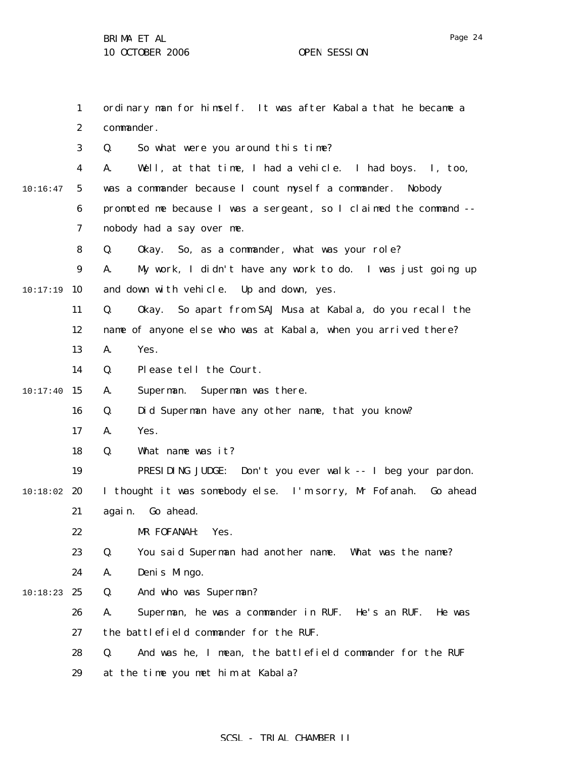1 2 3 4 5 6 7 8 9 10:17:19 10 11 12 13 14  $10:17:40$  15 16 17 18 19  $10:18:02$  20 21 22 23 24 10:18:23 25 26 27 28 29 10:16:47 ordinary man for himself. It was after Kabala that he became a commander. Q. So what were you around this time? A. Well, at that time, I had a vehicle. I had boys. I, too, was a commander because I count myself a commander. Nobody promoted me because I was a sergeant, so I claimed the command - nobody had a say over me. Q. Okay. So, as a commander, what was your role? A. My work, I didn't have any work to do. I was just going up and down with vehicle. Up and down, yes. Q. Okay. So apart from SAJ Musa at Kabala, do you recall the name of anyone else who was at Kabala, when you arrived there? A. Yes. Q. Please tell the Court. A. Superman. Superman was there. Q. Did Superman have any other name, that you know? A. Yes. Q. What name was it? PRESIDING JUDGE: Don't you ever walk -- I beg your pardon. I thought it was somebody else. I'm sorry, Mr Fofanah. Go ahead again. Go ahead. MR FOFANAH: Yes. Q. You said Superman had another name. What was the name? A. Denis Mingo. Q. And who was Superman? A. Superman, he was a commander in RUF. He's an RUF. He was the battlefield commander for the RUF. Q. And was he, I mean, the battlefield commander for the RUF at the time you met him at Kabala?

### SCSL - TRIAL CHAMBER II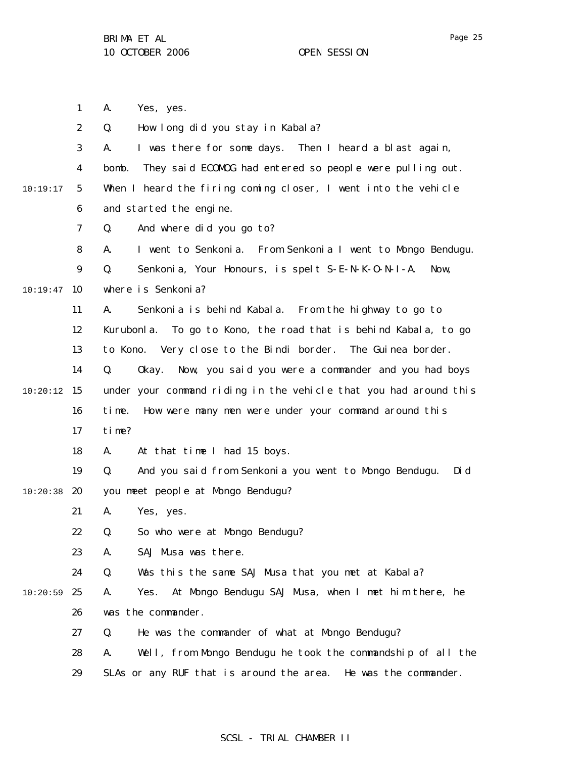1 2 3 4 5 6 7 8 9  $10:19:47$  10 11 12 13 14  $10:20:12$  15 16 17 18 19  $10:20:38$  20 21 22 23 24  $10:20:59$  25 26 27 28 29 10:19:17 A. Yes, yes. Q. How long did you stay in Kabala? A. I was there for some days. Then I heard a blast again, bomb. They said ECOMOG had entered so people were pulling out. When I heard the firing coming closer, I went into the vehicle and started the engine. Q. And where did you go to? A. I went to Senkonia. From Senkonia I went to Mongo Bendugu. Q. Senkonia, Your Honours, is spelt S-E-N-K-O-N-I-A. Now, where is Senkonia? A. Senkonia is behind Kabala. From the highway to go to Kurubonla. To go to Kono, the road that is behind Kabala, to go to Kono. Very close to the Bindi border. The Guinea border. Q. Okay. Now, you said you were a commander and you had boys under your command riding in the vehicle that you had around this time. How were many men were under your command around this time? A. At that time I had 15 boys. Q. And you said from Senkonia you went to Mongo Bendugu. Did you meet people at Mongo Bendugu? A. Yes, yes. Q. So who were at Mongo Bendugu? A. SAJ Musa was there. Q. Was this the same SAJ Musa that you met at Kabala? A. Yes. At Mongo Bendugu SAJ Musa, when I met him there, he was the commander. Q. He was the commander of what at Mongo Bendugu? A. Well, from Mongo Bendugu he took the commandship of all the SLAs or any RUF that is around the area. He was the commander.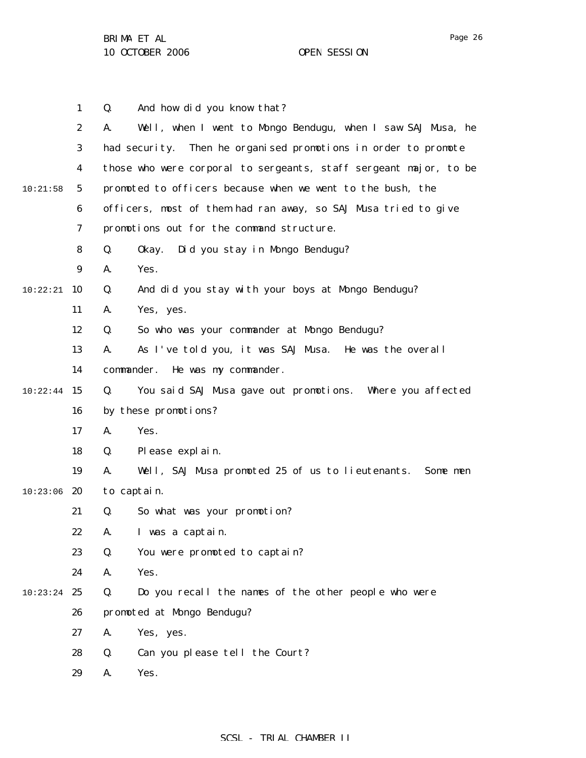|          | $\mathbf{1}$     | And how did you know that?<br>Q.                                  |
|----------|------------------|-------------------------------------------------------------------|
|          | $\boldsymbol{2}$ | Well, when I went to Mongo Bendugu, when I saw SAJ Musa, he<br>A. |
|          | 3                | had security. Then he organised promotions in order to promote    |
|          | 4                | those who were corporal to sergeants, staff sergeant major, to be |
| 10:21:58 | $5\phantom{.0}$  | promoted to officers because when we went to the bush, the        |
|          | 6                | officers, most of them had ran away, so SAJ Musa tried to give    |
|          | 7                | promotions out for the command structure.                         |
|          | 8                | Q.<br>Did you stay in Mongo Bendugu?<br>0kay.                     |
|          | $\boldsymbol{9}$ | A.<br>Yes.                                                        |
| 10:22:21 | - 10             | And did you stay with your boys at Mongo Bendugu?<br>Q.           |
|          | 11               | A.<br>Yes, yes.                                                   |
|          | 12               | So who was your commander at Mongo Bendugu?<br>Q.                 |
|          | 13               | As I've told you, it was SAJ Musa. He was the overall<br>A.       |
|          | 14               | commander.<br>He was my commander.                                |
| 10:22:44 | 15               | You said SAJ Musa gave out promotions. Where you affected<br>Q.   |
|          | 16               | by these promotions?                                              |
|          | 17               | Yes.<br>A.                                                        |
|          | 18               | Please explain.<br>Q.                                             |
|          | 19               | Well, SAJ Musa promoted 25 of us to lieutenants. Some men<br>A.   |
| 10:23:06 | 20               | to captain.                                                       |
|          | 21               | So what was your promotion?<br>Q.                                 |
|          | 22               | A. I was a captain.                                               |
|          | 23               | You were promoted to captain?<br>Q.                               |
|          | 24               | A.<br>Yes.                                                        |
| 10:23:24 | 25               | Do you recall the names of the other people who were<br>Q.        |
|          | 26               | promoted at Mongo Bendugu?                                        |
|          | 27               | A.<br>Yes, yes.                                                   |
|          | 28               | Q.<br>Can you please tell the Court?                              |
|          | 29               | A.<br>Yes.                                                        |
|          |                  |                                                                   |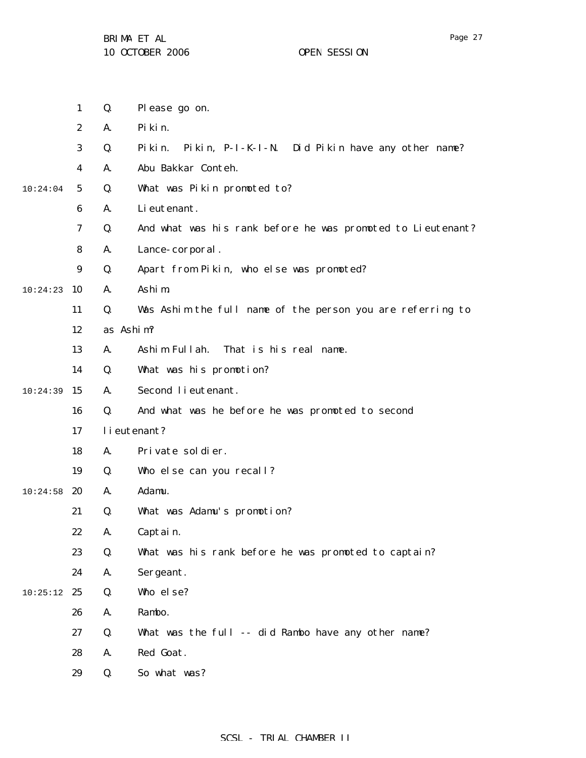1 2 3 4 5 6 7 8 9 10:24:23 10 11 12 13 14  $10:24:39$  15 16 17 18 19  $10:24:58$  20 21 22 23 24  $10:25:12$  25 26 27 28 29 10:24:04 Q. Please go on. A. Pikin. Q. Pikin. Pikin, P-I-K-I-N. Did Pikin have any other name? A. Abu Bakkar Conteh. Q. What was Pikin promoted to? A. Lieutenant. Q. And what was his rank before he was promoted to Lieutenant? A. Lance-corporal. Q. Apart from Pikin, who else was promoted? A. Ashim. Q. Was Ashim the full name of the person you are referring to as Ashim? A. Ashim Fullah. That is his real name. Q. What was his promotion? A. Second lieutenant. Q. And what was he before he was promoted to second lieutenant? A. Private soldier. Q. Who else can you recall? A. Adamu. Q. What was Adamu's promotion? A. Captain. Q. What was his rank before he was promoted to captain? A. Sergeant. Q. Who else? A. Rambo. Q. What was the full -- did Rambo have any other name? A. Red Goat. Q. So what was?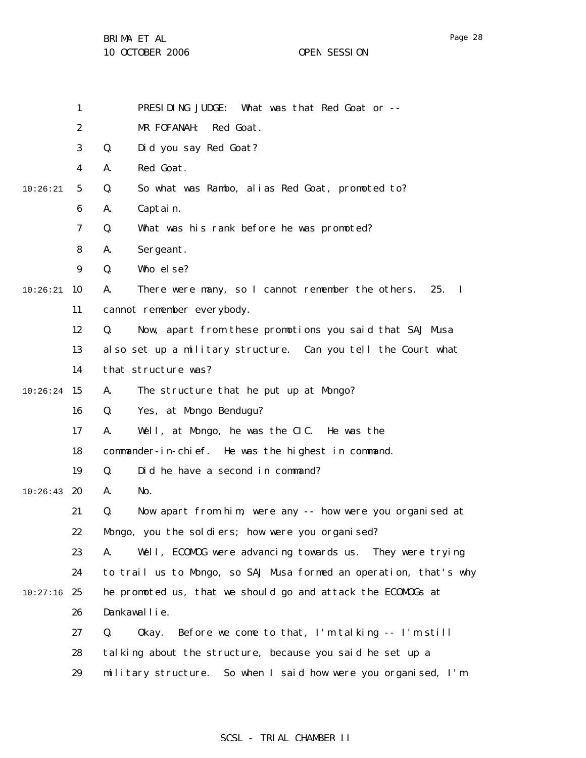BRIMA ET AL

|          | $\mathbf{1}$     | PRESIDING JUDGE:<br>What was that Red Goat or --                          |
|----------|------------------|---------------------------------------------------------------------------|
|          | $\boldsymbol{2}$ | MR FOFANAH:<br>Red Goat.                                                  |
|          | 3                | Q.<br>Did you say Red Goat?                                               |
|          | 4                | Red Goat.<br>A.                                                           |
| 10:26:21 | $5\phantom{.0}$  | So what was Rambo, alias Red Goat, promoted to?<br>Q.                     |
|          | $\boldsymbol{6}$ | Captain.<br>A.                                                            |
|          | $\boldsymbol{7}$ | What was his rank before he was promoted?<br>Q.                           |
|          | 8                | Sergeant.<br>A.                                                           |
|          | $\boldsymbol{9}$ | Who else?<br>Q.                                                           |
| 10:26:21 | 10               | There were many, so I cannot remember the others.<br>A.<br>25.<br>$\bf I$ |
|          | 11               | cannot remember everybody.                                                |
|          | 12               | Now, apart from these promotions you said that SAJ Musa<br>Q.             |
|          | 13               | also set up a military structure. Can you tell the Court what             |
|          | 14               | that structure was?                                                       |
| 10:26:24 | 15               | The structure that he put up at Mongo?<br>A.                              |
|          | 16               | Yes, at Mongo Bendugu?<br>Q.                                              |
|          | 17               | Well, at Mongo, he was the CIC. He was the<br>A.                          |
|          | 18               | commander-in-chief. He was the highest in command.                        |
|          | 19               | Did he have a second in command?<br>Q.                                    |
| 10:26:43 | 20               | No.<br>A.                                                                 |
|          | 21               | Now apart from him, were any -- how were you organised at<br>Q.           |
|          | 22               | Mongo, you the soldiers; how were you organised?                          |
|          | 23               | Well, ECOMOG were advancing towards us. They were trying<br>A.            |
|          | 24               | to trail us to Mongo, so SAJ Musa formed an operation, that's why         |
| 10:27:16 | 25               | he promoted us, that we should go and attack the ECOMDGs at               |
|          | 26               | Dankawallie.                                                              |
|          | 27               | Before we come to that, I'm talking -- I'm still<br>Q.<br>0kay.           |
|          | 28               | talking about the structure, because you said he set up a                 |
|          | 29               | military structure. So when I said how were you organised, I'm            |
|          |                  |                                                                           |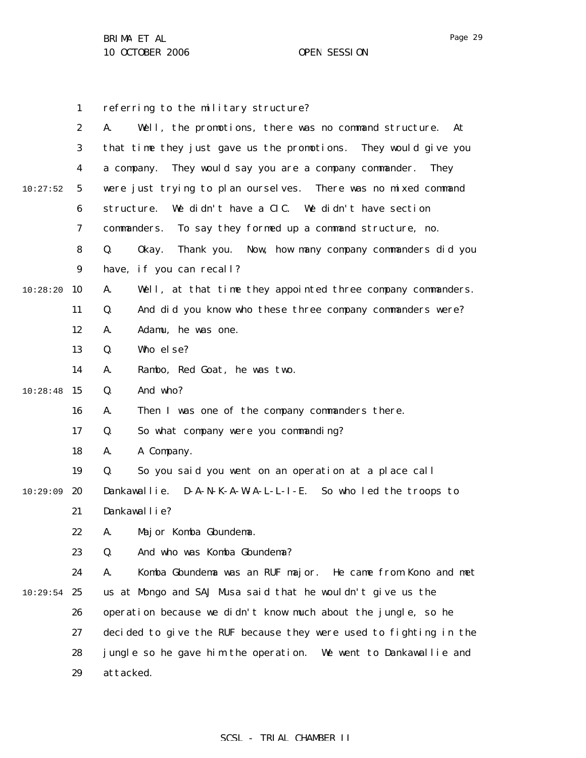|          | 1                | referring to the military structure?                                     |
|----------|------------------|--------------------------------------------------------------------------|
|          | $\boldsymbol{2}$ | Well, the promotions, there was no command structure.<br>A.<br>At        |
|          | 3                | that time they just gave us the promotions. They would give you          |
|          | 4                | They would say you are a company commander.<br><b>They</b><br>a company. |
| 10:27:52 | $\sqrt{5}$       | were just trying to plan ourselves. There was no mixed command           |
|          | 6                | We didn't have a CIC. We didn't have section<br>structure.               |
|          | 7                | To say they formed up a command structure, no.<br>commanders.            |
|          | 8                | Thank you. Now, how many company commanders did you<br>Q.<br>0kay.       |
|          | 9                | have, if you can recall?                                                 |
| 10:28:20 | 10               | Well, at that time they appointed three company commanders.<br>A.        |
|          | 11               | And did you know who these three company commanders were?<br>Q.          |
|          | 12               | Adamu, he was one.<br>A.                                                 |
|          | 13               | Who else?<br>Q.                                                          |
|          | 14               | Rambo, Red Goat, he was two.<br>A.                                       |
| 10:28:48 | 15               | And who?<br>Q.                                                           |
|          | 16               | Then I was one of the company commanders there.<br>A.                    |
|          | 17               | So what company were you commanding?<br>Q.                               |
|          | 18               | A Company.<br>A.                                                         |
|          | 19               | So you said you went on an operation at a place call<br>Q.               |
| 10:29:09 | <b>20</b>        | Dankawallie. D-A-N-K-A-W-A-L-L-I-E. So who led the troops to             |
|          | 21               | Dankawallie?                                                             |
|          | 22               | A. Major Komba Gbundema.                                                 |
|          | 23               | And who was Komba Gbundema?<br>Q.                                        |
|          | 24               | Komba Gbundema was an RUF major.<br>He came from Kono and met<br>A.      |
| 10:29:54 | 25               | us at Mongo and SAJ Musa said that he wouldn't give us the               |
|          | 26               | operation because we didn't know much about the jungle, so he            |
|          | 27               | decided to give the RUF because they were used to fighting in the        |
|          | 28               | jungle so he gave him the operation. We went to Dankawallie and          |
|          | 29               | attacked.                                                                |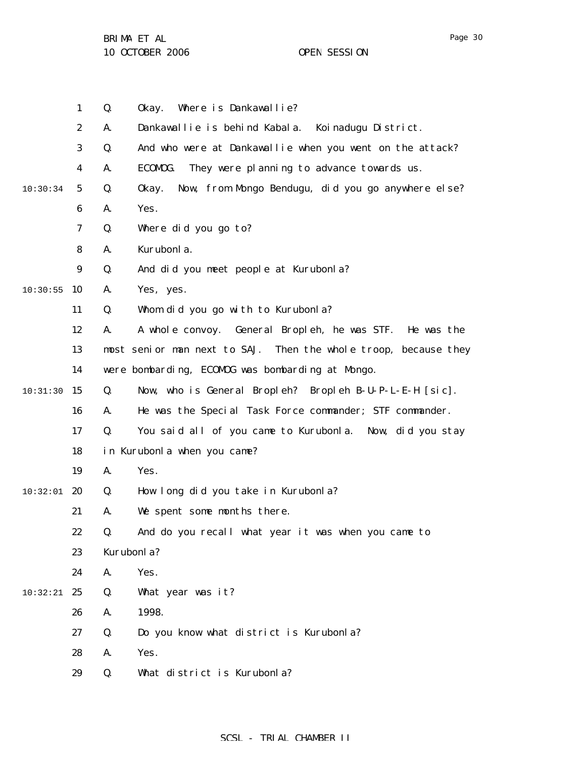|          | $\mathbf{1}$     | Q.         | Where is Dankawallie?<br>0kay.                                     |
|----------|------------------|------------|--------------------------------------------------------------------|
|          | $\boldsymbol{2}$ | A.         | Dankawallie is behind Kabala. Koinadugu District.                  |
|          | 3                | Q.         | And who were at Dankawallie when you went on the attack?           |
|          | 4                | A.         | ECOMOG.<br>They were planning to advance towards us.               |
| 10:30:34 | $5\phantom{.0}$  | Q.         | Now, from Mongo Bendugu, did you go anywhere else?<br>0kay.        |
|          | $\boldsymbol{6}$ | A.         | Yes.                                                               |
|          | 7                | Q.         | Where did you go to?                                               |
|          | 8                | A.         | Kurubonla.                                                         |
|          | $\boldsymbol{9}$ | Q.         | And did you meet people at Kurubonla?                              |
| 10:30:55 | 10               | A.         | Yes, yes.                                                          |
|          | 11               | Q.         | Whom did you go with to Kurubonla?                                 |
|          | 12               | A.         | A whole convoy. General Bropleh, he was STF. He was the            |
|          | 13               |            | most senior man next to SAJ.<br>Then the whole troop, because they |
|          | 14               |            | were bombarding, ECOMDG was bombarding at Mongo.                   |
| 10:31:30 | 15               | Q.         | Now, who is General Bropleh? Bropleh B-U-P-L-E-H [sic].            |
|          | 16               | A.         | He was the Special Task Force commander; STF commander.            |
|          | 17               | Q.         | You said all of you came to Kurubonla. Now, did you stay           |
|          | 18               |            | in Kurubonla when you came?                                        |
|          | 19               | A.         | Yes.                                                               |
| 10:32:01 | 20               | Q.         | How long did you take in Kurubonla?                                |
|          | 21               | A.         | We spent some months there.                                        |
|          | 22               | Q.         | And do you recall what year it was when you came to                |
|          | 23               | Kurubonla? |                                                                    |
|          | 24               | A.         | Yes.                                                               |
| 10:32:21 | 25               | Q.         | What year was it?                                                  |
|          | 26               | A.         | 1998.                                                              |
|          | 27               | Q.         | Do you know what district is Kurubonla?                            |
|          | 28               | A.         | Yes.                                                               |
|          | 29               | Q.         | What district is Kurubonla?                                        |
|          |                  |            |                                                                    |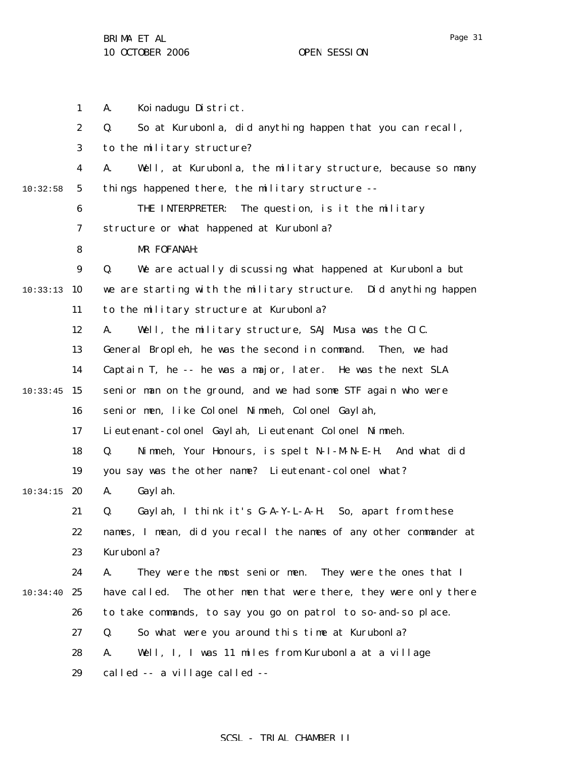1 2 3 4 5 6 7 8 9 10:33:13 10 11 12 13 14  $10:33:45$  15 16 17 18 19  $10:34:15$  20 21 22 23 24 10:34:40 25 26 27 28 29 10:32:58 A. Koinadugu District. Q. So at Kurubonla, did anything happen that you can recall, to the military structure? A. Well, at Kurubonla, the military structure, because so many things happened there, the military structure -- THE INTERPRETER: The question, is it the military structure or what happened at Kurubonla? MR FOFANAH: Q. We are actually discussing what happened at Kurubonla but we are starting with the military structure. Did anything happen to the military structure at Kurubonla? A. Well, the military structure, SAJ Musa was the CIC. General Bropleh, he was the second in command. Then, we had Captain T, he -- he was a major, later. He was the next SLA senior man on the ground, and we had some STF again who were senior men, like Colonel Nimneh, Colonel Gaylah, Lieutenant-colonel Gaylah, Lieutenant Colonel Nimneh. Q. Nimneh, Your Honours, is spelt N-I-M-N-E-H. And what did you say was the other name? Lieutenant-colonel what? A. Gaylah. Q. Gaylah, I think it's G-A-Y-L-A-H. So, apart from these names, I mean, did you recall the names of any other commander at Kurubonla? A. They were the most senior men. They were the ones that I have called. The other men that were there, they were only there to take commands, to say you go on patrol to so-and-so place. Q. So what were you around this time at Kurubonla? A. Well, I, I was 11 miles from Kurubonla at a village called -- a village called --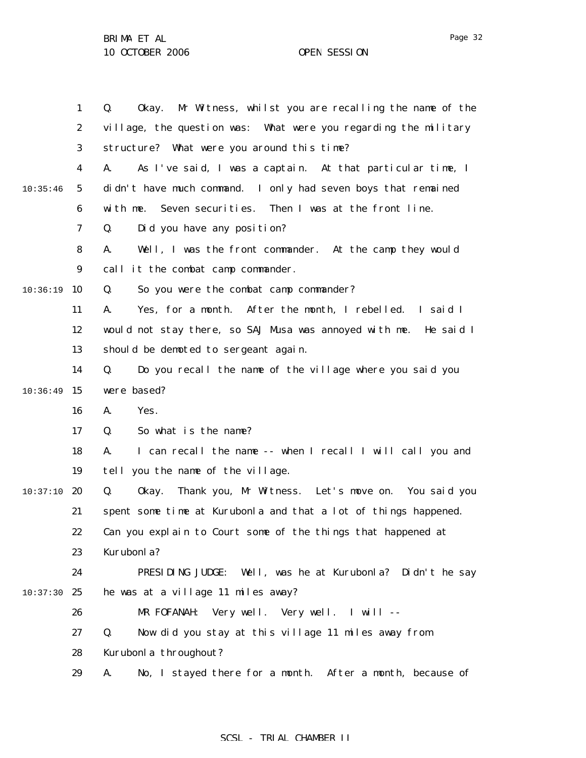|          | $\mathbf{1}$     | Okay. Mr Witness, whilst you are recalling the name of the<br>Q.  |
|----------|------------------|-------------------------------------------------------------------|
|          | $\boldsymbol{2}$ | village, the question was: What were you regarding the military   |
|          | 3                | structure? What were you around this time?                        |
|          | 4                | As I've said, I was a captain. At that particular time, I<br>A.   |
| 10:35:46 | $5\phantom{.0}$  | didn't have much command. I only had seven boys that remained     |
|          | 6                | Seven securities. Then I was at the front line.<br>with me.       |
|          | 7                | Q.<br>Did you have any position?                                  |
|          | 8                | A.<br>Well, I was the front commander. At the camp they would     |
|          | $\boldsymbol{9}$ | call it the combat camp commander.                                |
| 10:36:19 | 10               | So you were the combat camp commander?<br>Q.                      |
|          | 11               | Yes, for a month. After the month, I rebelled. I said I<br>A.     |
|          | 12               | would not stay there, so SAJ Musa was annoyed with me. He said I  |
|          | 13               | should be demoted to sergeant again.                              |
|          | 14               | Do you recall the name of the village where you said you<br>Q.    |
| 10:36:49 | 15               | were based?                                                       |
|          | 16               | Yes.<br>A.                                                        |
|          | 17               | So what is the name?<br>Q.                                        |
|          | 18               | I can recall the name -- when I recall I will call you and<br>A.  |
|          | 19               | tell you the name of the village.                                 |
| 10:37:10 | 20               | Q.<br>Thank you, Mr Witness. Let's move on. You said you<br>0kay. |
|          | 21               | spent some time at Kurubonla and that a lot of things happened.   |
|          | 22               | Can you explain to Court some of the things that happened at      |
|          | 23               | Kurubonla?                                                        |
|          | 24               | PRESIDING JUDGE:<br>Well, was he at Kurubonla? Didn't he say      |
| 10:37:30 | 25               | he was at a village 11 miles away?                                |
|          | 26               | MR FOFANAH: Very well. Very well. I will --                       |
|          | 27               | Now did you stay at this village 11 miles away from<br>Q.         |
|          | 28               | Kurubonla throughout?                                             |
|          | 29               | No, I stayed there for a month. After a month, because of<br>A.   |

## SCSL - TRIAL CHAMBER II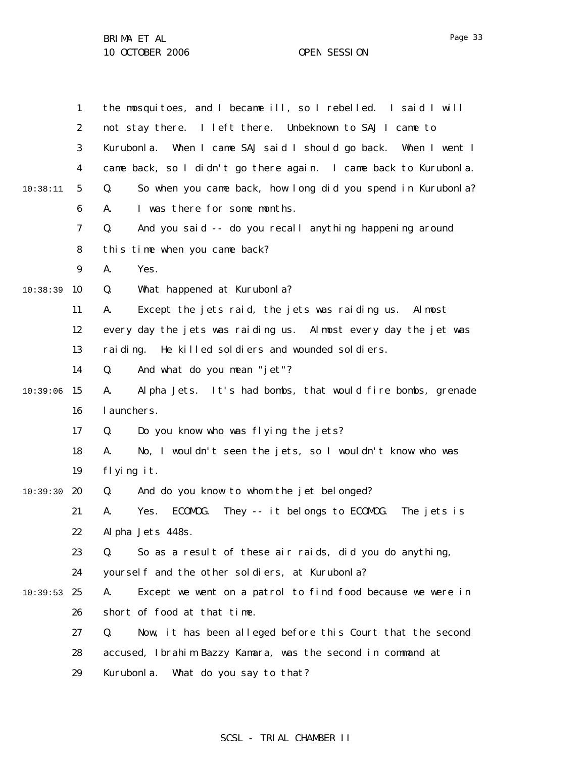|          | $\mathbf{1}$     | the mosquitoes, and I became ill, so I rebelled. I said I will        |
|----------|------------------|-----------------------------------------------------------------------|
|          | $\boldsymbol{2}$ | not stay there. I left there. Unbeknown to SAJ I came to              |
|          | 3                | Kurubonla.<br>When I came SAJ said I should go back. When I went I    |
|          | $\boldsymbol{4}$ | came back, so I didn't go there again. I came back to Kurubonla.      |
| 10:38:11 | $\sqrt{5}$       | So when you came back, how long did you spend in Kurubonla?<br>Q.     |
|          | 6                | I was there for some months.<br>A.                                    |
|          | 7                | And you said -- do you recall anything happening around<br>Q.         |
|          | 8                | this time when you came back?                                         |
|          | $\boldsymbol{9}$ | A.<br>Yes.                                                            |
| 10:38:39 | 10               | What happened at Kurubonla?<br>Q.                                     |
|          | 11               | Except the jets raid, the jets was raiding us.<br>Al most<br>A.       |
|          | 12               | every day the jets was raiding us. Almost every day the jet was       |
|          | 13               | rai di ng.<br>He killed soldiers and wounded soldiers.                |
|          | 14               | And what do you mean "jet"?<br>Q.                                     |
| 10:39:06 | 15               | Alpha Jets. It's had bombs, that would fire bombs, grenade<br>A.      |
|          | 16               | l aunchers.                                                           |
|          | 17               | Q.<br>Do you know who was flying the jets?                            |
|          | 18               | No, I wouldn't seen the jets, so I wouldn't know who was<br>A.        |
|          | 19               | flying it.                                                            |
| 10:39:30 | 20               | And do you know to whom the jet belonged?<br>Q.                       |
|          | 21               | They -- it belongs to ECOMDG.<br>A.<br>Yes.<br>ECOMOG.<br>The jets is |
|          | 22               | Alpha Jets 448s.                                                      |
|          | 23               | So as a result of these air raids, did you do anything,<br>Q.         |
|          | 24               | yourself and the other soldiers, at Kurubonla?                        |
| 10:39:53 | 25               | Except we went on a patrol to find food because we were in<br>A.      |
|          | 26               | short of food at that time.                                           |
|          | 27               | Now, it has been alleged before this Court that the second<br>Q.      |
|          | 28               | accused, Ibrahim Bazzy Kamara, was the second in command at           |
|          | 29               | Kurubonla.<br>What do you say to that?                                |

## SCSL - TRIAL CHAMBER II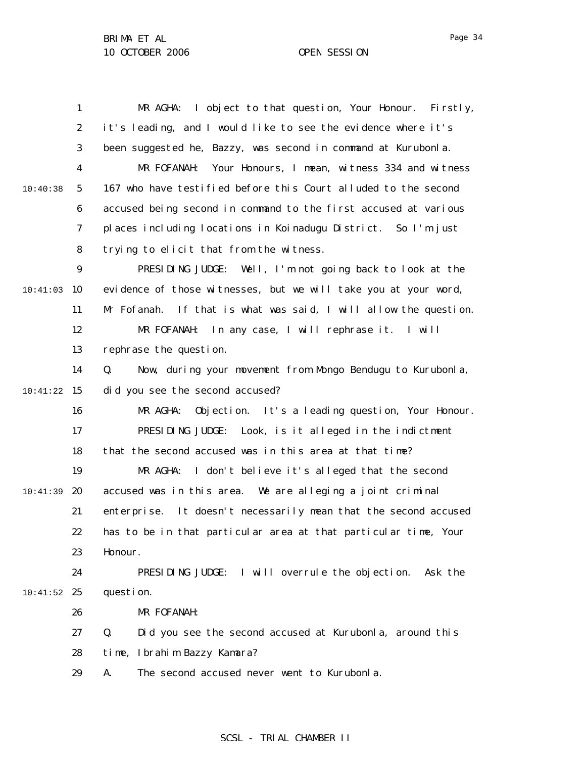1 2 3 4 5 6 7 8 9 10:41:03 10 11 12 13 14 10:41:22 15 16 17 18 19 10:41:39 20 21 22 23 24  $10:41:52$  25 26 27 28 29 10:40:38 MR AGHA: I object to that question, Your Honour. Firstly, it's leading, and I would like to see the evidence where it's been suggested he, Bazzy, was second in command at Kurubonla. MR FOFANAH: Your Honours, I mean, witness 334 and witness 167 who have testified before this Court alluded to the second accused being second in command to the first accused at various places including locations in Koinadugu District. So I'm just trying to elicit that from the witness. PRESIDING JUDGE: Well, I'm not going back to look at the evidence of those witnesses, but we will take you at your word, Mr Fofanah. If that is what was said, I will allow the question. MR FOFANAH: In any case, I will rephrase it. I will rephrase the question. Q. Now, during your movement from Mongo Bendugu to Kurubonla, did you see the second accused? MR AGHA: Objection. It's a leading question, Your Honour. PRESIDING JUDGE: Look, is it alleged in the indictment that the second accused was in this area at that time? MR AGHA: I don't believe it's alleged that the second accused was in this area. We are alleging a joint criminal enterprise. It doesn't necessarily mean that the second accused has to be in that particular area at that particular time, Your Honour. PRESIDING JUDGE: I will overrule the objection. Ask the question. MR FOFANAH: Q. Did you see the second accused at Kurubonla, around this time, Ibrahim Bazzy Kamara? A. The second accused never went to Kurubonla.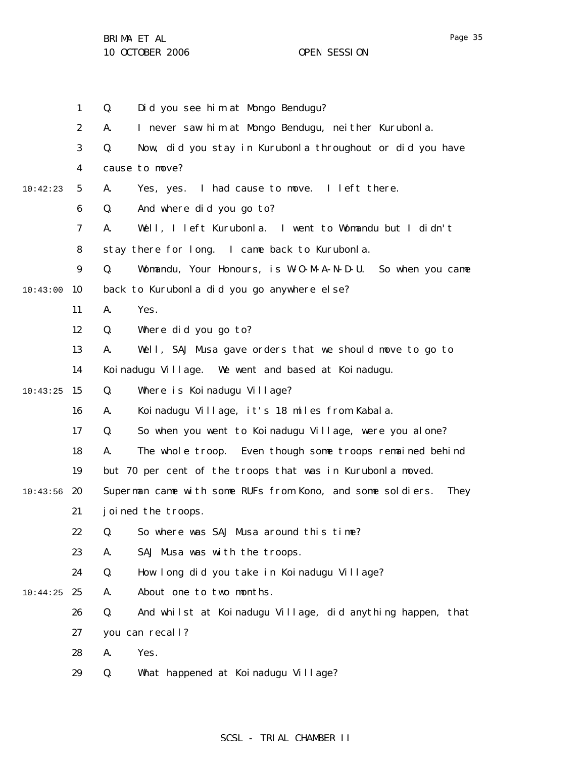|          | $\mathbf{1}$     | Did you see him at Mongo Bendugu?<br>Q.                            |
|----------|------------------|--------------------------------------------------------------------|
|          | $\boldsymbol{2}$ | I never saw him at Mongo Bendugu, neither Kurubonla.<br>A.         |
|          | 3                | Now, did you stay in Kurubonla throughout or did you have<br>Q.    |
|          | 4                | cause to move?                                                     |
| 10:42:23 | $5\overline{)}$  | Yes, yes. I had cause to move. I left there.<br>A.                 |
|          | 6                | And where did you go to?<br>Q.                                     |
|          | $\boldsymbol{7}$ | Well, I left Kurubonla. I went to Womandu but I didn't<br>A.       |
|          | 8                | stay there for long. I came back to Kurubonla.                     |
|          | $\boldsymbol{9}$ | Q.<br>Womandu, Your Honours, is W-0-M-A-N-D-U. So when you came    |
| 10:43:00 | 10               | back to Kurubonla did you go anywhere else?                        |
|          | 11               | A.<br>Yes.                                                         |
|          | 12               | Where did you go to?<br>Q.                                         |
|          | 13               | Well, SAJ Musa gave orders that we should move to go to<br>A.      |
|          | 14               | Koinadugu Village. We went and based at Koinadugu.                 |
| 10:43:25 | 15               | Q.<br>Where is Koinadugu Village?                                  |
|          | 16               | Koinadugu Village, it's 18 miles from Kabala.<br>A.                |
|          | 17               | So when you went to Koinadugu Village, were you alone?<br>Q.       |
|          | 18               | A.<br>The whole troop. Even though some troops remained behind     |
|          | 19               | but 70 per cent of the troops that was in Kurubonla moved.         |
| 10:43:56 | 20               | Superman came with some RUFs from Kono, and some soldiers.<br>They |
|          | 21               | joined the troops.                                                 |
|          | 22               | Q. So where was SAJ Musa around this time?                         |
|          | 23               | SAJ Musa was with the troops.<br>A.                                |
|          | 24               | Q.<br>How long did you take in Koinadugu Village?                  |
| 10:44:25 | 25               | A.<br>About one to two months.                                     |
|          | 26               | And whilst at Koinadugu Village, did anything happen, that<br>Q.   |
|          | 27               | you can recall?                                                    |
|          | 28               | Yes.<br>A.                                                         |
|          | 29               | What happened at Koinadugu Village?<br>Q.                          |
|          |                  |                                                                    |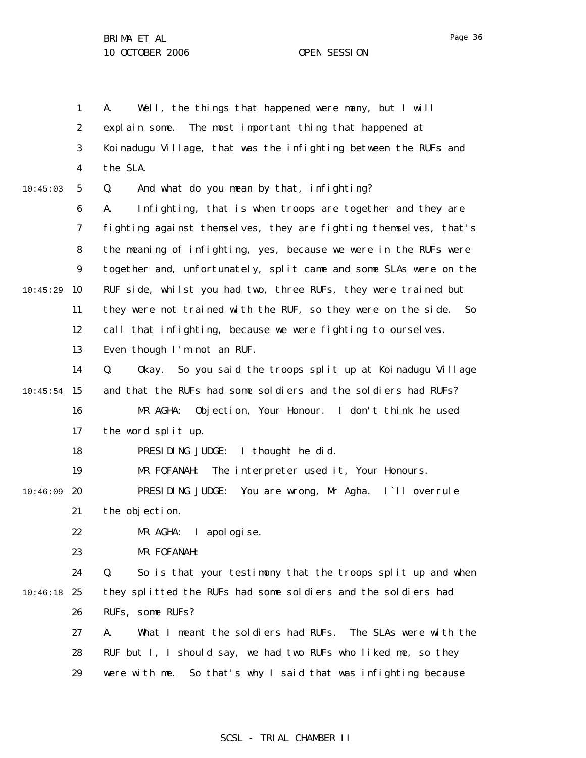1 2 3 4 5 6 7 8 9 10 11 12 13 14  $10:45:54$  15 16 17 18 19  $10:46:09$  20 21 22 23 24 10:46:18 25 26 27 28 29 10:45:03 10:45:29 A. Well, the things that happened were many, but I will explain some. The most important thing that happened at Koinadugu Village, that was the infighting between the RUFs and the SLA. Q. And what do you mean by that, infighting? A. Infighting, that is when troops are together and they are fighting against themselves, they are fighting themselves, that's the meaning of infighting, yes, because we were in the RUFs were together and, unfortunately, split came and some SLAs were on the RUF side, whilst you had two, three RUFs, they were trained but they were not trained with the RUF, so they were on the side. So call that infighting, because we were fighting to ourselves. Even though I'm not an RUF. Q. Okay. So you said the troops split up at Koinadugu Village and that the RUFs had some soldiers and the soldiers had RUFs? MR AGHA: Objection, Your Honour. I don't think he used the word split up. PRESIDING JUDGE: I thought he did. MR FOFANAH: The interpreter used it, Your Honours. PRESIDING JUDGE: You are wrong, Mr Agha. I`ll overrule the objection. MR AGHA: I apologise. MR FOFANAH: Q. So is that your testimony that the troops split up and when they splitted the RUFs had some soldiers and the soldiers had RUFs, some RUFs? A. What I meant the soldiers had RUFs. The SLAs were with the RUF but I, I should say, we had two RUFs who liked me, so they were with me. So that's why I said that was infighting because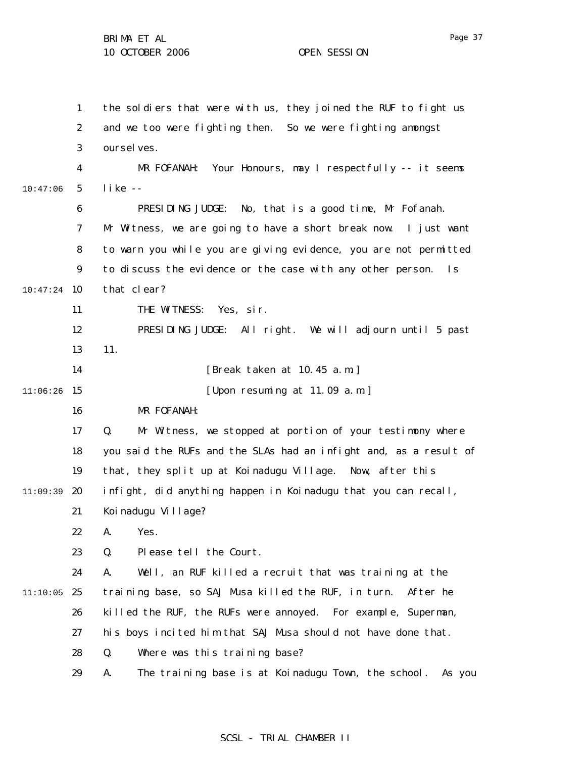|          | $\mathbf{1}$     | the soldiers that were with us, they joined the RUF to fight us              |
|----------|------------------|------------------------------------------------------------------------------|
|          | $\boldsymbol{2}$ | and we too were fighting then. So we were fighting amongst                   |
|          | 3                | oursel ves.                                                                  |
|          | $\boldsymbol{4}$ | Your Honours, may I respectfully -- it seems<br>MR FOFANAH:                  |
| 10:47:06 | $\mathbf{5}$     | $like -$                                                                     |
|          | 6                | PRESIDING JUDGE:<br>No, that is a good time, Mr Fofanah.                     |
|          | 7                | Mr Witness, we are going to have a short break now. I just want              |
|          | 8                | to warn you while you are giving evidence, you are not permitted             |
|          | $\boldsymbol{9}$ | to discuss the evidence or the case with any other person.<br>$\mathbf{I}$ s |
| 10:47:24 | 10               | that clear?                                                                  |
|          | 11               | THE WITNESS:<br>Yes, sir.                                                    |
|          | 12               | PRESIDING JUDGE: All right. We will adjourn until 5 past                     |
|          | 13               | 11.                                                                          |
|          | 14               | [Break taken at 10.45 a.m.]                                                  |
| 11:06:26 | 15               | [Upon resuming at 11.09 a.m.]                                                |
|          | 16               | MR FOFANAH:                                                                  |
|          | 17               | Q.<br>Mr Witness, we stopped at portion of your testimony where              |
|          | 18               | you said the RUFs and the SLAs had an infight and, as a result of            |
|          | 19               | that, they split up at Koinadugu Village. Now, after this                    |
| 11:09:39 | 20               | infight, did anything happen in Koinadugu that you can recall,               |
|          | 21               | Koi nadugu Village?                                                          |
|          | 22               | A.<br>Yes.                                                                   |
|          | 23               | Q.<br>Please tell the Court.                                                 |
|          | 24               | Well, an RUF killed a recruit that was training at the<br>A.                 |
| 11:10:05 | 25               | training base, so SAJ Musa killed the RUF, in turn.<br>After he              |
|          | 26               | killed the RUF, the RUFs were annoyed. For example, Superman,                |
|          | 27               | his boys incited him that SAJ Musa should not have done that.                |
|          | 28               | Q.<br>Where was this training base?                                          |
|          | 29               | The training base is at Koinadugu Town, the school.<br>A.<br>As you          |

## SCSL - TRIAL CHAMBER II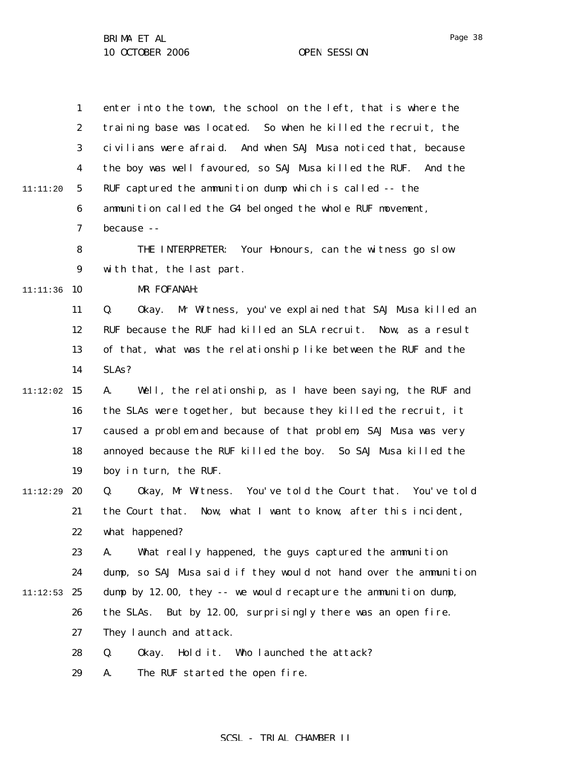|          | $\mathbf{1}$            | enter into the town, the school on the left, that is where the      |
|----------|-------------------------|---------------------------------------------------------------------|
|          | $\boldsymbol{2}$        | training base was located. So when he killed the recruit, the       |
|          | 3                       | civilians were afraid. And when SAJ Musa noticed that, because      |
|          | $\overline{\mathbf{4}}$ | the boy was well favoured, so SAJ Musa killed the RUF.<br>And the   |
| 11:11:20 | $\mathbf{5}$            | RUF captured the ammunition dump which is called -- the             |
|          | 6                       | ammunition called the G4 belonged the whole RUF movement,           |
|          | 7                       | because --                                                          |
|          | 8                       | THE INTERPRETER:<br>Your Honours, can the witness go slow           |
|          | $\boldsymbol{9}$        | with that, the last part.                                           |
| 11:11:36 | 10                      | MR FOFANAH:                                                         |
|          | 11                      | Q.<br>Mr Witness, you've explained that SAJ Musa killed an<br>0kay. |
|          | 12                      | RUF because the RUF had killed an SLA recruit. Now, as a result     |
|          | 13                      | of that, what was the relationship like between the RUF and the     |
|          | 14                      | SLAs?                                                               |
| 11:12:02 | 15                      | Well, the relationship, as I have been saying, the RUF and<br>A.    |
|          | 16                      | the SLAs were together, but because they killed the recruit, it     |
|          | 17                      | caused a problem and because of that problem, SAJ Musa was very     |
|          | 18                      | annoyed because the RUF killed the boy. So SAJ Musa killed the      |
|          | 19                      | boy in turn, the RUF.                                               |
| 11:12:29 | 20                      | Okay, Mr Witness. You've told the Court that. You've told<br>Q.     |
|          | 21                      | the Court that. Now, what I want to know, after this incident,      |
|          | 22                      | what happened?                                                      |
|          | 23                      | What really happened, the guys captured the ammunition<br>A.        |
|          | 24                      | dump, so SAJ Musa said if they would not hand over the ammunition   |
| 11:12:53 | 25                      | dump by 12.00, they -- we would recapture the ammunition dump,      |
|          | 26                      | the SLAs. But by 12.00, surprisingly there was an open fire.        |
|          | 27                      | They launch and attack.                                             |
|          | 28                      | Hold it.<br>Who launched the attack?<br>Q.<br>0kay.                 |
|          | 29                      | The RUF started the open fire.<br>A.                                |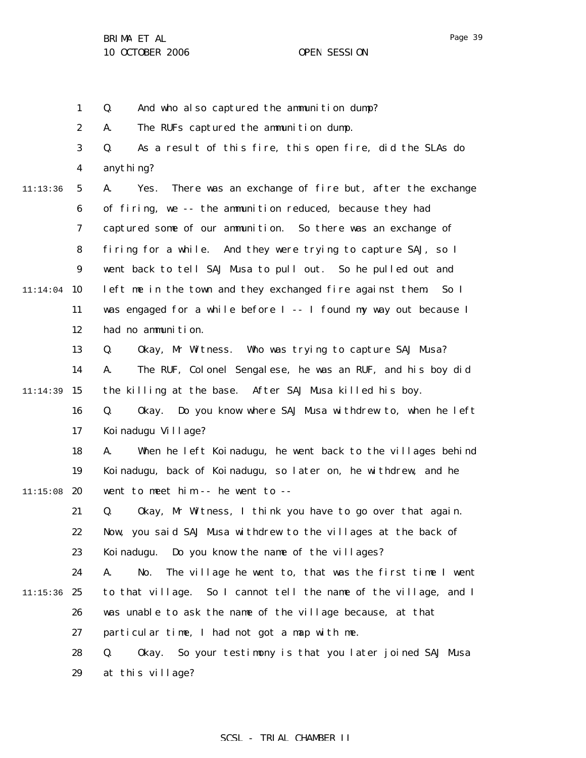Page 39

1 2 3 4 5 6 7 8 9  $11:14:04$  10 11 12 13 14 11:14:39 15 16 17 18 19  $11:15:08$  20 21 22 23 24  $11:15:36$  25 26 27 28 29 11:13:36 Q. And who also captured the ammunition dump? A. The RUFs captured the ammunition dump. Q. As a result of this fire, this open fire, did the SLAs do anything? A. Yes. There was an exchange of fire but, after the exchange of firing, we -- the ammunition reduced, because they had captured some of our ammunition. So there was an exchange of firing for a while. And they were trying to capture SAJ, so I went back to tell SAJ Musa to pull out. So he pulled out and left me in the town and they exchanged fire against them. So I was engaged for a while before I -- I found my way out because I had no ammunition. Q. Okay, Mr Witness. Who was trying to capture SAJ Musa? A. The RUF, Colonel Sengalese, he was an RUF, and his boy did the killing at the base. After SAJ Musa killed his boy. Q. Okay. Do you know where SAJ Musa withdrew to, when he left Koinadugu Village? A. When he left Koinadugu, he went back to the villages behind Koinadugu, back of Koinadugu, so later on, he withdrew, and he went to meet him -- he went to -- Q. Okay, Mr Witness, I think you have to go over that again. Now, you said SAJ Musa withdrew to the villages at the back of Koinadugu. Do you know the name of the villages? A. No. The village he went to, that was the first time I went to that village. So I cannot tell the name of the village, and I was unable to ask the name of the village because, at that particular time, I had not got a map with me. Q. Okay. So your testimony is that you later joined SAJ Musa at this village?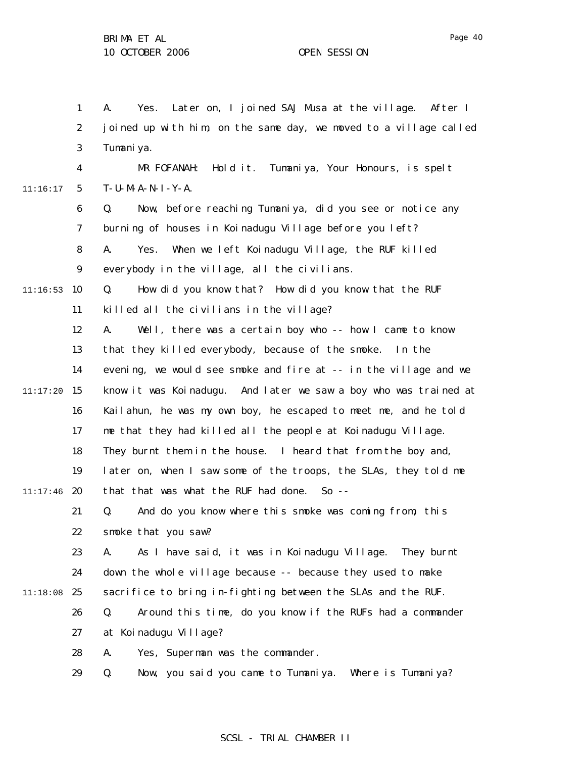1 2 3 4 5 6 7 8 9  $11:16:53$  10 11 12 13 14  $11:17:20$  15 16 17 18 19  $11:17:46$  20 21 22 23 24 11:18:08 25 26 27 28 29 11:16:17 A. Yes. Later on, I joined SAJ Musa at the village. After I joined up with him, on the same day, we moved to a village called Tumani ya. MR FOFANAH: Hold it. Tumaniya, Your Honours, is spelt T-U-M-A-N-I-Y-A. Q. Now, before reaching Tumaniya, did you see or notice any burning of houses in Koinadugu Village before you left? A. Yes. When we left Koinadugu Village, the RUF killed everybody in the village, all the civilians. Q. How did you know that? How did you know that the RUF killed all the civilians in the village? A. Well, there was a certain boy who -- how I came to know that they killed everybody, because of the smoke. In the evening, we would see smoke and fire at -- in the village and we know it was Koinadugu. And later we saw a boy who was trained at Kailahun, he was my own boy, he escaped to meet me, and he told me that they had killed all the people at Koinadugu Village. They burnt them in the house. I heard that from the boy and, later on, when I saw some of the troops, the SLAs, they told me that that was what the RUF had done. So -- Q. And do you know where this smoke was coming from, this smoke that you saw? A. As I have said, it was in Koinadugu Village. They burnt down the whole village because -- because they used to make sacrifice to bring in-fighting between the SLAs and the RUF. Q. Around this time, do you know if the RUFs had a commander at Koinadugu Village? A. Yes, Superman was the commander. Q. Now, you said you came to Tumaniya. Where is Tumaniya?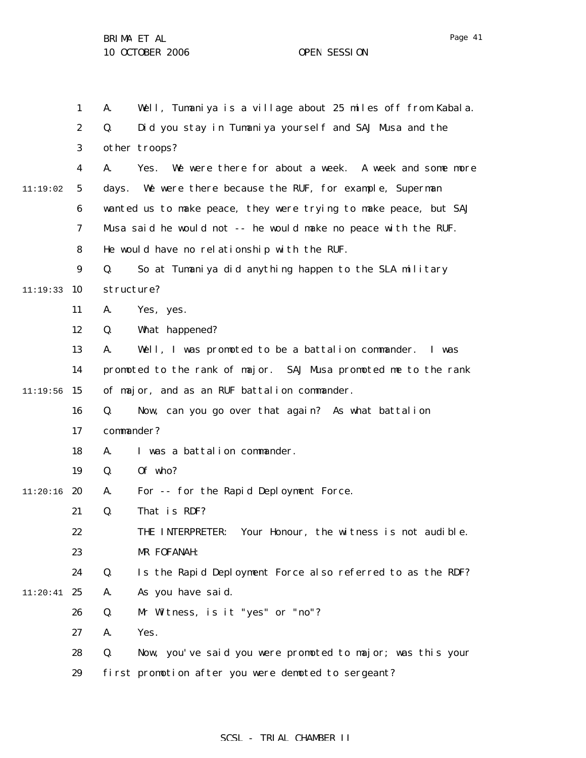|          | $\mathbf{1}$     | Well, Tumaniya is a village about 25 miles off from Kabala.<br>A. |
|----------|------------------|-------------------------------------------------------------------|
|          | $\boldsymbol{2}$ | Did you stay in Tumaniya yourself and SAJ Musa and the<br>Q.      |
|          | 3                | other troops?                                                     |
|          | 4                | Yes. We were there for about a week. A week and some more<br>A.   |
| 11:19:02 | $\mathbf{5}$     | days. We were there because the RUF, for example, Superman        |
|          | 6                | wanted us to make peace, they were trying to make peace, but SAJ  |
|          | 7                | Musa said he would not -- he would make no peace with the RUF.    |
|          | 8                | He would have no relationship with the RUF.                       |
|          | $\boldsymbol{9}$ | Q.<br>So at Tumaniya did anything happen to the SLA military      |
| 11:19:33 | 10               | structure?                                                        |
|          | 11               | A.<br>Yes, yes.                                                   |
|          | 12               | What happened?<br>Q.                                              |
|          | 13               | Well, I was promoted to be a battalion commander.<br>A.<br>I was  |
|          | 14               | promoted to the rank of major. SAJ Musa promoted me to the rank   |
| 11:19:56 | 15               | of major, and as an RUF battalion commander.                      |
|          | 16               | Now, can you go over that again? As what battalion<br>Q.          |
|          | 17               | commander?                                                        |
|          | 18               | I was a battalion commander.<br>A.                                |
|          | 19               | Of who?<br>Q.                                                     |
| 11:20:16 | 20               | For -- for the Rapid Deployment Force.<br>A.                      |
|          | 21               | That is RDF?<br>Q.                                                |
|          | 22               | Your Honour, the witness is not audible.<br>THE INTERPRETER:      |
|          | 23               | MR FOFANAH:                                                       |
|          | 24               | Q.<br>Is the Rapid Deployment Force also referred to as the RDF?  |
| 11:20:41 | 25               | As you have said.<br>A.                                           |
|          | 26               | Mr Witness, is it "yes" or "no"?<br>Q.                            |
|          | 27               | Yes.<br>A.                                                        |
|          | 28               | Now, you've said you were promoted to major; was this your<br>Q.  |
|          | 29               | first promotion after you were demoted to sergeant?               |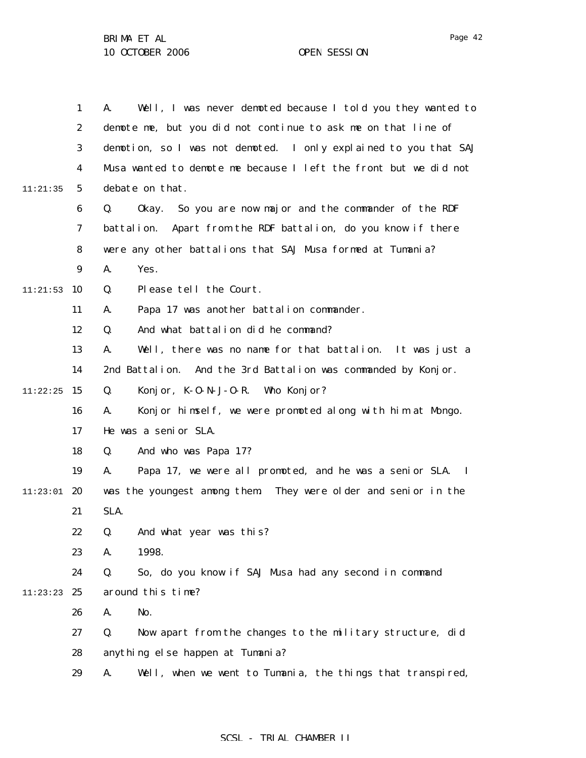|          | $\mathbf{1}$     | Well, I was never demoted because I told you they wanted to<br>А. |
|----------|------------------|-------------------------------------------------------------------|
|          | $\boldsymbol{2}$ | demote me, but you did not continue to ask me on that line of     |
|          | 3                | demotion, so I was not demoted. I only explained to you that SAJ  |
|          | 4                | Musa wanted to demote me because I left the front but we did not  |
| 11:21:35 | 5                | debate on that.                                                   |
|          | $\boldsymbol{6}$ | So you are now major and the commander of the RDF<br>Q.<br>0kay.  |
|          | 7                | Apart from the RDF battalion, do you know if there<br>battalion.  |
|          | 8                | were any other battalions that SAJ Musa formed at Tumania?        |
|          | 9                | Yes.<br>A.                                                        |
| 11:21:53 | 10               | Please tell the Court.<br>Q.                                      |
|          | 11               | Papa 17 was another battalion commander.<br>A.                    |
|          | 12               | And what battalion did he command?<br>Q.                          |
|          | 13               | Well, there was no name for that battalion. It was just a<br>A.   |
|          | 14               | 2nd Battalion. And the 3rd Battalion was commanded by Konjor.     |
| 11:22:25 | 15               | Konj or, $K - 0 - N - J - 0 - R$ . Who Konj or?<br>Q.             |
|          | 16               | Konjor himself, we were promoted along with him at Mongo.<br>A.   |
|          | 17               | He was a senior SLA.                                              |
|          | 18               | And who was Papa 17?<br>Q.                                        |
|          | 19               | Papa 17, we were all promoted, and he was a senior SLA. I<br>A.   |
| 11:23:01 | 20               | was the youngest among them. They were older and senior in the    |
|          | 21               | SLA.                                                              |
|          | 22               | And what year was this?<br>Q.                                     |
|          | 23               | 1998.<br>A.                                                       |
|          | 24               | So, do you know if SAJ Musa had any second in command<br>Q.       |
| 11:23:23 | 25               | around this time?                                                 |
|          | 26               | No.<br>A.                                                         |
|          | 27               | Q.<br>Now apart from the changes to the military structure, did   |
|          | 28               | anything else happen at Tumania?                                  |
|          | 29               | Well, when we went to Tumania, the things that transpired,<br>A.  |
|          |                  |                                                                   |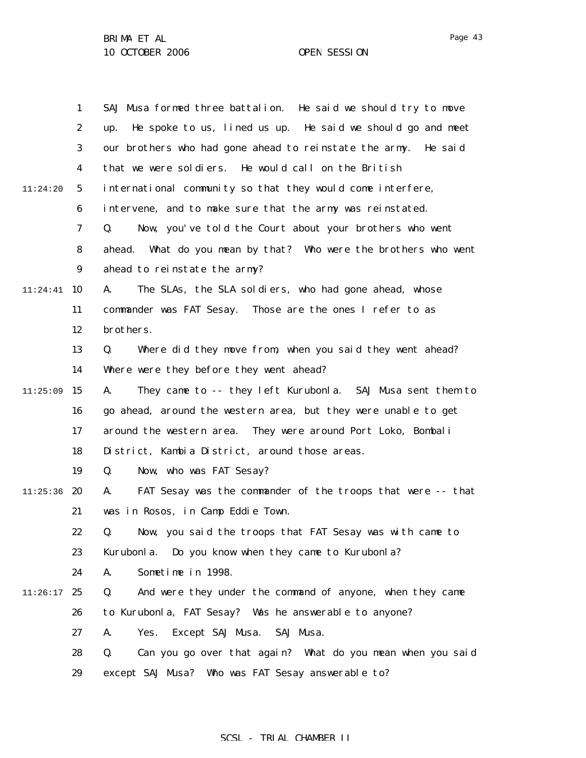|          | $\mathbf{1}$     | SAJ Musa formed three battalion. He said we should try to move     |
|----------|------------------|--------------------------------------------------------------------|
|          | 2                | He spoke to us, lined us up. He said we should go and meet<br>up.  |
|          | 3                | our brothers who had gone ahead to reinstate the army. He said     |
|          | 4                | that we were soldiers. He would call on the British                |
| 11:24:20 | $\sqrt{5}$       | international community so that they would come interfere,         |
|          | 6                | intervene, and to make sure that the army was reinstated.          |
|          | 7                | Now, you've told the Court about your brothers who went<br>Q.      |
|          | 8                | What do you mean by that? Who were the brothers who went<br>ahead. |
|          | $\boldsymbol{9}$ | ahead to reinstate the army?                                       |
| 11:24:41 | 10               | The SLAs, the SLA soldiers, who had gone ahead, whose<br>A.        |
|          | 11               | commander was FAT Sesay. Those are the ones I refer to as          |
|          | 12               | brothers.                                                          |
|          | 13               | Where did they move from, when you said they went ahead?<br>Q.     |
|          | 14               | Where were they before they went ahead?                            |
| 11:25:09 | 15               | They came to -- they left Kurubonla. SAJ Musa sent them to<br>A.   |
|          | 16               | go ahead, around the western area, but they were unable to get     |
|          | 17               | around the western area. They were around Port Loko, Bombali       |
|          | 18               | District, Kambia District, around those areas.                     |
|          | 19               | Now, who was FAT Sesay?<br>Q.                                      |
| 11:25:36 | 20               | FAT Sesay was the commander of the troops that were -- that<br>A.  |
|          | 21               | was in Rosos, in Camp Eddie Town.                                  |
|          | 22               | Now, you said the troops that FAT Sesay was with came to<br>Q.     |
|          | 23               | Kurubonl a.<br>Do you know when they came to Kurubonla?            |
|          | 24               | Sometime in 1998.<br>A.                                            |
| 11:26:17 | 25               | And were they under the command of anyone, when they came<br>Q.    |
|          | 26               | to Kurubonla, FAT Sesay? Was he answerable to anyone?              |
|          | 27               | Except SAJ Musa.<br>SAJ Musa.<br>A.<br>Yes.                        |
|          | 28               | Q.<br>Can you go over that again? What do you mean when you said   |
|          | 29               | except SAJ Musa? Who was FAT Sesay answerable to?                  |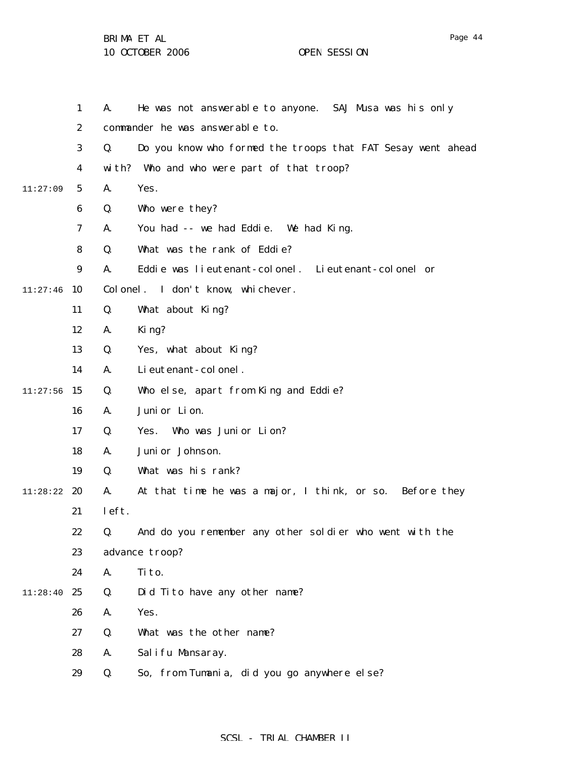BRIMA ET AL

10 OCTOBER 2006 OPEN SESSION

|          | 1                | A.    | He was not answerable to anyone. SAJ Musa was his only      |
|----------|------------------|-------|-------------------------------------------------------------|
|          | $\boldsymbol{2}$ |       | commander he was answerable to.                             |
|          | 3                | Q.    | Do you know who formed the troops that FAT Sesay went ahead |
|          | 4                |       | with? Who and who were part of that troop?                  |
| 11:27:09 | 5                | A.    | Yes.                                                        |
|          | 6                | Q.    | Who were they?                                              |
|          | 7                | A.    | You had -- we had Eddie. We had King.                       |
|          | 8                | Q.    | What was the rank of Eddie?                                 |
|          | 9                | A.    | Eddie was lieutenant-colonel. Lieutenant-colonel or         |
| 11:27:46 | 10               |       | Colonel. I don't know, whichever.                           |
|          | 11               | Q.    | What about King?                                            |
|          | 12               | A.    | King?                                                       |
|          | 13               | Q.    | Yes, what about King?                                       |
|          | 14               | A.    | Li eutenant-colonel.                                        |
| 11:27:56 | 15               | Q.    | Who else, apart from King and Eddie?                        |
|          | 16               | A.    | Juni or Lion.                                               |
|          | 17               | Q.    | Who was Junior Lion?<br>Yes.                                |
|          | 18               | A.    | Juni or Johnson.                                            |
|          | 19               | Q.    | What was his rank?                                          |
| 11:28:22 | 20               | A.    | At that time he was a major, I think, or so. Before they    |
|          | 21               | left. |                                                             |
|          | 22               | Q.    | And do you remember any other soldier who went with the     |
|          | 23               |       | advance troop?                                              |
|          | 24               | A.    | Ti to.                                                      |
| 11:28:40 | 25               | Q.    | Did Tito have any other name?                               |
|          | 26               | A.    | Yes.                                                        |
|          | 27               | Q.    | What was the other name?                                    |
|          | 28               | A.    | Salifu Mansaray.                                            |
|          | 29               | Q.    | So, from Tumania, did you go anywhere else?                 |

SCSL - TRIAL CHAMBER II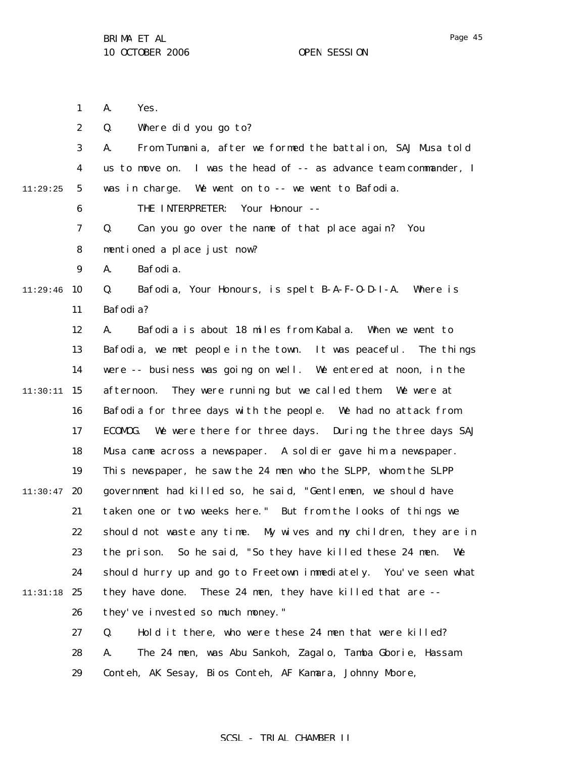1 2 3 4 5 6 7 8 9  $11:29:46$  10 11 12 13 14 11:30:11 15 16 17 18 19  $11:30:47$  20 21 22 23 24 11:31:18 25 26 27 28 29 11:29:25 A. Yes. Q. Where did you go to? A. From Tumania, after we formed the battalion, SAJ Musa told us to move on. I was the head of -- as advance team commander, I was in charge. We went on to -- we went to Bafodia. THE INTERPRETER: Your Honour -- Q. Can you go over the name of that place again? You mentioned a place just now? A. Bafodia. Q. Bafodia, Your Honours, is spelt B-A-F-O-D-I-A. Where is Bafodia? A. Bafodia is about 18 miles from Kabala. When we went to Bafodia, we met people in the town. It was peaceful. The things were -- business was going on well. We entered at noon, in the afternoon. They were running but we called them. We were at Bafodia for three days with the people. We had no attack from ECOMOG. We were there for three days. During the three days SAJ Musa came across a newspaper. A soldier gave him a newspaper. This newspaper, he saw the 24 men who the SLPP, whom the SLPP government had killed so, he said, "Gentlemen, we should have taken one or two weeks here." But from the looks of things we should not waste any time. My wives and my children, they are in the prison. So he said, "So they have killed these 24 men. We should hurry up and go to Freetown immediately. You've seen what they have done. These 24 men, they have killed that are - they've invested so much money." Q. Hold it there, who were these 24 men that were killed? A. The 24 men, was Abu Sankoh, Zagalo, Tamba Gborie, Hassam Conteh, AK Sesay, Bios Conteh, AF Kamara, Johnny Moore,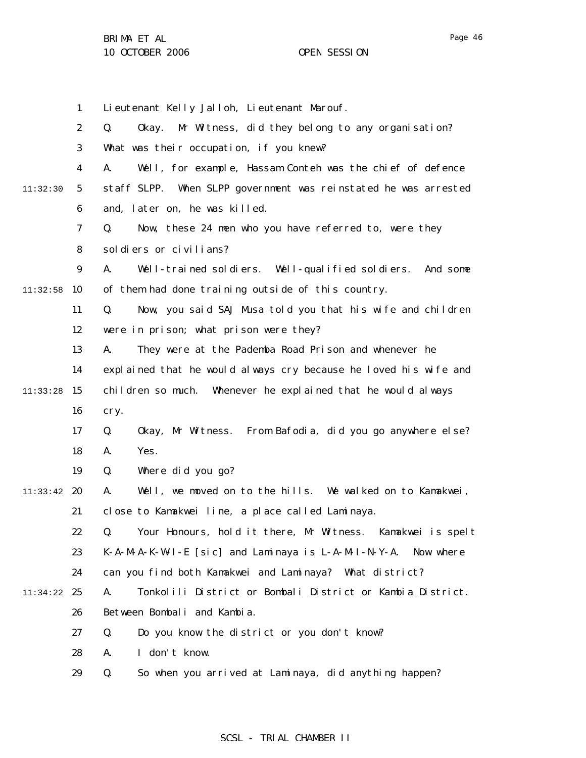|          | $\mathbf{1}$     | Lieutenant Kelly Jalloh, Lieutenant Marouf.                        |
|----------|------------------|--------------------------------------------------------------------|
|          | $\boldsymbol{2}$ | Mr Witness, did they belong to any organisation?<br>Q.<br>0kay.    |
|          | 3                | What was their occupation, if you knew?                            |
|          | 4                | A.<br>Well, for example, Hassam Conteh was the chief of defence    |
| 11:32:30 | $5\overline{ }$  | staff SLPP.<br>When SLPP government was reinstated he was arrested |
|          | $\boldsymbol{6}$ | and, later on, he was killed.                                      |
|          | 7                | Now, these 24 men who you have referred to, were they<br>Q.        |
|          | 8                | soldiers or civilians?                                             |
|          | $\boldsymbol{9}$ | A.<br>Well-trained soldiers. Well-qualified soldiers.<br>And some  |
| 11:32:58 | 10               | of them had done training outside of this country.                 |
|          | 11               | Now, you said SAJ Musa told you that his wife and children<br>Q.   |
|          | 12               | were in prison; what prison were they?                             |
|          | 13               | A.<br>They were at the Pademba Road Prison and whenever he         |
|          | 14               | explained that he would always cry because he loved his wife and   |
| 11:33:28 | 15               | children so much. Whenever he explained that he would always       |
|          | 16               | cry.                                                               |
|          | 17               | Okay, Mr Witness. From Bafodia, did you go anywhere else?<br>Q.    |
|          | 18               | Yes.<br>A.                                                         |
|          | 19               | Q.<br>Where did you go?                                            |
| 11:33:42 | 20               | Well, we moved on to the hills. We walked on to Kamakwei,<br>A.    |
|          | 21               | close to Kamakwei line, a place called Laminaya.                   |
|          | 22               | Q. Your Honours, hold it there, Mr Witness. Kamakwei is spelt      |
|          | 23               | $K-A-MA-K-WI-E$ [sic] and Laminaya is $L-A-MI-N-Y-A$ . Now where   |
|          | 24               | can you find both Kamakwei and Laminaya? What district?            |
| 11:34:22 | 25               | Tonkolili District or Bombali District or Kambia District.<br>A.   |
|          | 26               | Between Bombali and Kambia.                                        |
|          | 27               | Do you know the district or you don't know?<br>Q.                  |
|          | 28               | I don't know.<br>A.                                                |
|          | 29               | So when you arrived at Laminaya, did anything happen?<br>Q.        |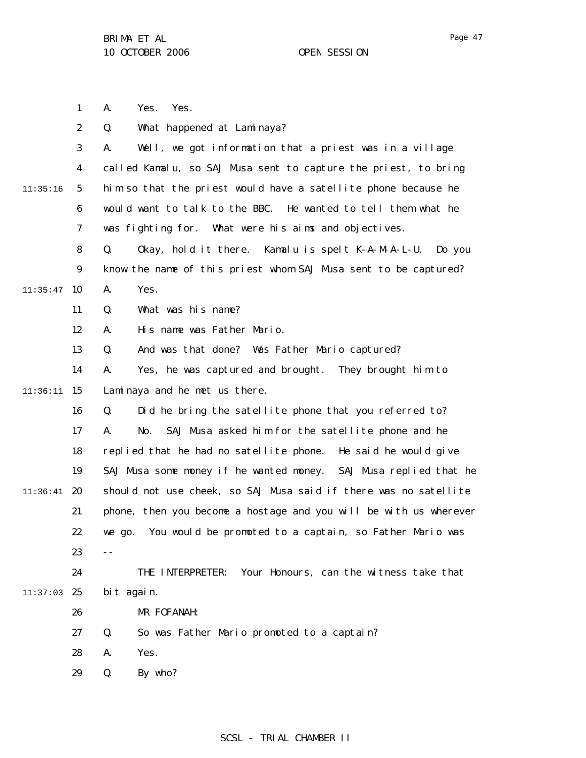1 A. Yes. Yes.

|          | $\boldsymbol{2}$ | What happened at Laminaya?<br>Q.                                  |
|----------|------------------|-------------------------------------------------------------------|
|          | $\boldsymbol{3}$ | Well, we got information that a priest was in a village<br>A.     |
|          | $\boldsymbol{4}$ | called Kamalu, so SAJ Musa sent to capture the priest, to bring   |
| 11:35:16 | $\mathbf{5}$     | him so that the priest would have a satellite phone because he    |
|          | 6                | would want to talk to the BBC. He wanted to tell them what he     |
|          | 7                | was fighting for. What were his aims and objectives.              |
|          | 8                | Q.<br>Okay, hold it there. Kamalu is spelt K-A-M-A-L-U.<br>Do you |
|          | $\boldsymbol{9}$ | know the name of this priest whom SAJ Musa sent to be captured?   |
| 11:35:47 | 10               | Yes.<br>A.                                                        |
|          | 11               | What was his name?<br>Q.                                          |
|          | 12               | His name was Father Mario.<br>A.                                  |
|          | 13               | And was that done? Was Father Mario captured?<br>Q.               |
|          | 14               | Yes, he was captured and brought.<br>They brought him to<br>A.    |
| 11:36:11 | 15               | Laminaya and he met us there.                                     |
|          | 16               | Did he bring the satellite phone that you referred to?<br>Q.      |
|          | 17               | SAJ Musa asked him for the satellite phone and he<br>No.<br>A.    |
|          | 18               | replied that he had no satellite phone.<br>He said he would give  |
|          | 19               | SAJ Musa some money if he wanted money. SAJ Musa replied that he  |
| 11:36:41 | 20               | should not use cheek, so SAJ Musa said if there was no satellite  |
|          | 21               | phone, then you become a hostage and you will be with us wherever |
|          | 22               | You would be promoted to a captain, so Father Mario was<br>we go. |
|          | 23               |                                                                   |
|          | 24               | Your Honours, can the witness take that<br>THE INTERPRETER:       |
| 11:37:03 | 25               | bit again.                                                        |
|          | 26               | MR FOFANAH:                                                       |
|          | 27               | Q.<br>So was Father Mario promoted to a captain?                  |
|          | 28               | Yes.<br>A.                                                        |
|          | 29               | By who?<br>Q.                                                     |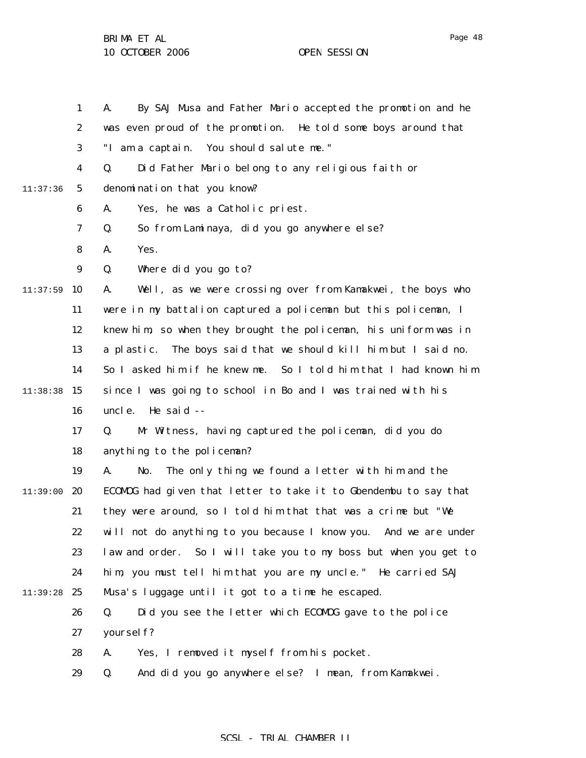1 2 3 4 5 6 7 8 9  $11:37:59$  10 11 12 13 14  $11:38:38$  15 16 17 18 19 11:39:00 **20** 21 22 23 24 11:39:28 25 26 27 28 29 11:37:36 A. By SAJ Musa and Father Mario accepted the promotion and he was even proud of the promotion. He told some boys around that "I am a captain. You should salute me." Q. Did Father Mario belong to any religious faith or denomination that you know? A. Yes, he was a Catholic priest. Q. So from Laminaya, did you go anywhere else? A. Yes. Q. Where did you go to? A. Well, as we were crossing over from Kamakwei, the boys who were in my battalion captured a policeman but this policeman, I knew him, so when they brought the policeman, his uniform was in a plastic. The boys said that we should kill him but I said no. So I asked him if he knew me. So I told him that I had known him since I was going to school in Bo and I was trained with his uncle. He said -- Q. Mr Witness, having captured the policeman, did you do anything to the policeman? A. No. The only thing we found a letter with him and the ECOMOG had given that letter to take it to Gbendembu to say that they were around, so I told him that that was a crime but "We will not do anything to you because I know you. And we are under law and order. So I will take you to my boss but when you get to him, you must tell him that you are my uncle." He carried SAJ Musa's luggage until it got to a time he escaped. Q. Did you see the letter which ECOMOG gave to the police yourself? A. Yes, I removed it myself from his pocket. Q. And did you go anywhere else? I mean, from Kamakwei.

### SCSL - TRIAL CHAMBER II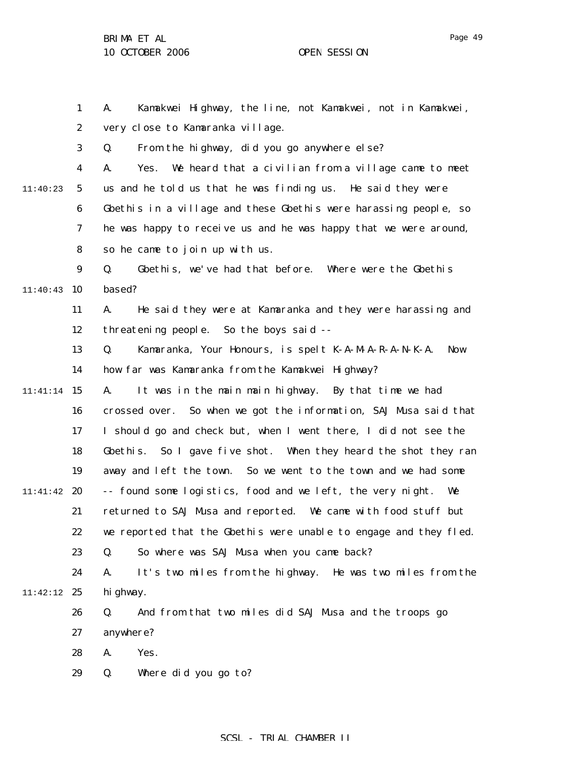Page 49

1 2 3 4 5 6 7 8 9  $11:40:43$  10 11 12 13 14 11:41:14 15 16 17 18 19 11:41:42 20 21 22 23 24 11:42:12 25 26 27 28 29 11:40:23 A. Kamakwei Highway, the line, not Kamakwei, not in Kamakwei, very close to Kamaranka village. Q. From the highway, did you go anywhere else? A. Yes. We heard that a civilian from a village came to meet us and he told us that he was finding us. He said they were Gbethis in a village and these Gbethis were harassing people, so he was happy to receive us and he was happy that we were around, so he came to join up with us. Q. Gbethis, we've had that before. Where were the Gbethis based? A. He said they were at Kamaranka and they were harassing and threatening people. So the boys said -- Q. Kamaranka, Your Honours, is spelt K-A-M-A-R-A-N-K-A. Now how far was Kamaranka from the Kamakwei Highway? A. It was in the main main highway. By that time we had crossed over. So when we got the information, SAJ Musa said that I should go and check but, when I went there, I did not see the Gbethis. So I gave five shot. When they heard the shot they ran away and left the town. So we went to the town and we had some -- found some logistics, food and we left, the very night. We returned to SAJ Musa and reported. We came with food stuff but we reported that the Gbethis were unable to engage and they fled. Q. So where was SAJ Musa when you came back? A. It's two miles from the highway. He was two miles from the hi ghway. Q. And from that two miles did SAJ Musa and the troops go anywhere? A. Yes. Q. Where did you go to?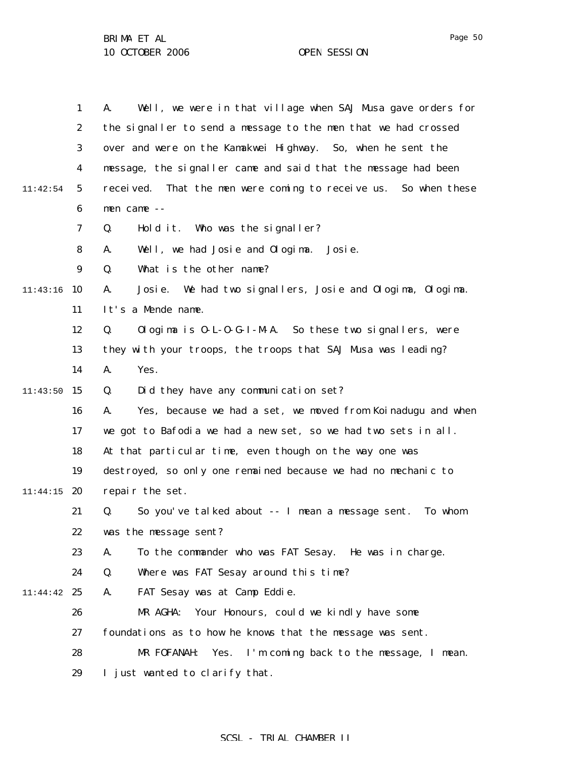|          | $\mathbf{1}$     | Well, we were in that village when SAJ Musa gave orders for<br>A.    |
|----------|------------------|----------------------------------------------------------------------|
|          | $\boldsymbol{2}$ | the signaller to send a message to the men that we had crossed       |
|          | 3                | over and were on the Kamakwei Highway. So, when he sent the          |
|          | $\boldsymbol{4}$ | message, the signaller came and said that the message had been       |
| 11:42:54 | $\sqrt{5}$       | That the men were coming to receive us. So when these<br>recei ved.  |
|          | $\boldsymbol{6}$ | men came --                                                          |
|          | 7                | Hold it. Who was the signaller?<br>Q.                                |
|          | 8                | Well, we had Josie and Ologima.<br>A.<br>Josi e.                     |
|          | 9                | What is the other name?<br>Q.                                        |
| 11:43:16 | 10               | We had two signallers, Josie and Ologima, Ologima.<br>A.<br>Josi e.  |
|          | 11               | It's a Mende name.                                                   |
|          | 12               | Ologima is $0$ -L- $0$ -G-I-M-A. So these two signallers, were<br>Q. |
|          | 13               | they with your troops, the troops that SAJ Musa was leading?         |
|          | 14               | Yes.<br>A.                                                           |
| 11:43:50 | 15               | Did they have any communication set?<br>Q.                           |
|          | 16               | Yes, because we had a set, we moved from Koinadugu and when<br>A.    |
|          | 17               | we got to Bafodia we had a new set, so we had two sets in all.       |
|          | 18               | At that particular time, even though on the way one was              |
|          | 19               | destroyed, so only one remained because we had no mechanic to        |
| 11:44:15 | 20               | repair the set.                                                      |
|          | 21               | So you've talked about -- I mean a message sent.<br>Q.<br>To whom    |
|          | 22               | was the message sent?                                                |
|          | 23               | To the commander who was FAT Sesay. He was in charge.<br>A.          |
|          | 24               | Where was FAT Sesay around this time?<br>Q.                          |
| 11:44:42 | 25               | FAT Sesay was at Camp Eddie.<br>A.                                   |
|          | 26               | MR AGHA:<br>Your Honours, could we kindly have some                  |
|          | 27               | foundations as to how he knows that the message was sent.            |
|          | 28               | MR FOFANAH:<br>Yes.<br>I'm coming back to the message, I mean.       |
|          | 29               | I just wanted to clarify that.                                       |

# SCSL - TRIAL CHAMBER II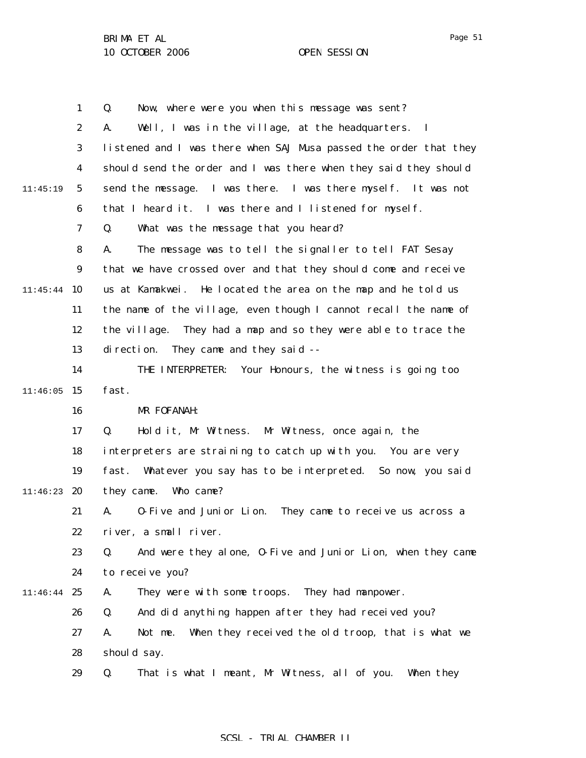1 2 3 4 5 6 7 8 9 11:45:44 10 11 12 13 14  $11:46:05$  15 16 17 18 19 11:46:23 **20** 21 22 23 24 11:46:44 25 26 27 28 29 11:45:19 Q. Now, where were you when this message was sent? A. Well, I was in the village, at the headquarters. I listened and I was there when SAJ Musa passed the order that they should send the order and I was there when they said they should send the message. I was there. I was there myself. It was not that I heard it. I was there and I listened for myself. Q. What was the message that you heard? A. The message was to tell the signaller to tell FAT Sesay that we have crossed over and that they should come and receive us at Kamakwei. He located the area on the map and he told us the name of the village, even though I cannot recall the name of the village. They had a map and so they were able to trace the direction. They came and they said -- THE INTERPRETER: Your Honours, the witness is going too fast. MR FOFANAH: Q. Hold it, Mr Witness. Mr Witness, once again, the interpreters are straining to catch up with you. You are very fast. Whatever you say has to be interpreted. So now, you said they came. Who came? A. O-Five and Junior Lion. They came to receive us across a river, a small river. Q. And were they alone, O-Five and Junior Lion, when they came to receive you? A. They were with some troops. They had manpower. Q. And did anything happen after they had received you? A. Not me. When they received the old troop, that is what we should say. Q. That is what I meant, Mr Witness, all of you. When they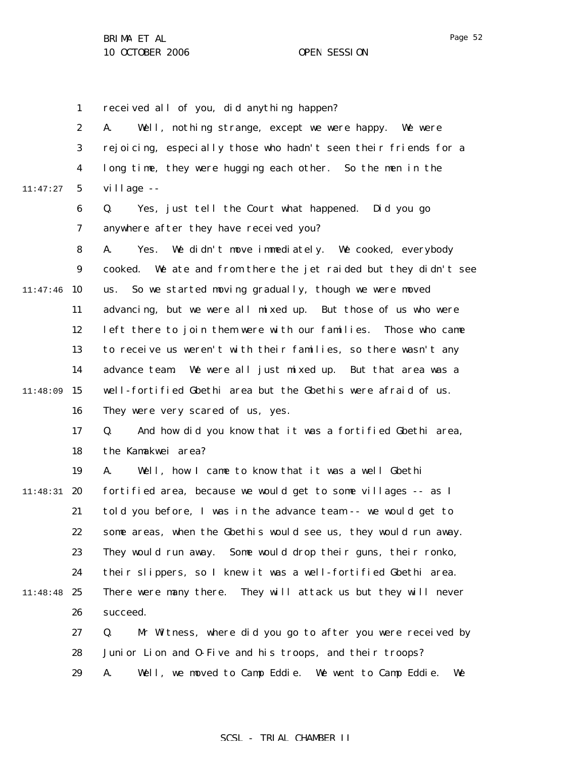1 received all of you, did anything happen?

|          | $\boldsymbol{2}$ | Well, nothing strange, except we were happy.<br>A.<br>We were    |
|----------|------------------|------------------------------------------------------------------|
|          | 3                | rejoicing, especially those who hadn't seen their friends for a  |
|          | $\boldsymbol{4}$ | long time, they were hugging each other. So the men in the       |
| 11:47:27 | $\mathbf{5}$     | village --                                                       |
|          | $\boldsymbol{6}$ | Q.<br>Yes, just tell the Court what happened. Did you go         |
|          | 7                | anywhere after they have received you?                           |
|          | 8                | We didn't move immediately. We cooked, everybody<br>A.<br>Yes.   |
|          | $\boldsymbol{9}$ | cooked. We ate and from there the jet raided but they didn't see |
| 11:47:46 | 10               | So we started moving gradually, though we were moved<br>us.      |
|          | 11               | advancing, but we were all mixed up. But those of us who were    |
|          | 12               | left there to join them were with our families. Those who came   |
|          | 13               | to receive us weren't with their families, so there wasn't any   |
|          | 14               | We were all just mixed up. But that area was a<br>advance team.  |
| 11:48:09 | 15               | well-fortified Gbethi area but the Gbethis were afraid of us.    |
|          | 16               | They were very scared of us, yes.                                |
|          | 17               | And how did you know that it was a fortified Gbethi area,<br>Q.  |
|          | 18               | the Kamakwei area?                                               |
|          | 19               | Well, how I came to know that it was a well Gbethi<br>A.         |
| 11:48:31 | 20               | fortified area, because we would get to some villages -- as I    |
|          | 21               | told you before, I was in the advance team -- we would get to    |
|          | 22               | some areas, when the Gbethis would see us, they would run away.  |
|          | 23               | They would run away. Some would drop their guns, their ronko,    |
|          | 24               | their slippers, so I knew it was a well-fortified Gbethi area.   |
| 11:48:48 | 25               | There were many there. They will attack us but they will never   |
|          | 26               | succeed.                                                         |
|          | 27               | Mr Witness, where did you go to after you were received by<br>Q. |
|          | 28               | Junior Lion and 0-Five and his troops, and their troops?         |
|          | 29               | Well, we moved to Camp Eddie. We went to Camp Eddie.<br>A.<br>We |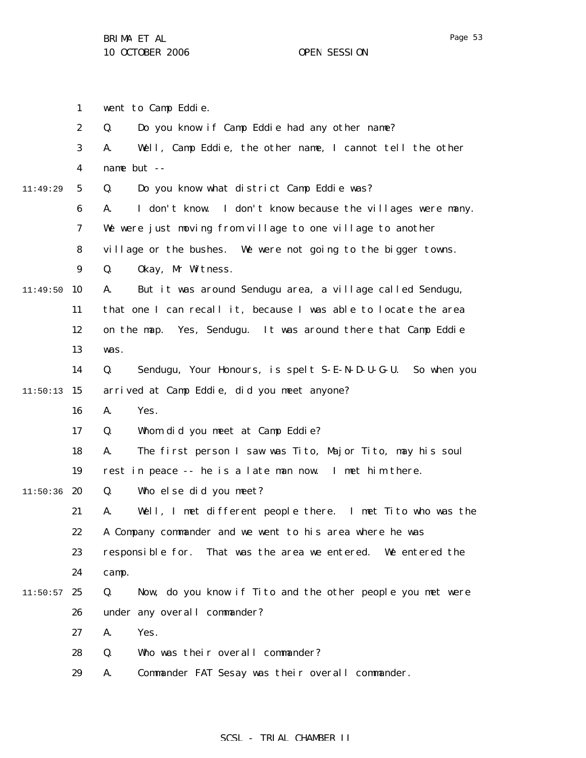1 went to Camp Eddie.

|          | $\boldsymbol{2}$ | Q.<br>Do you know if Camp Eddie had any other name?                 |
|----------|------------------|---------------------------------------------------------------------|
|          | 3                | Well, Camp Eddie, the other name, I cannot tell the other<br>A.     |
|          | 4                | name but --                                                         |
| 11:49:29 | $\mathbf{5}$     | Do you know what district Camp Eddie was?<br>Q.                     |
|          | 6                | I don't know. I don't know because the villages were many.<br>A.    |
|          | 7                | We were just moving from village to one village to another          |
|          | 8                | village or the bushes. We were not going to the bigger towns.       |
|          | $\boldsymbol{9}$ | Q.<br>Okay, Mr Witness.                                             |
| 11:49:50 | 10               | But it was around Sendugu area, a village called Sendugu,<br>A.     |
|          | 11               | that one I can recall it, because I was able to locate the area     |
|          | 12               | on the map. Yes, Sendugu. It was around there that Camp Eddie       |
|          | 13               | was.                                                                |
|          | 14               | Sendugu, Your Honours, is spelt S-E-N-D-U-G-U.<br>Q.<br>So when you |
| 11:50:13 | 15               | arrived at Camp Eddie, did you meet anyone?                         |
|          | 16               | Yes.<br>A.                                                          |
|          | 17               | Whom did you meet at Camp Eddie?<br>Q.                              |
|          | 18               | The first person I saw was Tito, Major Tito, may his soul<br>A.     |
|          | 19               | rest in peace -- he is a late man now. I met him there.             |
| 11:50:36 | 20               | Who else did you meet?<br>Q.                                        |
|          | 21               | Well, I met different people there. I met Tito who was the<br>A.    |
|          | 22               | A Company commander and we went to his area where he was            |
|          | 23               | responsible for. That was the area we entered. We entered the       |
|          | 24               | camp.                                                               |
| 11:50:57 | 25               | Q.<br>Now, do you know if Tito and the other people you met were    |
|          | 26               | under any overall commander?                                        |
|          | 27               | Yes.<br>A.                                                          |
|          | 28               | Who was their overall commander?<br>Q.                              |
|          | 29               | Commander FAT Sesay was their overall commander.<br>A.              |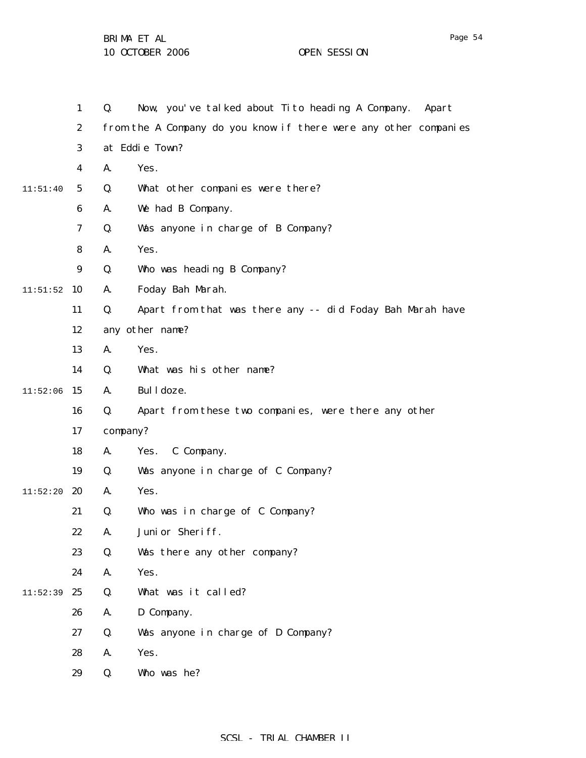1 2 3 4 5 6 7 8 9  $11:51:52$  10 11 12 13 14  $11:52:06$  15 16 17 18 19  $11:52:20$  20 21 22 23 24  $11:52:39$  25 26 27 28 29 11:51:40 Q. Now, you've talked about Tito heading A Company. Apart from the A Company do you know if there were any other companies at Eddie Town? A. Yes. Q. What other companies were there? A. We had B Company. Q. Was anyone in charge of B Company? A. Yes. Q. Who was heading B Company? A. Foday Bah Marah. Q. Apart from that was there any -- did Foday Bah Marah have any other name? A. Yes. Q. What was his other name? A. Bulldoze. Q. Apart from these two companies, were there any other company? A. Yes. C Company. Q. Was anyone in charge of C Company? A. Yes. Q. Who was in charge of C Company? A. Junior Sheriff. Q. Was there any other company? A. Yes. Q. What was it called? A. D Company. Q. Was anyone in charge of D Company? A. Yes. Q. Who was he?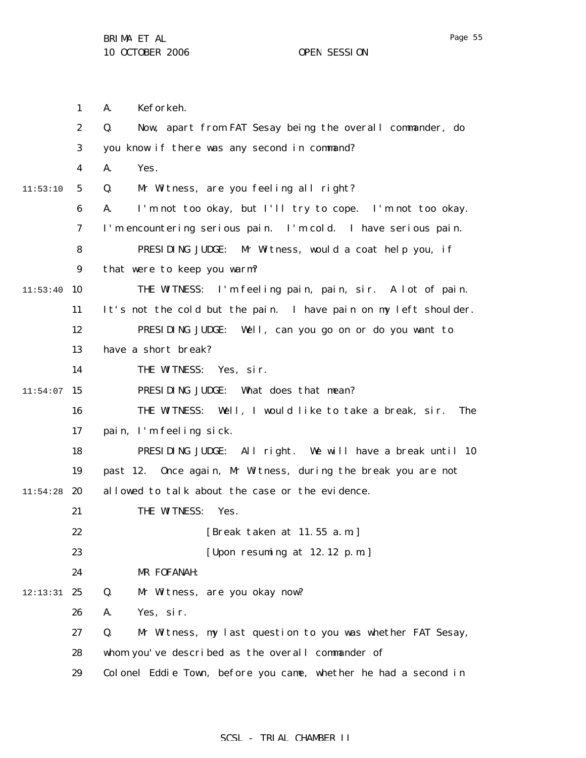1 2 3 4 5 6 7 8 9  $11:53:40$  10 11 12 13 14  $11:54:07$  15 16 17 18 19  $11:54:28$  20 21 22 23 24 12:13:31 25 26 27 28 29 11:53:10 A. Keforkeh. Q. Now, apart from FAT Sesay being the overall commander, do you know if there was any second in command? A. Yes. Q. Mr Witness, are you feeling all right? A. I'm not too okay, but I'll try to cope. I'm not too okay. I'm encountering serious pain. I'm cold. I have serious pain. PRESIDING JUDGE: Mr Witness, would a coat help you, if that were to keep you warm? THE WITNESS: I'm feeling pain, pain, sir. A lot of pain. It's not the cold but the pain. I have pain on my left shoulder. PRESIDING JUDGE: Well, can you go on or do you want to have a short break? THE WITNESS: Yes, sir. PRESIDING JUDGE: What does that mean? THE WITNESS: Well, I would like to take a break, sir. The pain, I'm feeling sick. PRESIDING JUDGE: All right. We will have a break until 10 past 12. Once again, Mr Witness, during the break you are not allowed to talk about the case or the evidence. THE WITNESS: Yes. [Break taken at 11.55 a.m.] [Upon resuming at 12.12 p.m.] MR FOFANAH: Q. Mr Witness, are you okay now? A. Yes, sir. Q. Mr Witness, my last question to you was whether FAT Sesay, whom you've described as the overall commander of Colonel Eddie Town, before you came, whether he had a second in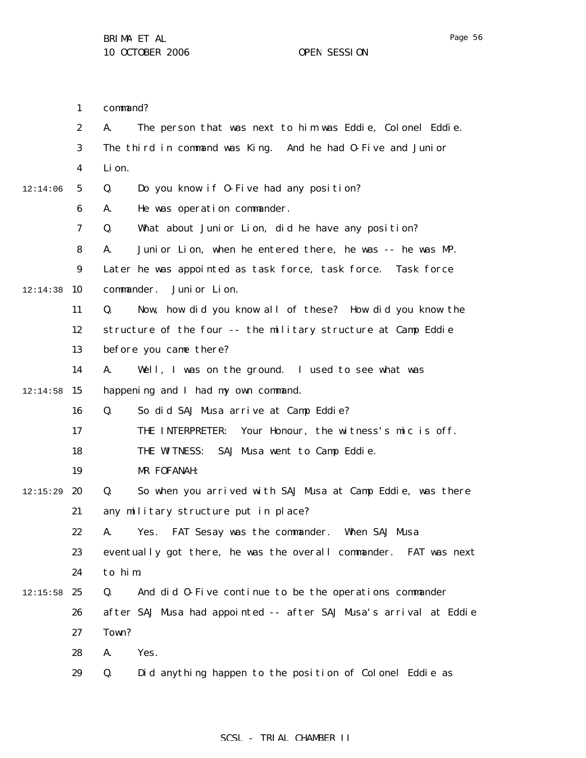Page 56

1 command?

|          | $\boldsymbol{2}$ | A.<br>The person that was next to him was Eddie, Colonel Eddie.   |
|----------|------------------|-------------------------------------------------------------------|
|          | 3                | The third in command was King. And he had 0-Five and Junior       |
|          | 4                | Li on.                                                            |
| 12:14:06 | $5\phantom{.0}$  | Q.<br>Do you know if 0-Five had any position?                     |
|          | 6                | He was operation commander.<br>A.                                 |
|          | 7                | What about Junior Lion, did he have any position?<br>Q.           |
|          | 8                | Junior Lion, when he entered there, he was -- he was MP.<br>A.    |
|          | 9                | Later he was appointed as task force, task force.<br>Task force   |
| 12:14:38 | 10               | Juni or Lion.<br>commander.                                       |
|          | 11               | Q.<br>Now, how did you know all of these? How did you know the    |
|          | 12               | structure of the four -- the military structure at Camp Eddie     |
|          | 13               | before you came there?                                            |
|          | 14               | A.<br>Well, I was on the ground. I used to see what was           |
| 12:14:58 | 15               | happening and I had my own command.                               |
|          | 16               | Q.<br>So did SAJ Musa arrive at Camp Eddie?                       |
|          | 17               | Your Honour, the witness's mic is off.<br>THE INTERPRETER:        |
|          | 18               | SAJ Musa went to Camp Eddie.<br>THE WITNESS:                      |
|          | 19               | MR FOFANAH:                                                       |
| 12:15:29 | 20               | Q.<br>So when you arrived with SAJ Musa at Camp Eddie, was there  |
|          | 21               | any military structure put in place?                              |
|          | 22               | FAT Sesay was the commander. When SAJ Musa<br>A.<br>Yes.          |
|          | 23               | eventually got there, he was the overall commander. FAT was next  |
|          | 24               | to him.                                                           |
| 12:15:58 | 25               | Q.<br>And did 0-Five continue to be the operations commander      |
|          | 26               | after SAJ Musa had appointed -- after SAJ Musa's arrival at Eddie |
|          | 27               | Town?                                                             |
|          | 28               | A.<br>Yes.                                                        |
|          | 29               | Q.<br>Did anything happen to the position of Colonel Eddie as     |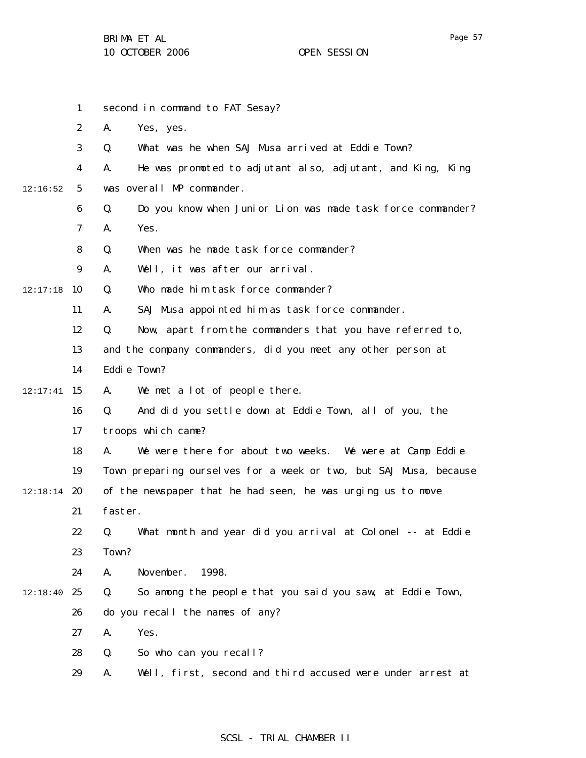|          | $\mathbf{1}$     |         | second in command to FAT Sesay?                                   |
|----------|------------------|---------|-------------------------------------------------------------------|
|          | $\boldsymbol{2}$ | A.      | Yes, yes.                                                         |
|          | 3                | Q.      | What was he when SAJ Musa arrived at Eddie Town?                  |
|          | 4                | A.      | He was promoted to adjutant also, adjutant, and King, King        |
| 12:16:52 | $5\overline{)}$  |         | was overall MP commander.                                         |
|          | 6                | Q.      | Do you know when Junior Lion was made task force commander?       |
|          | 7                | A.      | Yes.                                                              |
|          | 8                | Q.      | When was he made task force commander?                            |
|          | 9                | A.      | Well, it was after our arrival.                                   |
| 12:17:18 | 10               | Q.      | Who made him task force commander?                                |
|          | 11               | A.      | SAJ Musa appointed him as task force commander.                   |
|          | 12               | Q.      | Now, apart from the commanders that you have referred to,         |
|          | 13               |         | and the company commanders, did you meet any other person at      |
|          | 14               |         | Eddie Town?                                                       |
| 12:17:41 | 15               | A.      | We met a lot of people there.                                     |
|          | 16               | Q.      | And did you settle down at Eddie Town, all of you, the            |
|          | 17               |         | troops which came?                                                |
|          | 18               | A.      | We were there for about two weeks. We were at Camp Eddie          |
|          | 19               |         | Town preparing ourselves for a week or two, but SAJ Musa, because |
| 12:18:14 | 20               |         | of the newspaper that he had seen, he was urging us to move       |
|          | 21               | faster. |                                                                   |
|          | 22               | Q.      | What month and year did you arrival at Colonel -- at Eddie        |
|          | 23               | Town?   |                                                                   |
|          | 24               | A.      | November.<br>1998.                                                |
| 12:18:40 | 25               | Q.      | So among the people that you said you saw, at Eddie Town,         |
|          | 26               |         | do you recall the names of any?                                   |
|          | 27               | A.      | Yes.                                                              |
|          | 28               | Q.      | So who can you recall?                                            |
|          | 29               | A.      | Well, first, second and third accused were under arrest at        |
|          |                  |         |                                                                   |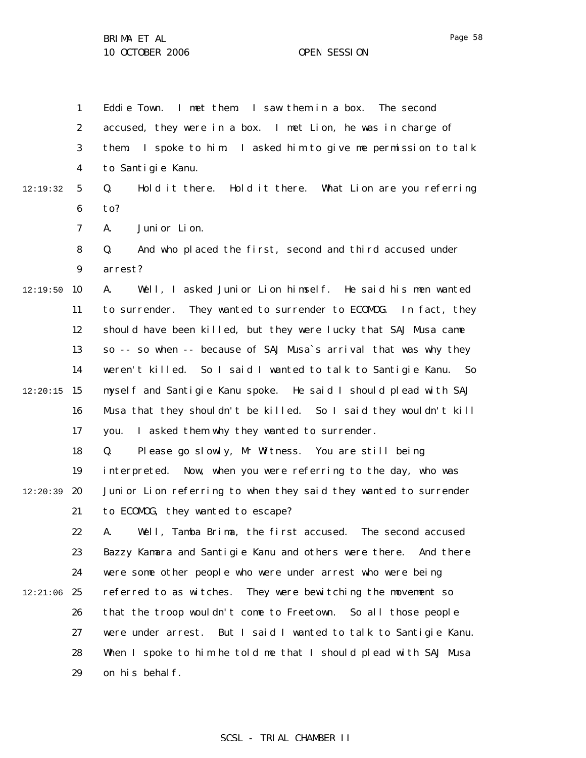1 2 3 4 5 6 7 8 12:19:32 Eddie Town. I met them. I saw them in a box. The second accused, they were in a box. I met Lion, he was in charge of them. I spoke to him. I asked him to give me permission to talk to Santigie Kanu. Q. Hold it there. Hold it there. What Lion are you referring to? A. Junior Lion. Q. And who placed the first, second and third accused under

> 9 arrest?

 $12:19:50$  10 11 12 13 14  $12:20:15$  15 16 17 A. Well, I asked Junior Lion himself. He said his men wanted to surrender. They wanted to surrender to ECOMOG. In fact, they should have been killed, but they were lucky that SAJ Musa came so -- so when -- because of SAJ Musa`s arrival that was why they weren't killed. So I said I wanted to talk to Santigie Kanu. So myself and Santigie Kanu spoke. He said I should plead with SAJ Musa that they shouldn't be killed. So I said they wouldn't kill you. I asked them why they wanted to surrender.

18 19  $12:20:39$  20 21 Q. Please go slowly, Mr Witness. You are still being interpreted. Now, when you were referring to the day, who was Junior Lion referring to when they said they wanted to surrender to ECOMOG, they wanted to escape?

22 23 24  $12:21:06$  25 26 27 28 29 A. Well, Tamba Brima, the first accused. The second accused Bazzy Kamara and Santigie Kanu and others were there. And there were some other people who were under arrest who were being referred to as witches. They were bewitching the movement so that the troop wouldn't come to Freetown. So all those people were under arrest. But I said I wanted to talk to Santigie Kanu. When I spoke to him he told me that I should plead with SAJ Musa on his behalf.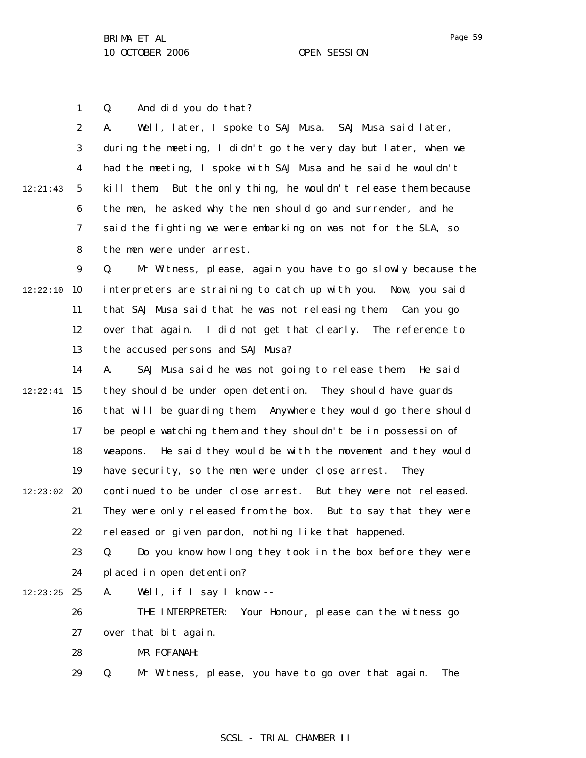1 Q. And did you do that?

|          | $\boldsymbol{2}$ | Well, later, I spoke to SAJ Musa. SAJ Musa said later,<br>A.       |
|----------|------------------|--------------------------------------------------------------------|
|          | 3                | during the meeting, I didn't go the very day but later, when we    |
|          | $\boldsymbol{4}$ | had the meeting, I spoke with SAJ Musa and he said he wouldn't     |
| 12:21:43 | $\mathbf{5}$     | But the only thing, he wouldn't release them because<br>kill them. |
|          | $\boldsymbol{6}$ | the men, he asked why the men should go and surrender, and he      |
|          | 7                | said the fighting we were embarking on was not for the SLA, so     |
|          | 8                | the men were under arrest.                                         |
|          | $\boldsymbol{9}$ | Mr Witness, please, again you have to go slowly because the<br>Q.  |
| 12:22:10 | 10               | interpreters are straining to catch up with you. Now, you said     |
|          | 11               | that SAJ Musa said that he was not releasing them<br>Can you go    |
|          | 12               | over that again. I did not get that clearly. The reference to      |
|          | 13               | the accused persons and SAJ Musa?                                  |
|          | 14               | SAJ Musa said he was not going to release them. He said<br>A.      |
| 12:22:41 | 15               | they should be under open detention. They should have guards       |
|          | 16               | that will be guarding them Anywhere they would go there should     |
|          | 17               | be people watching them and they shouldn't be in possession of     |
|          | 18               | He said they would be with the movement and they would<br>weapons. |
|          | 19               | have security, so the men were under close arrest.<br><b>They</b>  |
| 12:23:02 | 20               | continued to be under close arrest. But they were not released.    |
|          | 21               | They were only released from the box. But to say that they were    |
|          | 22               | released or given pardon, nothing like that happened.              |
|          | 23               | Do you know how long they took in the box before they were<br>Q.   |
|          | 24               | placed in open detention?                                          |
| 12:23:25 | 25               | A.<br>Well, if I say I know --                                     |
|          | 26               | THE INTERPRETER:<br>Your Honour, please can the witness go         |
|          | 27               | over that bit again.                                               |
|          | 28               | MR FOFANAH:                                                        |
|          | 29               | Mr Witness, please, you have to go over that again.<br>Q.<br>The   |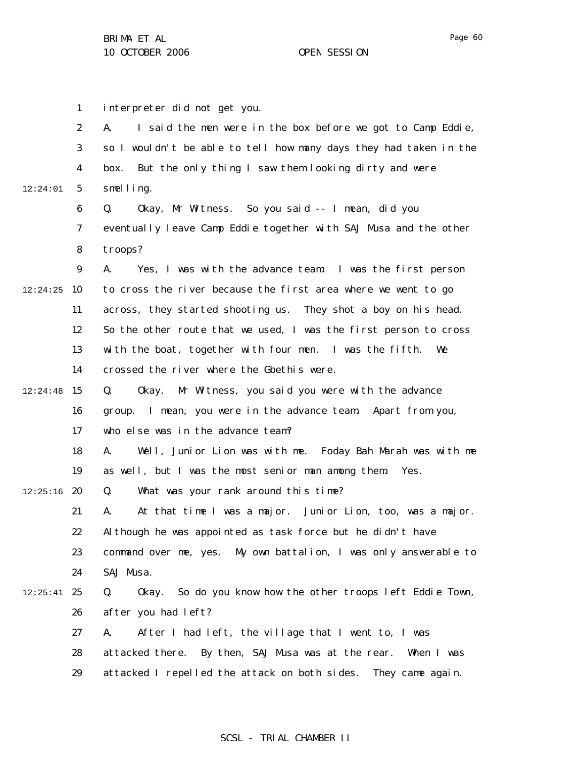1 2 3 4 5 6 7 8 9  $12:24:25$  10 11 12 13 14  $12:24:48$  15 16 17 18 19  $12:25:16$  20 21 22 23 24  $12:25:41$  25 26 27 28 29 12:24:01 interpreter did not get you. A. I said the men were in the box before we got to Camp Eddie, so I wouldn't be able to tell how many days they had taken in the box. But the only thing I saw them looking dirty and were smelling. Q. Okay, Mr Witness. So you said -- I mean, did you eventually leave Camp Eddie together with SAJ Musa and the other troops? A. Yes, I was with the advance team. I was the first person to cross the river because the first area where we went to go across, they started shooting us. They shot a boy on his head. So the other route that we used, I was the first person to cross with the boat, together with four men. I was the fifth. We crossed the river where the Gbethis were. Q. Okay. Mr Witness, you said you were with the advance group. I mean, you were in the advance team. Apart from you, who else was in the advance team? A. Well, Junior Lion was with me. Foday Bah Marah was with me as well, but I was the most senior man among them. Yes. Q. What was your rank around this time? A. At that time I was a major. Junior Lion, too, was a major. Although he was appointed as task force but he didn't have command over me, yes. My own battalion, I was only answerable to SAJ Musa. Q. Okay. So do you know how the other troops left Eddie Town, after you had left? A. After I had left, the village that I went to, I was attacked there. By then, SAJ Musa was at the rear. When I was attacked I repelled the attack on both sides. They came again.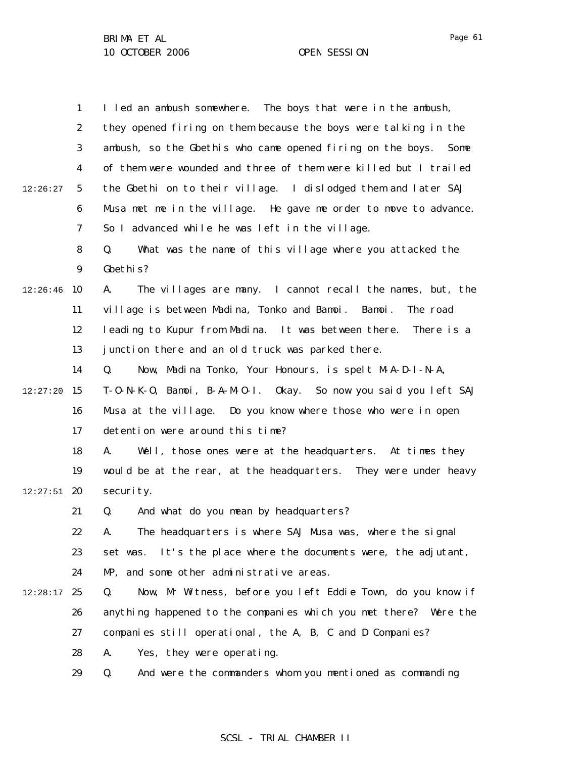1 2 3 4 5 6 7 8 9  $12:26:46$  10 11 12 13 14  $12:27:20$  15 16 17 18 19  $12:27:51$  20 21 22 23 24  $12:28:17$  25 26 27 28 29 12:26:27 I led an ambush somewhere. The boys that were in the ambush, they opened firing on them because the boys were talking in the ambush, so the Gbethis who came opened firing on the boys. Some of them were wounded and three of them were killed but I trailed the Gbethi on to their village. I dislodged them and later SAJ Musa met me in the village. He gave me order to move to advance. So I advanced while he was left in the village. Q. What was the name of this village where you attacked the Gbethis? A. The villages are many. I cannot recall the names, but, the village is between Madina, Tonko and Bamoi. Bamoi. The road leading to Kupur from Madina. It was between there. There is a junction there and an old truck was parked there. Q. Now, Madina Tonko, Your Honours, is spelt M-A-D-I-N-A, T-O-N-K-O, Bamoi, B-A-M-O-I. Okay. So now you said you left SAJ Musa at the village. Do you know where those who were in open detention were around this time? A. Well, those ones were at the headquarters. At times they would be at the rear, at the headquarters. They were under heavy security. Q. And what do you mean by headquarters? A. The headquarters is where SAJ Musa was, where the signal set was. It's the place where the documents were, the adjutant, MP, and some other administrative areas. Q. Now, Mr Witness, before you left Eddie Town, do you know if anything happened to the companies which you met there? Were the companies still operational, the A, B, C and D Companies? A. Yes, they were operating. Q. And were the commanders whom you mentioned as commanding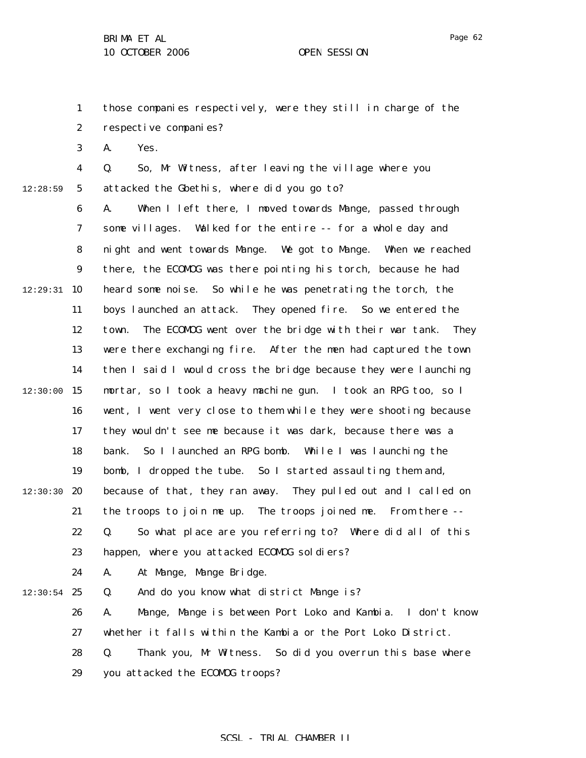1 2 those companies respectively, were they still in charge of the respective companies?

3 A. Yes.

12:28:59

4 5 Q. So, Mr Witness, after leaving the village where you attacked the Gbethis, where did you go to?

6 7 8 9  $12:29:31$  10 11 12 13 14  $12:30:00$  15 16 17 18 19  $12:30:30$  20 21 22 23 24  $12:30:54$  25 26 A. When I left there, I moved towards Mange, passed through some villages. Walked for the entire -- for a whole day and night and went towards Mange. We got to Mange. When we reached there, the ECOMOG was there pointing his torch, because he had heard some noise. So while he was penetrating the torch, the boys launched an attack. They opened fire. So we entered the town. The ECOMOG went over the bridge with their war tank. They were there exchanging fire. After the men had captured the town then I said I would cross the bridge because they were launching mortar, so I took a heavy machine gun. I took an RPG too, so I went, I went very close to them while they were shooting because they wouldn't see me because it was dark, because there was a bank. So I launched an RPG bomb. While I was launching the bomb, I dropped the tube. So I started assaulting them and, because of that, they ran away. They pulled out and I called on the troops to join me up. The troops joined me. From there -- Q. So what place are you referring to? Where did all of this happen, where you attacked ECOMDG soldiers? A. At Mange, Mange Bridge. Q. And do you know what district Mange is? A. Mange, Mange is between Port Loko and Kambia. I don't know

27 whether it falls within the Kambia or the Port Loko District.

28 29 Q. Thank you, Mr Witness. So did you overrun this base where you attacked the ECOMOG troops?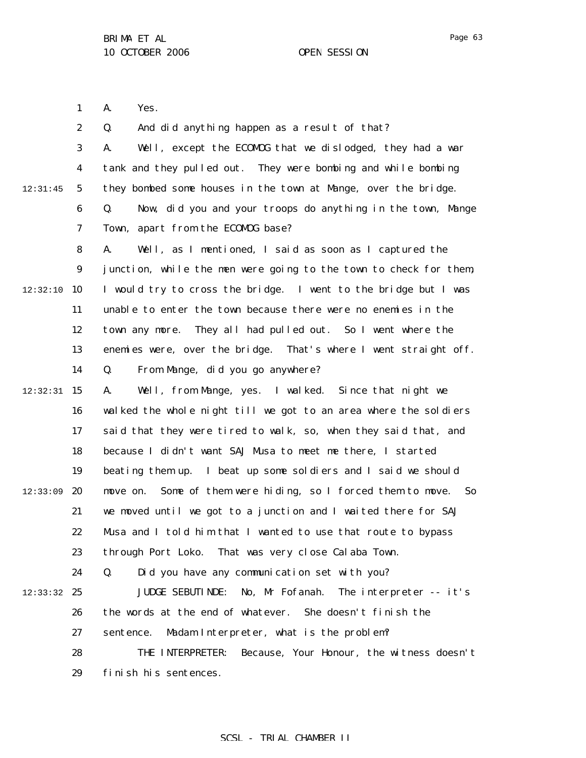1 A. Yes.

2 3 4 5 6 7 8 9  $12:32:10$  10 11 12 13 14  $12:32:31$  15 16 17 18 19  $12:33:09$  20 21 22 23 24 12:33:32 25 26 27 28 12:31:45 Q. And did anything happen as a result of that? A. Well, except the ECOMOG that we dislodged, they had a war tank and they pulled out. They were bombing and while bombing they bombed some houses in the town at Mange, over the bridge. Q. Now, did you and your troops do anything in the town, Mange Town, apart from the ECOMOG base? A. Well, as I mentioned, I said as soon as I captured the junction, while the men were going to the town to check for them, I would try to cross the bridge. I went to the bridge but I was unable to enter the town because there were no enemies in the town any more. They all had pulled out. So I went where the enemies were, over the bridge. That's where I went straight off. Q. From Mange, did you go anywhere? A. Well, from Mange, yes. I walked. Since that night we walked the whole night till we got to an area where the soldiers said that they were tired to walk, so, when they said that, and because I didn't want SAJ Musa to meet me there, I started beating them up. I beat up some soldiers and I said we should move on. Some of them were hiding, so I forced them to move. So we moved until we got to a junction and I waited there for SAJ Musa and I told him that I wanted to use that route to bypass through Port Loko. That was very close Calaba Town. Q. Did you have any communication set with you? JUDGE SEBUTINDE: No, Mr Fofanah. The interpreter -- it's the words at the end of whatever. She doesn't finish the sentence. Madam Interpreter, what is the problem? THE INTERPRETER: Because, Your Honour, the witness doesn't

> 29 finish his sentences.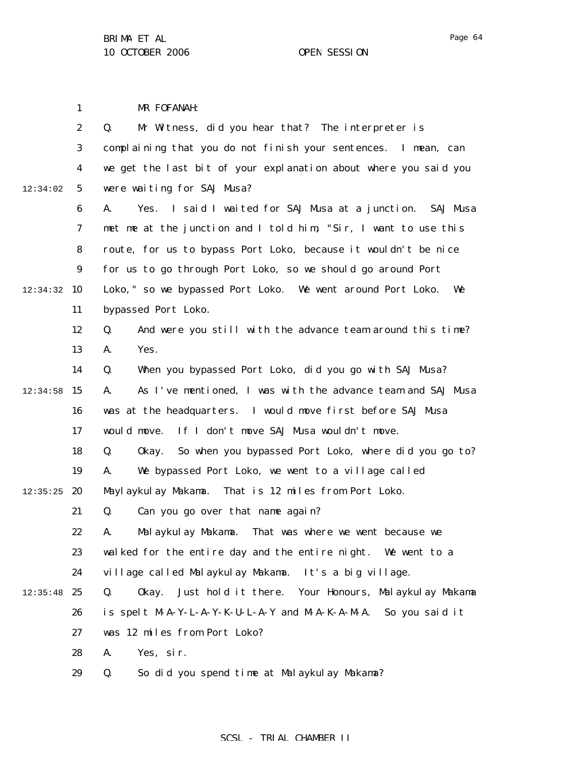1 MR FOFANAH:

|          | $\boldsymbol{2}$ | Mr Witness, did you hear that? The interpreter is<br>Q.             |
|----------|------------------|---------------------------------------------------------------------|
|          | $\bf{3}$         | complaining that you do not finish your sentences. I mean, can      |
|          | $\boldsymbol{4}$ | we get the last bit of your explanation about where you said you    |
| 12:34:02 | $\sqrt{5}$       | were waiting for SAJ Musa?                                          |
|          | 6                | Yes. I said I waited for SAJ Musa at a junction.<br>A.<br>SAJ Musa  |
|          | $\boldsymbol{7}$ | met me at the junction and I told him, "Sir, I want to use this     |
|          | 8                | route, for us to bypass Port Loko, because it wouldn't be nice      |
|          | $\boldsymbol{9}$ | for us to go through Port Loko, so we should go around Port         |
| 12:34:32 | 10               | Loko, " so we bypassed Port Loko. We went around Port Loko.<br>We   |
|          | 11               | bypassed Port Loko.                                                 |
|          | 12               | Q.<br>And were you still with the advance team around this time?    |
|          | 13               | Yes.<br>A.                                                          |
|          | 14               | When you bypassed Port Loko, did you go with SAJ Musa?<br>Q.        |
| 12:34:58 | 15               | As I've mentioned, I was with the advance team and SAJ Musa<br>A.   |
|          | 16               | was at the headquarters. I would move first before SAJ Musa         |
|          | 17               | If I don't move SAJ Musa wouldn't move.<br>would move.              |
|          | 18               | So when you bypassed Port Loko, where did you go to?<br>Q.<br>0kay. |
|          | 19               | We bypassed Port Loko, we went to a village called<br>A.            |
| 12:35:25 | 20               | Maylaykulay Makama. That is 12 miles from Port Loko.                |
|          | 21               | Can you go over that name again?<br>Q.                              |
|          | 22               | Malaykulay Makama.<br>That was where we went because we<br>A.       |
|          | 23               | walked for the entire day and the entire night. We went to a        |
|          | 24               | village called Malaykulay Makama. It's a big village.               |
| 12:35:48 | 25               | Just hold it there. Your Honours, Malaykulay Makama<br>Q.<br>0kay.  |
|          | 26               | is spelt M-A-Y-L-A-Y-K-U-L-A-Y and M-A-K-A-M-A. So you said it      |
|          | 27               | was 12 miles from Port Loko?                                        |
|          | 28               | Yes, sir.<br>A.                                                     |
|          | 29               | So did you spend time at Malaykulay Makama?<br>Q.                   |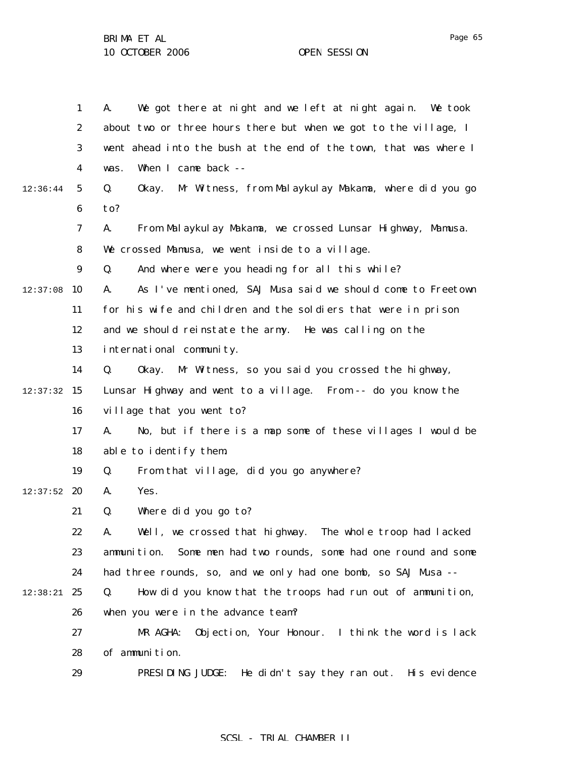|          | $\mathbf{1}$     | We got there at night and we left at night again. We took<br>A.     |
|----------|------------------|---------------------------------------------------------------------|
|          | $\boldsymbol{2}$ | about two or three hours there but when we got to the village, I    |
|          | 3                | went ahead into the bush at the end of the town, that was where I   |
|          | $\boldsymbol{4}$ | When I came back --<br>was.                                         |
| 12:36:44 | 5                | Q.<br>Mr Witness, from Malaykulay Makama, where did you go<br>0kay. |
|          | $\boldsymbol{6}$ | to?                                                                 |
|          | $\boldsymbol{7}$ | From Malaykulay Makama, we crossed Lunsar Highway, Mamusa.<br>A.    |
|          | 8                | We crossed Mamusa, we went inside to a village.                     |
|          | $\boldsymbol{9}$ | And where were you heading for all this while?<br>Q.                |
| 12:37:08 | 10               | As I've mentioned, SAJ Musa said we should come to Freetown<br>A.   |
|          | 11               | for his wife and children and the soldiers that were in prison      |
|          | 12               | and we should reinstate the army. He was calling on the             |
|          | 13               | international community.                                            |
|          | 14               | Mr Witness, so you said you crossed the highway,<br>Q.<br>0kay.     |
| 12:37:32 | 15               | Lunsar Highway and went to a village. From -- do you know the       |
|          | 16               | village that you went to?                                           |
|          | 17               | No, but if there is a map some of these villages I would be<br>A.   |
|          | 18               | able to identify them.                                              |
|          | 19               | From that village, did you go anywhere?<br>Q.                       |
| 12:37:52 | 20               | A.<br>Yes.                                                          |
|          | 21               | Where did you go to?<br>Q.                                          |
|          | 22               | Well, we crossed that highway. The whole troop had lacked<br>А.     |
|          | 23               | Some men had two rounds, some had one round and some<br>ammunition. |
|          | 24               | had three rounds, so, and we only had one bomb, so SAJ Musa --      |
| 12:38:21 | 25               | How did you know that the troops had run out of ammunition,<br>Q.   |
|          | 26               | when you were in the advance team?                                  |
|          | 27               | Objection, Your Honour. I think the word is lack<br>MR AGHA:        |
|          | 28               | of ammunition.                                                      |
|          | 29               | PRESIDING JUDGE:<br>He didn't say they ran out.<br>His evidence     |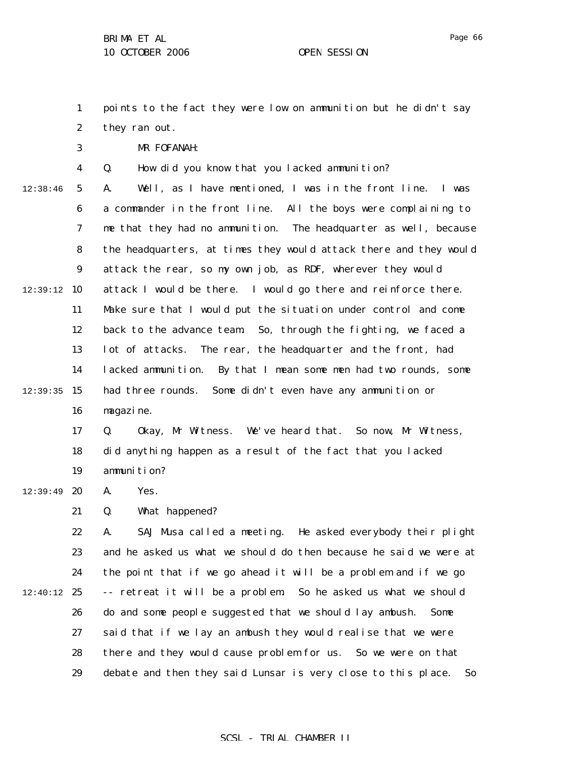1 2 points to the fact they were low on ammunition but he didn't say they ran out.

MR FOFANAH:

3

4 Q. How did you know that you lacked ammunition?

5 6 7 8 9 12:39:12 10 11 12 13 14  $12:39:35$  15 16 12:38:46 A. Well, as I have mentioned, I was in the front line. I was a commander in the front line. All the boys were complaining to me that they had no ammunition. The headquarter as well, because the headquarters, at times they would attack there and they would attack the rear, so my own job, as RDF, wherever they would attack I would be there. I would go there and reinforce there. Make sure that I would put the situation under control and come back to the advance team. So, through the fighting, we faced a lot of attacks. The rear, the headquarter and the front, had lacked ammunition. By that I mean some men had two rounds, some had three rounds. Some didn't even have any ammunition or magazine.

> 17 18 19 Q. Okay, Mr Witness. We've heard that. So now, Mr Witness, did anything happen as a result of the fact that you lacked ammunition?

12:39:49 **20** A. Yes.

> 21 Q. What happened?

22 23 24  $12:40:12$  25 26 27 28 29 A. SAJ Musa called a meeting. He asked everybody their plight and he asked us what we should do then because he said we were at the point that if we go ahead it will be a problem and if we go -- retreat it will be a problem. So he asked us what we should do and some people suggested that we should lay ambush. Some said that if we lay an ambush they would realise that we were there and they would cause problem for us. So we were on that debate and then they said Lunsar is very close to this place. So

# Page 66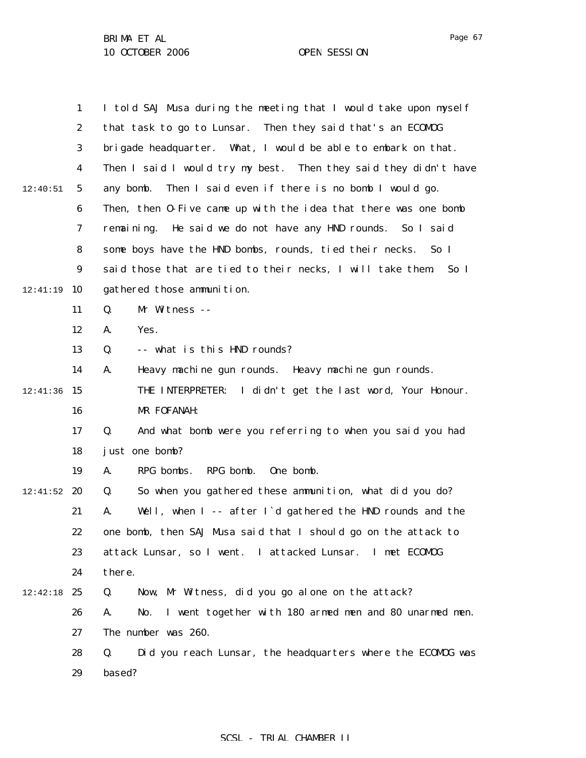|          | $\mathbf{1}$     | I told SAJ Musa during the meeting that I would take upon myself    |
|----------|------------------|---------------------------------------------------------------------|
|          | $\boldsymbol{2}$ | that task to go to Lunsar. Then they said that's an ECOMDG          |
|          | 3                | brigade headquarter. What, I would be able to embark on that.       |
|          | 4                | Then I said I would try my best. Then they said they didn't have    |
| 12:40:51 | $\sqrt{5}$       | Then I said even if there is no bomb I would go.<br>any bomb.       |
|          | $\boldsymbol{6}$ | Then, then 0-Five came up with the idea that there was one bomb     |
|          | 7                | remaining. He said we do not have any HND rounds. So I said         |
|          | 8                | some boys have the HND bombs, rounds, tied their necks. So I        |
|          | $\boldsymbol{9}$ | said those that are tied to their necks, I will take them<br>So I   |
| 12:41:19 | 10               | gathered those ammunition.                                          |
|          | 11               | Q.<br>Mr Witness --                                                 |
|          | 12               | Yes.<br>A.                                                          |
|          | 13               | -- what is this HND rounds?<br>Q.                                   |
|          | 14               | Heavy machine gun rounds. Heavy machine gun rounds.<br>A.           |
| 12:41:36 | 15               | THE INTERPRETER: I didn't get the last word, Your Honour.           |
|          | 16               | MR FOFANAH:                                                         |
|          | 17               | And what bomb were you referring to when you said you had<br>Q.     |
|          | 18               | just one bomb?                                                      |
|          | 19               | RPG bomb.<br>One bomb.<br>RPG bombs.<br>A.                          |
| 12:41:52 | 20               | So when you gathered these ammunition, what did you do?<br>Q.       |
|          | 21               | Well, when I -- after I'd gathered the HND rounds and the<br>A.     |
|          | 22               | one bomb, then SAJ Musa said that I should go on the attack to      |
|          | 23               | attack Lunsar, so I went. I attacked Lunsar.<br>I met ECOMOG        |
|          | 24               | there.                                                              |
| 12:42:18 | 25               | Now, Mr Witness, did you go alone on the attack?<br>Q.              |
|          | 26               | I went together with 180 armed men and 80 unarmed men.<br>A.<br>No. |
|          | 27               | The number was 260.                                                 |
|          | 28               | Q.<br>Did you reach Lunsar, the headquarters where the ECOMDG was   |
|          | 29               | based?                                                              |
|          |                  |                                                                     |

SCSL - TRIAL CHAMBER II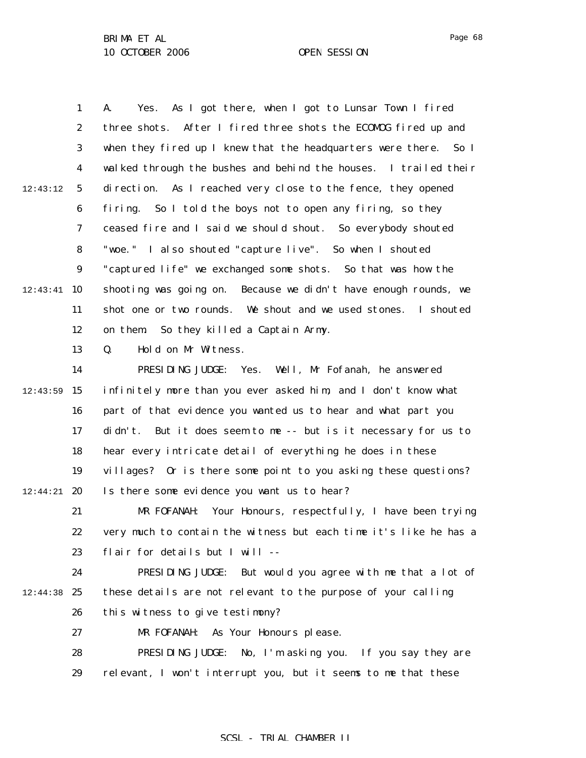1 2 3 4 5 6 7 8 9  $12:43:41$  10 11 12 13 14  $12:43:59$  15 16 17 18 19  $12:44:21$  20 21 22 23 24 12:44:38 25 12:43:12 A. Yes. As I got there, when I got to Lunsar Town I fired three shots. After I fired three shots the ECOMOG fired up and when they fired up I knew that the headquarters were there. So I walked through the bushes and behind the houses. I trailed their direction. As I reached very close to the fence, they opened firing. So I told the boys not to open any firing, so they ceased fire and I said we should shout. So everybody shouted "woe." I also shouted "capture live". So when I shouted "captured life" we exchanged some shots. So that was how the shooting was going on. Because we didn't have enough rounds, we shot one or two rounds. We shout and we used stones. I shouted on them. So they killed a Captain Army. Q. Hold on Mr Witness. PRESIDING JUDGE: Yes. Well, Mr Fofanah, he answered infinitely more than you ever asked him, and I don't know what part of that evidence you wanted us to hear and what part you didn't. But it does seem to me -- but is it necessary for us to hear every intricate detail of everything he does in these villages? Or is there some point to you asking these questions? Is there some evidence you want us to hear? MR FOFANAH: Your Honours, respectfully, I have been trying very much to contain the witness but each time it's like he has a flair for details but I will -- PRESIDING JUDGE: But would you agree with me that a lot of these details are not relevant to the purpose of your calling

> 26 this witness to give testimony?

27 MR FOFANAH: As Your Honours please.

28 29 PRESIDING JUDGE: No, I'm asking you. If you say they are relevant, I won't interrupt you, but it seems to me that these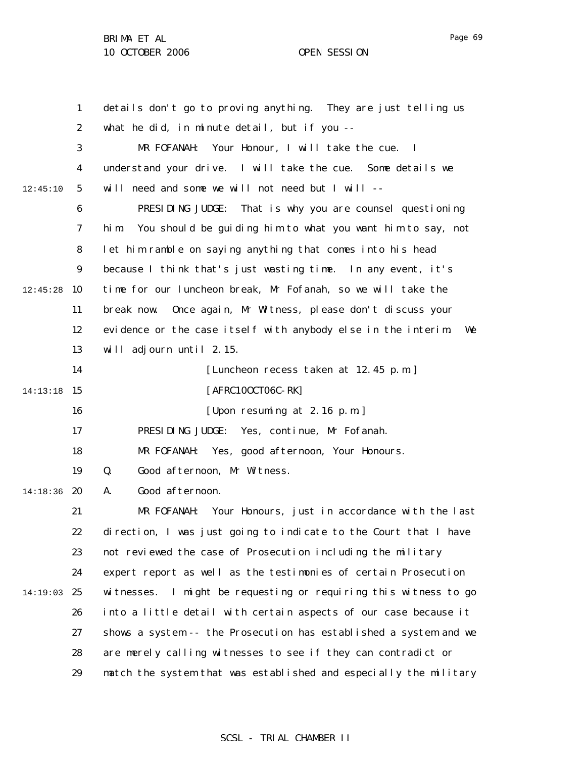|          | $\mathbf{1}$     | details don't go to proving anything. They are just telling us      |
|----------|------------------|---------------------------------------------------------------------|
|          | $\boldsymbol{2}$ | what he did, in minute detail, but if you --                        |
|          | 3                | Your Honour, I will take the cue.<br>MR FOFANAH:<br>$\mathbf{I}$    |
|          | 4                | understand your drive. I will take the cue. Some details we         |
| 12:45:10 | 5                | will need and some we will not need but I will --                   |
|          | 6                | PRESIDING JUDGE:<br>That is why you are counsel questioning         |
|          | 7                | You should be guiding him to what you want him to say, not<br>hi m. |
|          | 8                | let him ramble on saying anything that comes into his head          |
|          | $\boldsymbol{9}$ | because I think that's just wasting time. In any event, it's        |
| 12:45:28 | 10               | time for our luncheon break, Mr Fofanah, so we will take the        |
|          | 11               | Once again, Mr Witness, please don't discuss your<br>break now.     |
|          | 12               | evidence or the case itself with anybody else in the interim<br>We  |
|          | 13               | will adjourn until 2.15.                                            |
|          | 14               | [Luncheon recess taken at 12.45 p.m.]                               |
| 14:13:18 | 15               | [AFRC100CT06C-RK]                                                   |
|          | 16               | [Upon resuming at 2.16 p.m.]                                        |
|          | 17               | PRESIDING JUDGE:<br>Yes, continue, Mr Fofanah.                      |
|          | 18               | Yes, good afternoon, Your Honours.<br>MR FOFANAH:                   |
|          | 19               | Good afternoon, Mr Witness.<br>Q.                                   |
| 14:18:36 | 20               | Good afternoon.<br>A.                                               |
|          | 21               | MR FOFANAH:<br>Your Honours, just in accordance with the last       |
|          | 22               | direction, I was just going to indicate to the Court that I have    |
|          | 23               | not reviewed the case of Prosecution including the military         |
|          | 24               | expert report as well as the testimonies of certain Prosecution     |
| 14:19:03 | 25               | I might be requesting or requiring this witness to go<br>witnesses. |
|          | 26               | into a little detail with certain aspects of our case because it    |
|          | 27               | shows a system -- the Prosecution has established a system and we   |
|          | 28               | are merely calling witnesses to see if they can contradict or       |
|          | 29               | match the system that was established and especially the military   |

## SCSL - TRIAL CHAMBER II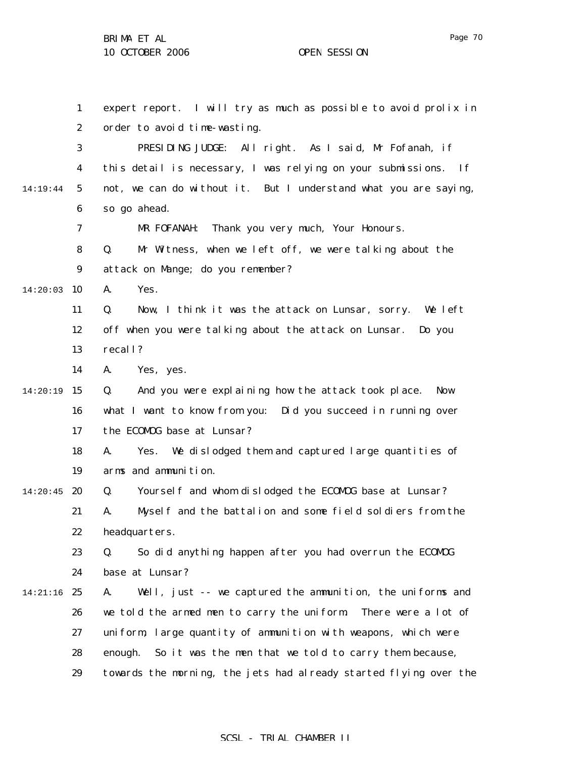1 2 3 4 5 6 7 8 9  $14:20:03$  10 11 12 13 14 14:20:19 15 16 17 18 19  $14:20:45$  20 21 22 23 24 14:21:16 25 26 27 28 29 14:19:44 expert report. I will try as much as possible to avoid prolix in order to avoid time-wasting. PRESIDING JUDGE: All right. As I said, Mr Fofanah, if this detail is necessary, I was relying on your submissions. If not, we can do without it. But I understand what you are saying, so go ahead. MR FOFANAH: Thank you very much, Your Honours. Q. Mr Witness, when we left off, we were talking about the attack on Mange; do you remember? A. Yes. Q. Now, I think it was the attack on Lunsar, sorry. We left off when you were talking about the attack on Lunsar. Do you recall? A. Yes, yes. Q. And you were explaining how the attack took place. Now what I want to know from you: Did you succeed in running over the ECOMOG base at Lunsar? A. Yes. We dislodged them and captured large quantities of arms and ammunition. Q. Yourself and whom dislodged the ECOMOG base at Lunsar? A. Myself and the battalion and some field soldiers from the headquarters. Q. So did anything happen after you had overrun the ECOMOG base at Lunsar? A. Well, just -- we captured the ammunition, the uniforms and we told the armed men to carry the uniform. There were a lot of uniform, large quantity of ammunition with weapons, which were enough. So it was the men that we told to carry them because, towards the morning, the jets had already started flying over the

### SCSL - TRIAL CHAMBER II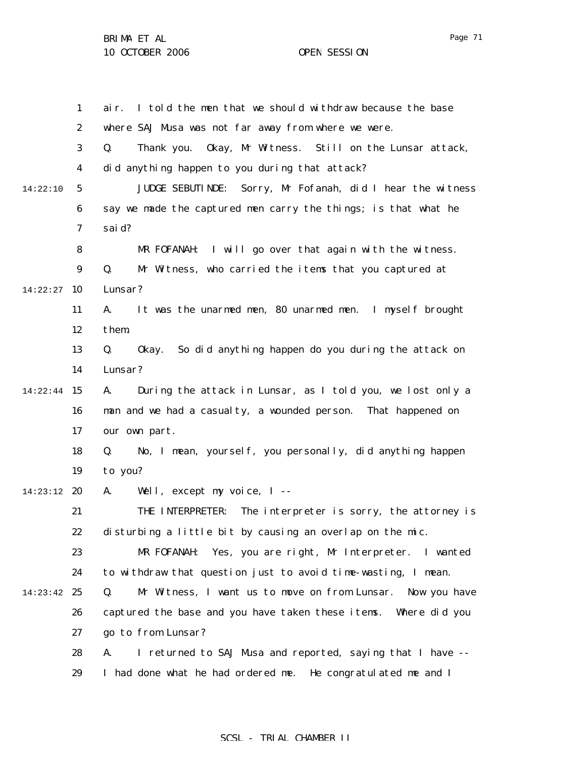1 2 3 4 5 6 7 8 9 14:22:27 10 11 12 13 14 14:22:44 15 16 17 18 19 14:23:12 20 21 22 23 24 14:23:42 25 26 27 28 29 14:22:10 air. I told the men that we should withdraw because the base where SAJ Musa was not far away from where we were. Q. Thank you. Okay, Mr Witness. Still on the Lunsar attack, did anything happen to you during that attack? JUDGE SEBUTINDE: Sorry, Mr Fofanah, did I hear the witness say we made the captured men carry the things; is that what he said? MR FOFANAH: I will go over that again with the witness. Q. Mr Witness, who carried the items that you captured at Lunsar? A. It was the unarmed men, 80 unarmed men. I myself brought them. Q. Okay. So did anything happen do you during the attack on Lunsar? A. During the attack in Lunsar, as I told you, we lost only a man and we had a casualty, a wounded person. That happened on our own part. Q. No, I mean, yourself, you personally, did anything happen to you? A. Well, except my voice, I -- THE INTERPRETER: The interpreter is sorry, the attorney is disturbing a little bit by causing an overlap on the mic. MR FOFANAH: Yes, you are right, Mr Interpreter. I wanted to withdraw that question just to avoid time-wasting, I mean. Q. Mr Witness, I want us to move on from Lunsar. Now you have captured the base and you have taken these items. Where did you go to from Lunsar? A. I returned to SAJ Musa and reported, saying that I have -- I had done what he had ordered me. He congratulated me and I

### SCSL - TRIAL CHAMBER II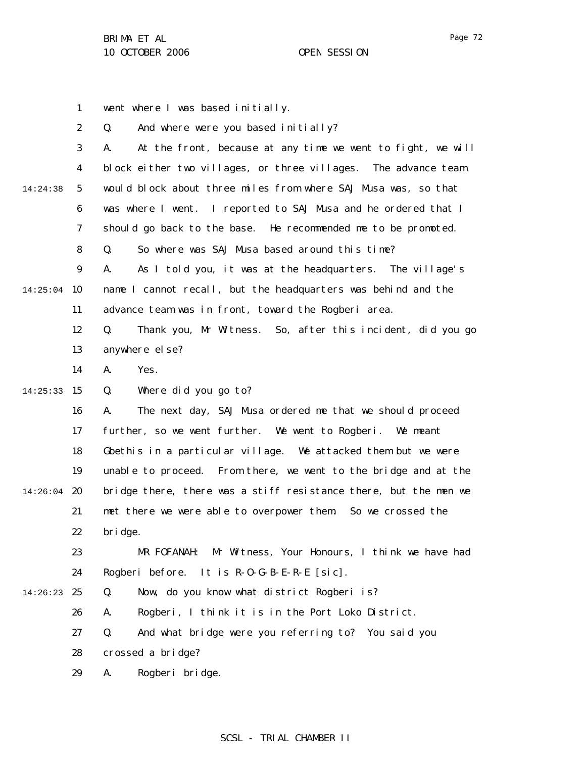1 2 3 4 5 6 7 8 9 14:25:04 10 11 12 13 14 14:25:33 15 16 17 18 19  $14:26:04$  20 21 22 23 24 14:26:23 25 26 27 28 29 14:24:38 went where I was based initially. Q. And where were you based initially? A. At the front, because at any time we went to fight, we will block either two villages, or three villages. The advance team would block about three miles from where SAJ Musa was, so that was where I went. I reported to SAJ Musa and he ordered that I should go back to the base. He recommended me to be promoted. Q. So where was SAJ Musa based around this time? A. As I told you, it was at the headquarters. The village's name I cannot recall, but the headquarters was behind and the advance team was in front, toward the Rogberi area. Q. Thank you, Mr Witness. So, after this incident, did you go anywhere else? A. Yes. Q. Where did you go to? A. The next day, SAJ Musa ordered me that we should proceed further, so we went further. We went to Rogberi. We meant Gbethis in a particular village. We attacked them but we were unable to proceed. From there, we went to the bridge and at the bridge there, there was a stiff resistance there, but the men we met there we were able to overpower them. So we crossed the bridge. MR FOFANAH: Mr Witness, Your Honours, I think we have had Rogberi before. It is R-O-G-B-E-R-E [sic]. Q. Now, do you know what district Rogberi is? A. Rogberi, I think it is in the Port Loko District. Q. And what bridge were you referring to? You said you crossed a bridge? A. Rogberi bridge.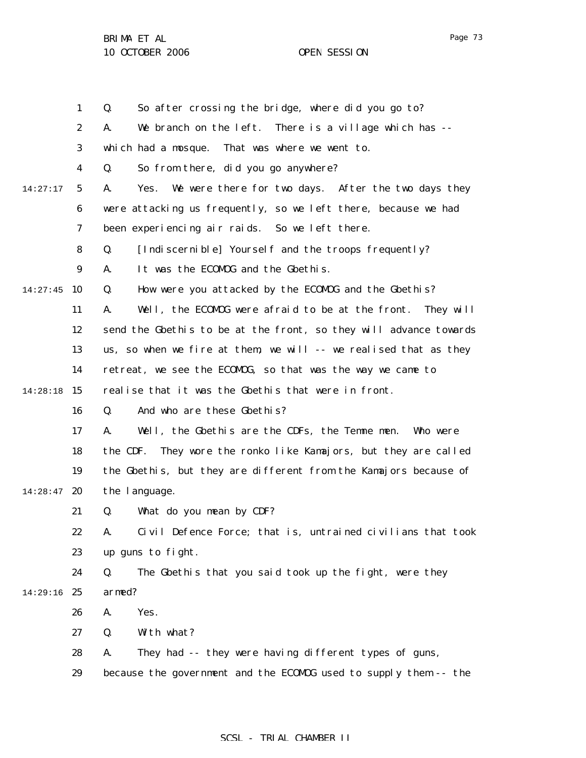|          | $\mathbf{1}$     | So after crossing the bridge, where did you go to?<br>Q.            |
|----------|------------------|---------------------------------------------------------------------|
|          | $\boldsymbol{2}$ | We branch on the left. There is a village which has --<br>A.        |
|          | 3                | That was where we went to.<br>which had a mosque.                   |
|          | 4                | So from there, did you go anywhere?<br>Q.                           |
| 14:27:17 | $\mathbf{5}$     | Yes. We were there for two days. After the two days they<br>A.      |
|          | 6                | were attacking us frequently, so we left there, because we had      |
|          | 7                | been experiencing air raids. So we left there.                      |
|          | 8                | [Indiscernible] Yourself and the troops frequently?<br>Q.           |
|          | $\boldsymbol{9}$ | It was the ECOMOG and the Gbethis.<br>A.                            |
| 14:27:45 | 10               | How were you attacked by the ECOMDG and the Gbethis?<br>Q.          |
|          | 11               | Well, the ECOMOG were afraid to be at the front.<br>They will<br>A. |
|          | 12               | send the Gbethis to be at the front, so they will advance towards   |
|          | 13               | us, so when we fire at them, we will -- we realised that as they    |
|          | 14               | retreat, we see the ECOMOG, so that was the way we came to          |
| 14:28:18 | 15               | realise that it was the Gbethis that were in front.                 |
|          | 16               | And who are these Gbethis?<br>Q.                                    |
|          | 17               | Well, the Gbethis are the CDFs, the Temme men.<br>A.<br>Who were    |
|          | 18               | the CDF.<br>They wore the ronko like Kamajors, but they are called  |
|          | 19               | the Gbethis, but they are different from the Kamajors because of    |
| 14:28:47 | 20               | the language.                                                       |
|          | 21               | What do you mean by CDF?<br>Q.                                      |
|          | 22               | Civil Defence Force; that is, untrained civilians that took<br>A.   |
|          | 23               | up guns to fight.                                                   |
|          | 24               | Q.<br>The Gbethis that you said took up the fight, were they        |
| 14:29:16 | 25               | armed?                                                              |
|          | 26               | A.<br>Yes.                                                          |
|          | 27               | With what?<br>Q.                                                    |
|          | 28               | They had -- they were having different types of guns,<br>A.         |
|          | 29               | because the government and the ECOMOG used to supply them -- the    |

# SCSL - TRIAL CHAMBER II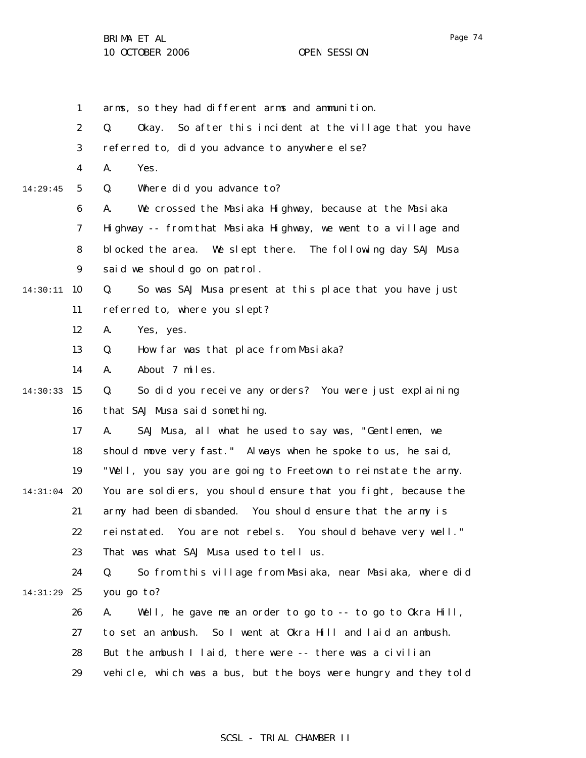1 2 3 4 5 6 7 8 9 14:30:11 10 11 12 13 14 14:30:33 15 16 17 18 19 14:31:04 **20** 21 22 23 24 14:31:29 25 26 27 28 29 14:29:45 arms, so they had different arms and ammunition. Q. Okay. So after this incident at the village that you have referred to, did you advance to anywhere else? A. Yes. Q. Where did you advance to? A. We crossed the Masiaka Highway, because at the Masiaka Highway -- from that Masiaka Highway, we went to a village and blocked the area. We slept there. The following day SAJ Musa said we should go on patrol. Q. So was SAJ Musa present at this place that you have just referred to, where you slept? A. Yes, yes. Q. How far was that place from Masiaka? A. About 7 miles. Q. So did you receive any orders? You were just explaining that SAJ Musa said something. A. SAJ Musa, all what he used to say was, "Gentlemen, we should move very fast." Always when he spoke to us, he said, "Well, you say you are going to Freetown to reinstate the army. You are soldiers, you should ensure that you fight, because the army had been disbanded. You should ensure that the army is reinstated. You are not rebels. You should behave very well." That was what SAJ Musa used to tell us. Q. So from this village from Masiaka, near Masiaka, where did you go to? A. Well, he gave me an order to go to -- to go to Okra Hill, to set an ambush. So I went at Okra Hill and laid an ambush. But the ambush I laid, there were -- there was a civilian vehicle, which was a bus, but the boys were hungry and they told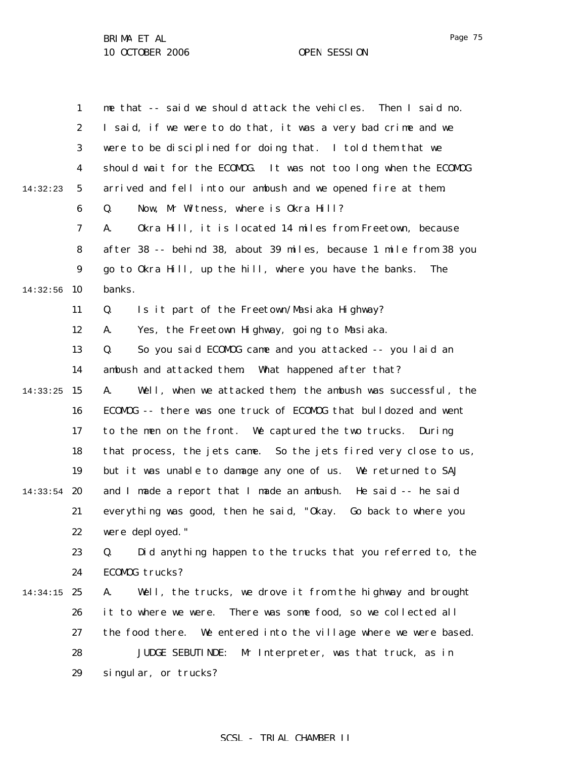|          | $\mathbf{1}$     | me that -- said we should attack the vehicles. Then I said no.    |
|----------|------------------|-------------------------------------------------------------------|
|          | $\boldsymbol{2}$ | I said, if we were to do that, it was a very bad crime and we     |
|          | 3                | were to be disciplined for doing that. I told them that we        |
|          | 4                | should wait for the ECOMOG. It was not too long when the ECOMOG   |
| 14:32:23 | $\sqrt{5}$       | arrived and fell into our ambush and we opened fire at them.      |
|          | $\boldsymbol{6}$ | Now, Mr Witness, where is Okra Hill?<br>Q.                        |
|          | 7                | Okra Hill, it is located 14 miles from Freetown, because<br>A.    |
|          | 8                | after 38 -- behind 38, about 39 miles, because 1 mile from 38 you |
|          | 9                | go to Okra Hill, up the hill, where you have the banks.<br>The    |
| 14:32:56 | 10               | banks.                                                            |
|          | 11               | Q.<br>Is it part of the Freetown/Masiaka Highway?                 |
|          | 12               | Yes, the Freetown Highway, going to Masiaka.<br>A.                |
|          | 13               | So you said ECOMDG came and you attacked -- you laid an<br>Q.     |
|          | 14               | ambush and attacked them. What happened after that?               |
| 14:33:25 | 15               | Well, when we attacked them, the ambush was successful, the<br>A. |
|          | 16               | ECOMDG -- there was one truck of ECOMDG that bulldozed and went   |
|          | 17               | to the men on the front. We captured the two trucks.<br>Duri ng   |
|          | 18               | that process, the jets came. So the jets fired very close to us,  |
|          | 19               | but it was unable to damage any one of us. We returned to SAJ     |
| 14:33:54 | 20               | and I made a report that I made an ambush. He said -- he said     |
|          | 21               | everything was good, then he said, "Okay.<br>Go back to where you |
|          | 22               | were deployed."                                                   |
|          | 23               | Did anything happen to the trucks that you referred to, the<br>Q. |
|          | 24               | ECOMOG trucks?                                                    |
| 14:34:15 | 25               | Well, the trucks, we drove it from the highway and brought<br>A.  |
|          | 26               | There was some food, so we collected all<br>it to where we were.  |
|          | 27               | the food there. We entered into the village where we were based.  |
|          | 28               | <b>JUDGE SEBUTI NDE:</b><br>Mr Interpreter, was that truck, as in |
|          | 29               | singular, or trucks?                                              |

# SCSL - TRIAL CHAMBER II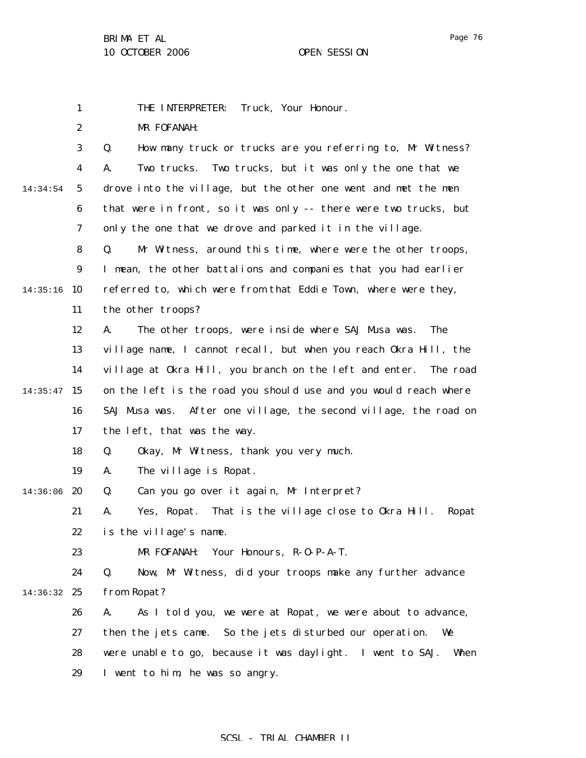1 THE INTERPRETER: Truck, Your Honour.

MR FOFANAH:

Q. How many truck or trucks are you referring to, Mr Witness? A. Two trucks. Two trucks, but it was only the one that we drove into the village, but the other one went and met the men that were in front, so it was only -- there were two trucks, but only the one that we drove and parked it in the village.

11 Q. Mr Witness, around this time, where were the other troops, I mean, the other battalions and companies that you had earlier referred to, which were from that Eddie Town, where were they, the other troops?

12 13 14  $14:35:47$  15 16 17 A. The other troops, were inside where SAJ Musa was. The village name, I cannot recall, but when you reach Okra Hill, the village at Okra Hill, you branch on the left and enter. The road on the left is the road you should use and you would reach where SAJ Musa was. After one village, the second village, the road on the left, that was the way.

> 18 Q. Okay, Mr Witness, thank you very much.

19 A. The village is Ropat.

14:36:06 20 Q. Can you go over it again, Mr Interpret?

> 21 22 A. Yes, Ropat. That is the village close to Okra Hill. Ropat is the village's name.

23 MR FOFANAH: Your Honours, R-O-P-A-T.

24 14:36:32 25 Q. Now, Mr Witness, did your troops make any further advance from Ropat?

26 27 28 29 A. As I told you, we were at Ropat, we were about to advance, then the jets came. So the jets disturbed our operation. We were unable to go, because it was daylight. I went to SAJ. When I went to him, he was so angry.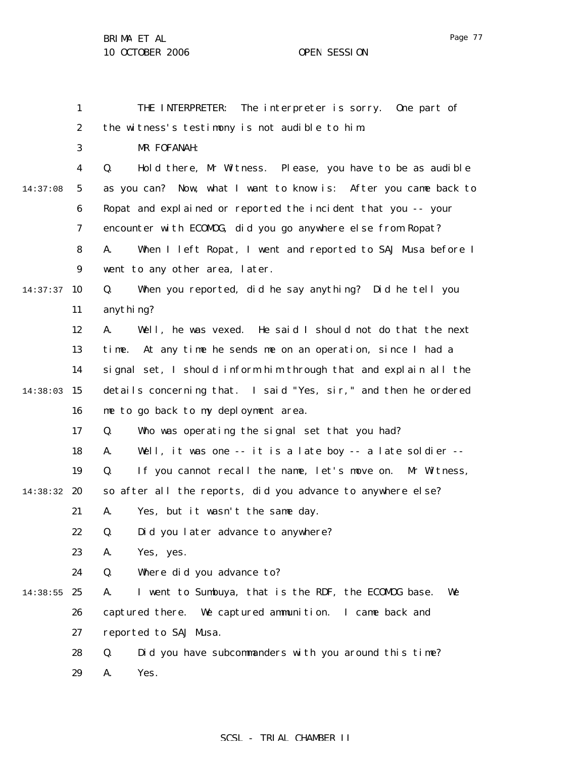|          | $\mathbf{1}$     | The interpreter is sorry. One part of<br>THE INTERPRETER:          |
|----------|------------------|--------------------------------------------------------------------|
|          | $\boldsymbol{2}$ | the witness's testimony is not audible to him.                     |
|          | 3                | MR FOFANAH:                                                        |
|          | $\boldsymbol{4}$ | Hold there, Mr Witness. Please, you have to be as audible<br>Q.    |
| 14:37:08 | $5\phantom{.0}$  | as you can? Now, what I want to know is: After you came back to    |
|          | 6                | Ropat and explained or reported the incident that you -- your      |
|          | 7                | encounter with ECOMDG, did you go anywhere else from Ropat?        |
|          | 8                | A.<br>When I left Ropat, I went and reported to SAJ Musa before I  |
|          | $9\phantom{.0}$  | went to any other area, later.                                     |
| 14:37:37 | 10               | When you reported, did he say anything? Did he tell you<br>Q.      |
|          | 11               | anything?                                                          |
|          | 12               | Well, he was vexed. He said I should not do that the next<br>A.    |
|          | 13               | time. At any time he sends me on an operation, since I had a       |
|          | 14               | signal set, I should inform him through that and explain all the   |
| 14:38:03 | 15               | details concerning that. I said "Yes, sir," and then he ordered    |
|          | 16               | me to go back to my deployment area.                               |
|          | 17               | Who was operating the signal set that you had?<br>Q.               |
|          | 18               | Well, it was one -- it is a late boy -- a late soldier --<br>A.    |
|          | 19               | If you cannot recall the name, let's move on.<br>Mr Witness,<br>Q. |
| 14:38:32 | 20               | so after all the reports, did you advance to anywhere else?        |
|          | 21               | A.<br>Yes, but it wasn't the same day.                             |
|          | 22               | Did you later advance to anywhere?<br>Q.                           |
|          | 23               | A.<br>Yes, yes.                                                    |
|          | 24               | Where did you advance to?<br>Q.                                    |
| 14:38:55 | 25               | I went to Sumbuya, that is the RDF, the ECOMOG base.<br>We<br>A.   |
|          | 26               | captured there. We captured ammunition. I came back and            |
|          | 27               | reported to SAJ Musa.                                              |
|          | 28               | Did you have subcommanders with you around this time?<br>Q.        |
|          | 29               | Yes.<br>A.                                                         |

# SCSL - TRIAL CHAMBER II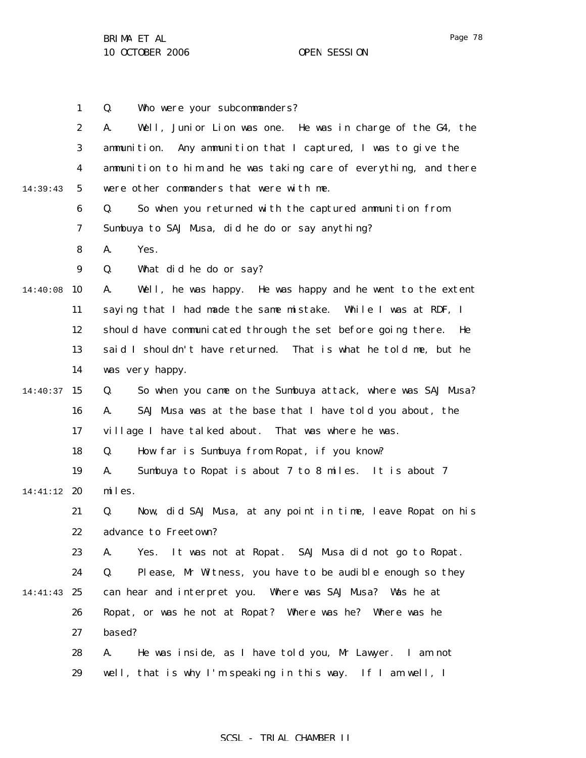|          | $\mathbf{1}$     | Who were your subcommanders?<br>Q.                                 |
|----------|------------------|--------------------------------------------------------------------|
|          | $\boldsymbol{2}$ | Well, Junior Lion was one. He was in charge of the G4, the<br>A.   |
|          | 3                | Any ammunition that I captured, I was to give the<br>ammunition.   |
|          | $\boldsymbol{4}$ | ammunition to him and he was taking care of everything, and there  |
| 14:39:43 | $5\phantom{.0}$  | were other commanders that were with me.                           |
|          | 6                | Q.<br>So when you returned with the captured ammunition from       |
|          | 7                | Sumbuya to SAJ Musa, did he do or say anything?                    |
|          | 8                | A.<br>Yes.                                                         |
|          | 9                | What did he do or say?<br>Q.                                       |
| 14:40:08 | 10               | Well, he was happy. He was happy and he went to the extent<br>A.   |
|          | 11               | saying that I had made the same mistake. While I was at RDF, I     |
|          | 12               | should have communicated through the set before going there.<br>He |
|          | 13               | said I shouldn't have returned. That is what he told me, but he    |
|          | 14               | was very happy.                                                    |
| 14:40:37 | 15               | So when you came on the Sumbuya attack, where was SAJ Musa?<br>Q.  |
|          | 16               | SAJ Musa was at the base that I have told you about, the<br>A.     |
|          | 17               | village I have talked about. That was where he was.                |
|          | 18               | Q.<br>How far is Sumbuya from Ropat, if you know?                  |
|          | 19               | A.<br>Sumbuya to Ropat is about 7 to 8 miles. It is about 7        |
| 14:41:12 | 20               | miles.                                                             |
|          | 21               | Now, did SAJ Musa, at any point in time, leave Ropat on his<br>Q.  |
|          | 22               | advance to Freetown?                                               |
|          | 23               | It was not at Ropat. SAJ Musa did not go to Ropat.<br>Yes.<br>A.   |
|          | 24               | Please, Mr Witness, you have to be audible enough so they<br>Q.    |
| 14:41:43 | 25               | can hear and interpret you. Where was SAJ Musa? Was he at          |
|          | 26               | Ropat, or was he not at Ropat? Where was he? Where was he          |
|          | 27               | based?                                                             |
|          | 28               | A.<br>He was inside, as I have told you, Mr Lawyer. I am not       |
|          | 29               | well, that is why I'm speaking in this way. If I am well, I        |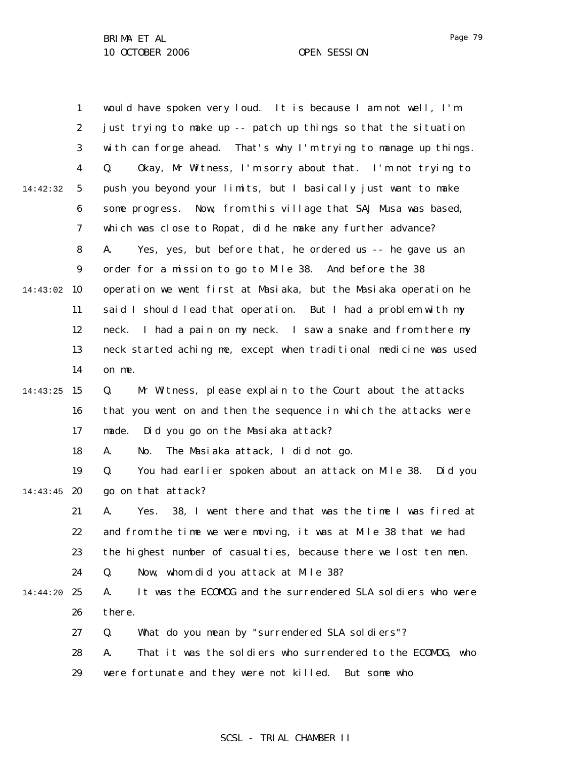1 2 3 4 5 6 7 8 9 14:43:02 10 11 12 13 14 14:43:25 15 16 17 18 19 14:43:45 20 21 22 23 24 14:44:20 25 26 27 28 29 14:42:32 would have spoken very loud. It is because I am not well, I'm just trying to make up -- patch up things so that the situation with can forge ahead. That's why I'm trying to manage up things. Q. Okay, Mr Witness, I'm sorry about that. I'm not trying to push you beyond your limits, but I basically just want to make some progress. Now, from this village that SAJ Musa was based, which was close to Ropat, did he make any further advance? A. Yes, yes, but before that, he ordered us -- he gave us an order for a mission to go to Mile 38. And before the 38 operation we went first at Masiaka, but the Masiaka operation he said I should lead that operation. But I had a problem with my neck. I had a pain on my neck. I saw a snake and from there my neck started aching me, except when traditional medicine was used on me. Q. Mr Witness, please explain to the Court about the attacks that you went on and then the sequence in which the attacks were made. Did you go on the Masiaka attack? A. No. The Masiaka attack, I did not go. Q. You had earlier spoken about an attack on Mile 38. Did you go on that attack? A. Yes. 38, I went there and that was the time I was fired at and from the time we were moving, it was at Mile 38 that we had the highest number of casualties, because there we lost ten men. Q. Now, whom did you attack at Mile 38? A. It was the ECOMOG and the surrendered SLA soldiers who were there. Q. What do you mean by "surrendered SLA soldiers"? A. That it was the soldiers who surrendered to the ECOMOG, who were fortunate and they were not killed. But some who

## SCSL - TRIAL CHAMBER II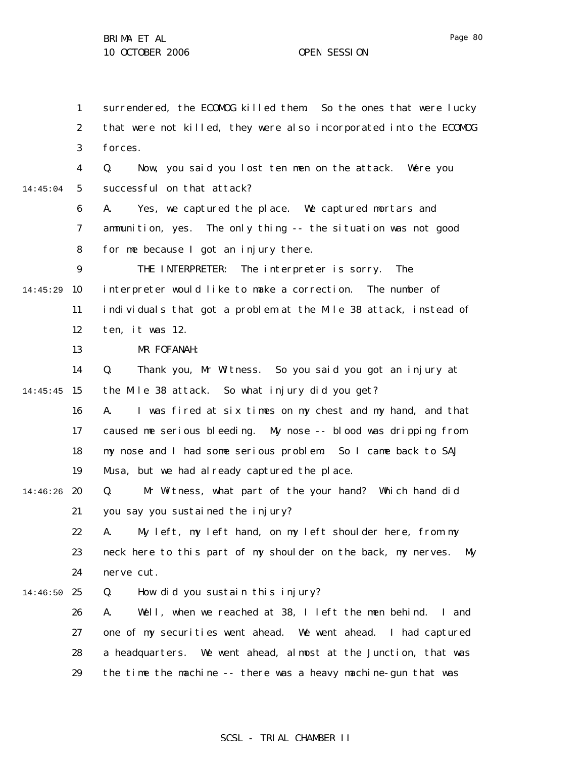1 2 3 4 5 6 7 8 9 14:45:29 10 11 12 13 14 14:45:45 15 16 17 18 19 14:46:26 20 21 22 23 24 14:46:50 25 26 27 28 29 14:45:04 surrendered, the ECOMOG killed them. So the ones that were lucky that were not killed, they were also incorporated into the ECOMOG forces. Q. Now, you said you lost ten men on the attack. Were you successful on that attack? A. Yes, we captured the place. We captured mortars and ammunition, yes. The only thing -- the situation was not good for me because I got an injury there. THE INTERPRETER: The interpreter is sorry. The interpreter would like to make a correction. The number of individuals that got a problem at the Mile 38 attack, instead of ten, it was 12. MR FOFANAH: Q. Thank you, Mr Witness. So you said you got an injury at the Mile 38 attack. So what injury did you get? A. I was fired at six times on my chest and my hand, and that caused me serious bleeding. My nose -- blood was dripping from my nose and I had some serious problem. So I came back to SAJ Musa, but we had already captured the place. Q. Mr Witness, what part of the your hand? Which hand did you say you sustained the injury? A. My left, my left hand, on my left shoulder here, from my neck here to this part of my shoulder on the back, my nerves. My nerve cut. Q. How did you sustain this injury? A. Well, when we reached at 38, I left the men behind. I and one of my securities went ahead. We went ahead. I had captured a headquarters. We went ahead, almost at the Junction, that was the time the machine -- there was a heavy machine-gun that was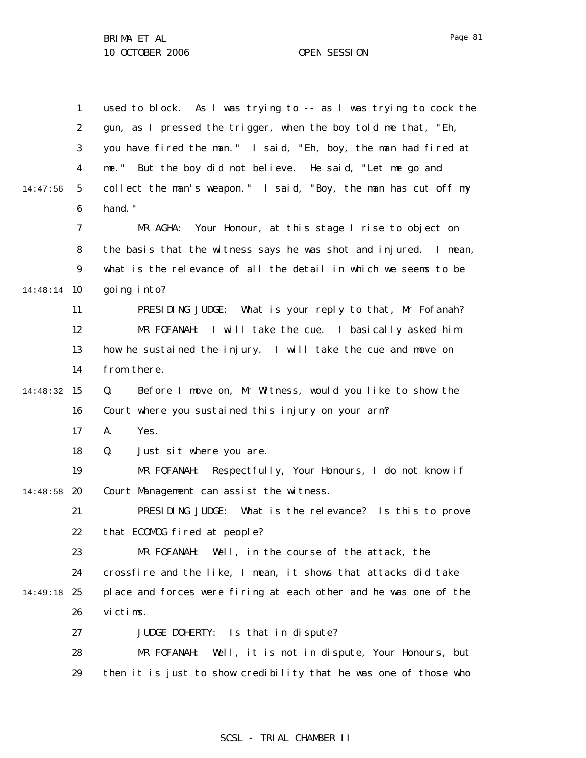|          | $\mathbf{1}$     | used to block. As I was trying to -- as I was trying to cock the |
|----------|------------------|------------------------------------------------------------------|
|          | $\boldsymbol{2}$ | gun, as I pressed the trigger, when the boy told me that, "Eh,   |
|          | 3                | you have fired the man." I said, "Eh, boy, the man had fired at  |
|          | 4                | me." But the boy did not believe. He said, "Let me go and        |
| 14:47:56 | $5\overline{)}$  | collect the man's weapon." I said, "Boy, the man has cut off my  |
|          | 6                | hand."                                                           |
|          | 7                | Your Honour, at this stage I rise to object on<br>MR AGHA:       |
|          | 8                | the basis that the witness says he was shot and injured. I mean, |
|          | $\boldsymbol{9}$ | what is the relevance of all the detail in which we seems to be  |
| 14:48:14 | 10               | going into?                                                      |
|          | 11               | PRESIDING JUDGE: What is your reply to that, Mr Fofanah?         |
|          | 12               | MR FOFANAH:<br>I will take the cue. I basically asked him        |
|          | 13               | how he sustained the injury. I will take the cue and move on     |
|          | 14               | from there.                                                      |
| 14:48:32 | 15               | Before I move on, Mr Witness, would you like to show the<br>Q.   |
|          | 16               | Court where you sustained this injury on your arm?               |
|          | 17               | A.<br>Yes.                                                       |
|          | 18               | Q.<br>Just sit where you are.                                    |
|          | 19               | MR FOFANAH: Respectfully, Your Honours, I do not know if         |
| 14:48:58 | 20               | Court Management can assist the witness.                         |
|          | 21               | PRESIDING JUDGE:<br>What is the relevance? Is this to prove      |
|          | 22               | that ECOMOG fired at people?                                     |
|          | 23               | MR FOFANAH: Well, in the course of the attack, the               |
|          | 24               | crossfire and the like, I mean, it shows that attacks did take   |
| 14:49:18 | 25               | place and forces were firing at each other and he was one of the |
|          | 26               | victims.                                                         |
|          | 27               | Is that in dispute?<br><b>JUDGE DOHERTY:</b>                     |
|          | 28               | MR FOFANAH:<br>Well, it is not in dispute, Your Honours, but     |
|          | 29               | then it is just to show credibility that he was one of those who |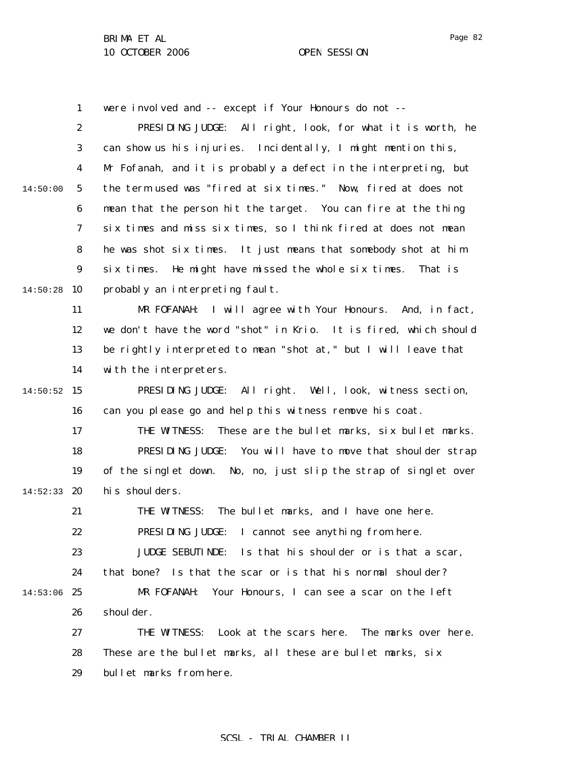1 were involved and -- except if Your Honours do not --

2 3 4 5 6 7 8 9  $14:50:28$  10 11 12 13 14  $14:50:52$  15 16 17 18 19 14:52:33 20 21 22 23 24 14:53:06 25 26 27 28 29 14:50:00 PRESIDING JUDGE: All right, look, for what it is worth, he can show us his injuries. Incidentally, I might mention this, Mr Fofanah, and it is probably a defect in the interpreting, but the term used was "fired at six times." Now, fired at does not mean that the person hit the target. You can fire at the thing six times and miss six times, so I think fired at does not mean he was shot six times. It just means that somebody shot at him six times. He might have missed the whole six times. That is probably an interpreting fault. MR FOFANAH: I will agree with Your Honours. And, in fact, we don't have the word "shot" in Krio. It is fired, which should be rightly interpreted to mean "shot at," but I will leave that with the interpreters. PRESIDING JUDGE: All right. Well, look, witness section, can you please go and help this witness remove his coat. THE WITNESS: These are the bullet marks, six bullet marks. PRESIDING JUDGE: You will have to move that shoulder strap of the singlet down. No, no, just slip the strap of singlet over his shoulders. THE WITNESS: The bullet marks, and I have one here. PRESIDING JUDGE: I cannot see anything from here. JUDGE SEBUTINDE: Is that his shoulder or is that a scar, that bone? Is that the scar or is that his normal shoulder? MR FOFANAH: Your Honours, I can see a scar on the left shoul der. THE WITNESS: Look at the scars here. The marks over here. These are the bullet marks, all these are bullet marks, six bullet marks from here.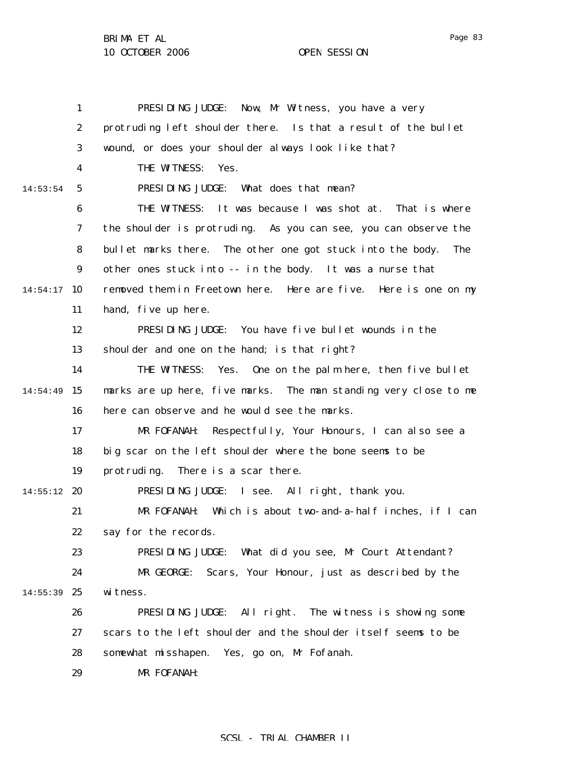|          | $\mathbf{1}$     | PRESIDING JUDGE: Now, Mr Witness, you have a very                        |
|----------|------------------|--------------------------------------------------------------------------|
|          | 2                | protruding left shoulder there. Is that a result of the bullet           |
|          | 3                | wound, or does your shoulder always look like that?                      |
|          | 4                | THE WITNESS:<br>Yes.                                                     |
| 14:53:54 | 5                | PRESIDING JUDGE:<br>What does that mean?                                 |
|          | 6                | THE WITNESS: It was because I was shot at. That is where                 |
|          | 7                | the shoulder is protruding. As you can see, you can observe the          |
|          | 8                | bullet marks there. The other one got stuck into the body.<br><b>The</b> |
|          | $\boldsymbol{9}$ | other ones stuck into -- in the body. It was a nurse that                |
| 14:54:17 | 10               | removed them in Freetown here. Here are five. Here is one on my          |
|          | 11               | hand, five up here.                                                      |
|          | 12               | PRESIDING JUDGE: You have five bullet wounds in the                      |
|          | 13               | shoulder and one on the hand; is that right?                             |
|          | 14               | THE WITNESS:<br>Yes.<br>One on the palm here, then five bullet           |
| 14:54:49 | 15               | marks are up here, five marks. The man standing very close to me         |
|          | 16               | here can observe and he would see the marks.                             |
|          | 17               | Respectfully, Your Honours, I can also see a<br>MR FOFANAH:              |
|          | 18               | big scar on the left shoulder where the bone seems to be                 |
|          | 19               | There is a scar there.<br>protruding.                                    |
| 14:55:12 | 20               | PRESIDING JUDGE: I see. All right, thank you.                            |
|          | 21               | MR FOFANAH:<br>Which is about two-and-a-half inches, if I can            |
|          | 22               | say for the records.                                                     |
|          | 23               | PRESIDING JUDGE:<br>What did you see, Mr Court Attendant?                |
|          | 24               | MR GEORGE:<br>Scars, Your Honour, just as described by the               |
| 14:55:39 | 25               | witness.                                                                 |
|          | 26               | All right. The witness is showing some<br>PRESIDING JUDGE:               |
|          | 27               | scars to the left shoulder and the shoulder itself seems to be           |
|          | 28               | somewhat misshapen.<br>Yes, go on, Mr Fofanah.                           |
|          | 29               | MR FOFANAH:                                                              |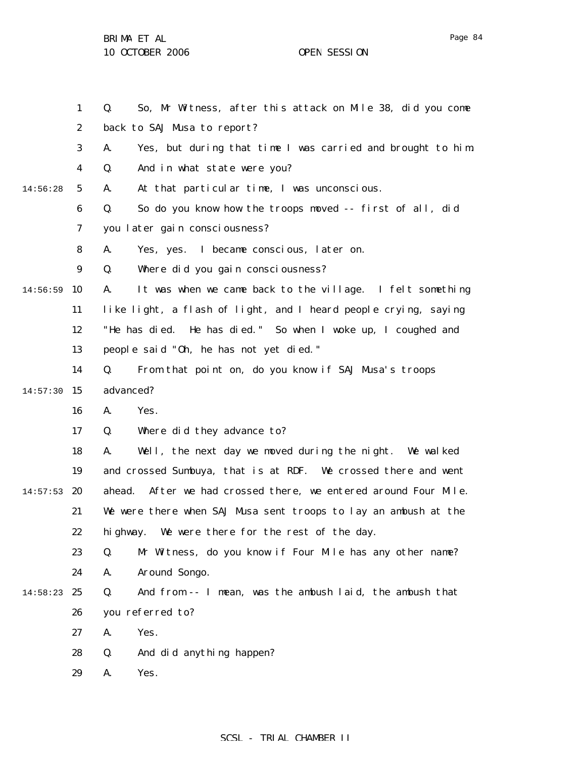1 2 3 4 5 6 7 8 9 14:56:59 10 11 12 13 14  $14:57:30$  15 16 17 18 19  $14:57:53$  20 21 22 23 24 14:58:23 25 26 27 28 29 14:56:28 Q. So, Mr Witness, after this attack on Mile 38, did you come back to SAJ Musa to report? A. Yes, but during that time I was carried and brought to him. Q. And in what state were you? A. At that particular time, I was unconscious. Q. So do you know how the troops moved -- first of all, did you later gain consciousness? A. Yes, yes. I became conscious, later on. Q. Where did you gain consciousness? A. It was when we came back to the village. I felt something like light, a flash of light, and I heard people crying, saying "He has died. He has died." So when I woke up, I coughed and people said "Oh, he has not yet died." Q. From that point on, do you know if SAJ Musa's troops advanced? A. Yes. Q. Where did they advance to? A. Well, the next day we moved during the night. We walked and crossed Sumbuya, that is at RDF. We crossed there and went ahead. After we had crossed there, we entered around Four Mile. We were there when SAJ Musa sent troops to lay an ambush at the highway. We were there for the rest of the day. Q. Mr Witness, do you know if Four Mile has any other name? A. Around Songo. Q. And from -- I mean, was the ambush laid, the ambush that you referred to? A. Yes. Q. And did anything happen? A. Yes.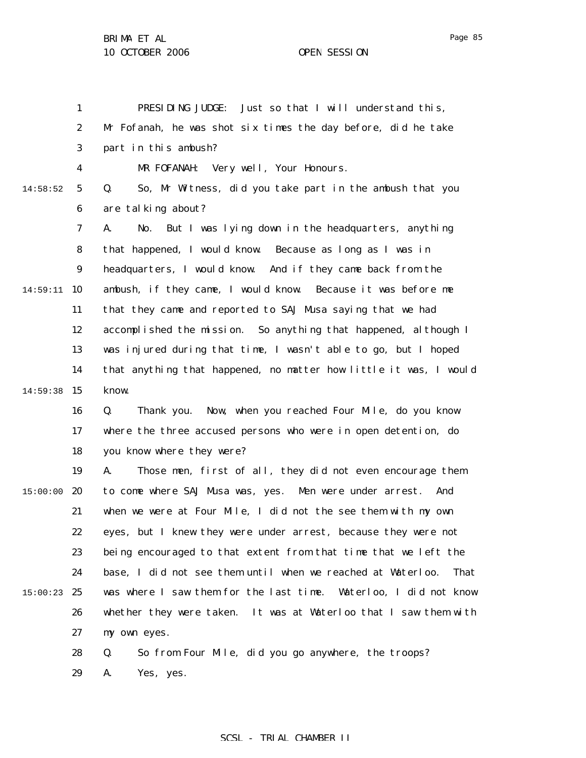1 2 3 4 5 6 7 8 9 14:59:11 10 11 12 13 14  $14:59:38$  15 16 17 18 19  $15:00:00$  20 21 22 23 24 15:00:23 25 26 27 28 29 14:58:52 PRESIDING JUDGE: Just so that I will understand this, Mr Fofanah, he was shot six times the day before, did he take part in this ambush? MR FOFANAH: Very well, Your Honours. Q. So, Mr Witness, did you take part in the ambush that you are talking about? A. No. But I was lying down in the headquarters, anything that happened, I would know. Because as long as I was in headquarters, I would know. And if they came back from the ambush, if they came, I would know. Because it was before me that they came and reported to SAJ Musa saying that we had accomplished the mission. So anything that happened, although I was injured during that time, I wasn't able to go, but I hoped that anything that happened, no matter how little it was, I would know. Q. Thank you. Now, when you reached Four Mile, do you know where the three accused persons who were in open detention, do you know where they were? A. Those men, first of all, they did not even encourage them to come where SAJ Musa was, yes. Men were under arrest. And when we were at Four Mile, I did not the see them with my own eyes, but I knew they were under arrest, because they were not being encouraged to that extent from that time that we left the base, I did not see them until when we reached at Waterloo. That was where I saw them for the last time. Waterloo, I did not know whether they were taken. It was at Waterloo that I saw them with my own eyes. Q. So from Four Mile, did you go anywhere, the troops? A. Yes, yes.

Page 85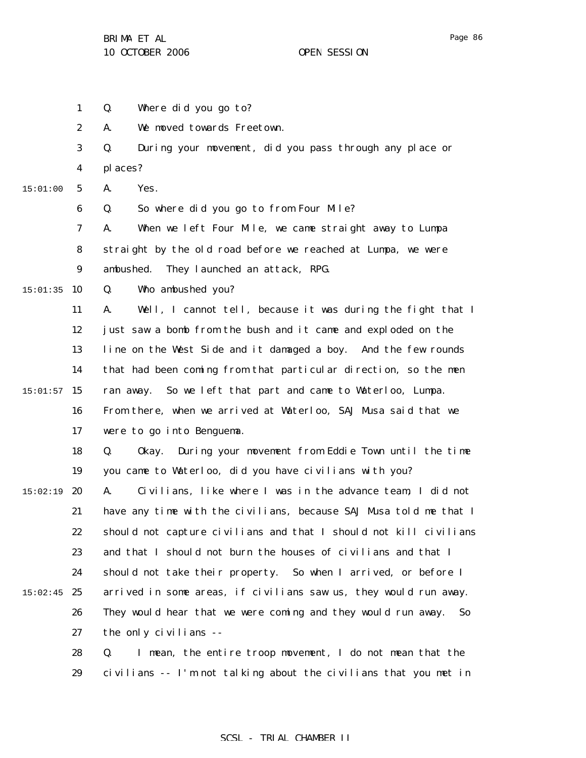1 2 3 4 5 6 7 8 9  $15:01:35$  10 11 12 13 14  $15:01:57$  15 16 17 18 19  $15:02:19$  20 21 22 23 24  $15:02:45$  25 26 27 28 29 15:01:00 Q. Where did you go to? A. We moved towards Freetown. Q. During your movement, did you pass through any place or places? A. Yes. Q. So where did you go to from Four Mile? A. When we left Four Mile, we came straight away to Lumpa straight by the old road before we reached at Lumpa, we were ambushed. They launched an attack, RPG. Q. Who ambushed you? A. Well, I cannot tell, because it was during the fight that I just saw a bomb from the bush and it came and exploded on the line on the West Side and it damaged a boy. And the few rounds that had been coming from that particular direction, so the men ran away. So we left that part and came to Waterloo, Lumpa. From there, when we arrived at Waterloo, SAJ Musa said that we were to go into Benguema. Q. Okay. During your movement from Eddie Town until the time you came to Waterloo, did you have civilians with you? A. Civilians, like where I was in the advance team, I did not have any time with the civilians, because SAJ Musa told me that I should not capture civilians and that I should not kill civilians and that I should not burn the houses of civilians and that I should not take their property. So when I arrived, or before I arrived in some areas, if civilians saw us, they would run away. They would hear that we were coming and they would run away. So the only civilians -- Q. I mean, the entire troop movement, I do not mean that the civilians -- I'm not talking about the civilians that you met in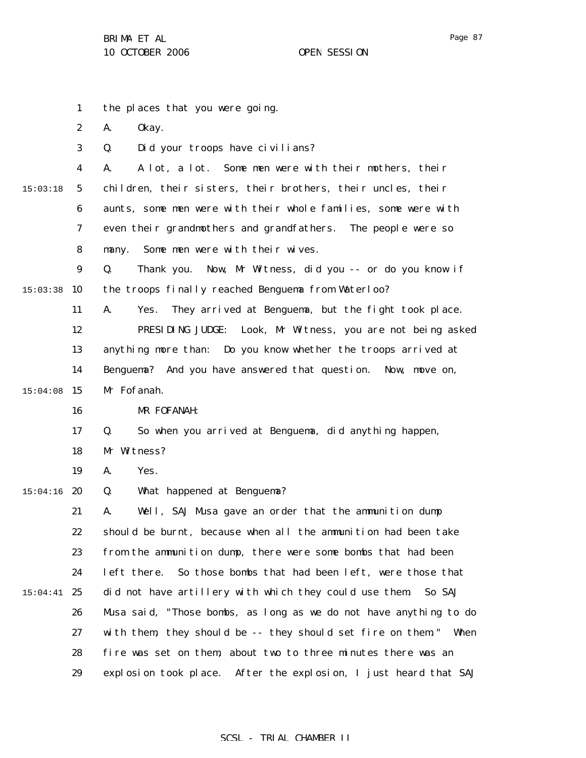|          | $\mathbf{1}$     | the places that you were going.                                   |
|----------|------------------|-------------------------------------------------------------------|
|          | $\boldsymbol{2}$ | 0kay.<br>A.                                                       |
|          | 3                | Did your troops have civilians?<br>Q.                             |
|          | $\boldsymbol{4}$ | A lot, a lot. Some men were with their mothers, their<br>A.       |
| 15:03:18 | $5\phantom{.0}$  | children, their sisters, their brothers, their uncles, their      |
|          | 6                | aunts, some men were with their whole families, some were with    |
|          | 7                | even their grandmothers and grandfathers.<br>The people were so   |
|          | 8                | Some men were with their wives.<br>many.                          |
|          | 9                | Now, Mr Witness, did you -- or do you know if<br>Q.<br>Thank you. |
| 15:03:38 | 10               | the troops finally reached Benguema from Waterloo?                |
|          | 11               | They arrived at Benguema, but the fight took place.<br>A.<br>Yes. |
|          | 12               | PRESIDING JUDGE: Look, Mr Witness, you are not being asked        |
|          | 13               | anything more than: Do you know whether the troops arrived at     |
|          | 14               | Benguema? And you have answered that question. Now, move on,      |
| 15:04:08 | 15               | Mr Fofanah.                                                       |
|          | 16               | MR FOFANAH:                                                       |
|          | 17               | Q.<br>So when you arrived at Benguema, did anything happen,       |
|          | 18               | Mr Witness?                                                       |
|          | 19               | Yes.<br>A.                                                        |
| 15:04:16 | 20               | Q.<br>What happened at Benguema?                                  |
|          | 21               | Well, SAJ Musa gave an order that the ammunition dump<br>A.       |
|          | 22               | should be burnt, because when all the ammunition had been take    |
|          | 23               | from the ammunition dump, there were some bombs that had been     |
|          | 24               | So those bombs that had been left, were those that<br>left there. |
| 15:04:41 | 25               | did not have artillery with which they could use them.<br>So SAJ  |
|          | 26               | Musa said, "Those bombs, as long as we do not have anything to do |
|          | 27               | with them, they should be -- they should set fire on them." When  |
|          | 28               | fire was set on them, about two to three minutes there was an     |
|          | 29               | explosion took place. After the explosion, I just heard that SAJ  |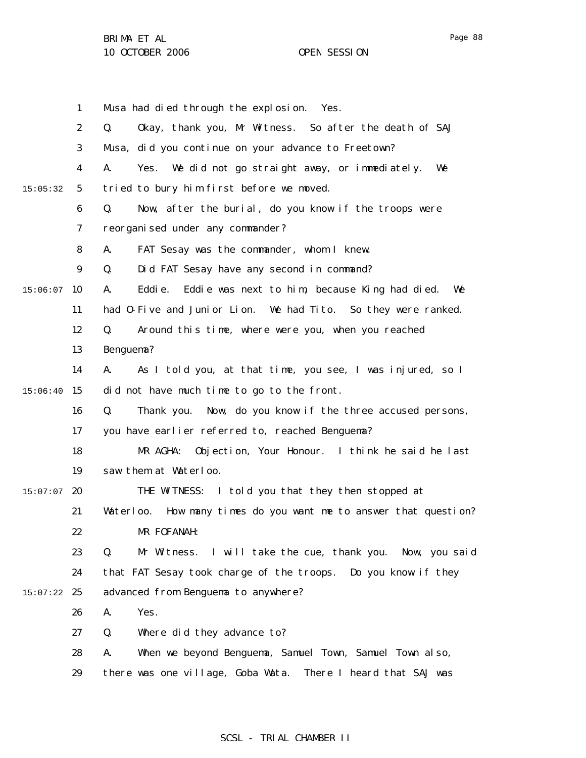|          | $\mathbf{1}$     | Musa had died through the explosion. Yes.                            |
|----------|------------------|----------------------------------------------------------------------|
|          | $\boldsymbol{2}$ | Okay, thank you, Mr Witness. So after the death of SAJ<br>Q.         |
|          | $\boldsymbol{3}$ | Musa, did you continue on your advance to Freetown?                  |
|          | $\boldsymbol{4}$ | Yes. We did not go straight away, or immediately.<br>We<br>A.        |
| 15:05:32 | $5\overline{ }$  | tried to bury him first before we moved.                             |
|          | 6                | Now, after the burial, do you know if the troops were<br>Q.          |
|          | 7                | reorganised under any commander?                                     |
|          | 8                | FAT Sesay was the commander, whom I knew.<br>A.                      |
|          | 9                | Did FAT Sesay have any second in command?<br>Q.                      |
| 15:06:07 | 10               | Eddie was next to him, because King had died.<br>A.<br>Eddi e.<br>We |
|          | 11               | had 0-Five and Junior Lion. We had Tito. So they were ranked.        |
|          | 12               | Around this time, where were you, when you reached<br>Q.             |
|          | 13               | Benguema?                                                            |
|          | 14               | As I told you, at that time, you see, I was injured, so I<br>A.      |
| 15:06:40 | 15               | did not have much time to go to the front.                           |
|          | 16               | Q.<br>Now, do you know if the three accused persons,<br>Thank you.   |
|          | 17               | you have earlier referred to, reached Benguema?                      |
|          | 18               | Objection, Your Honour. I think he said he last<br>MR AGHA:          |
|          | 19               | saw them at Waterloo.                                                |
| 15:07:07 | 20               | THE WITNESS: I told you that they then stopped at                    |
|          | 21               | How many times do you want me to answer that question?<br>Waterloo.  |
|          | 22               | MR FOFANAH:                                                          |
|          | 23               | I will take the cue, thank you. Now, you said<br>Q.<br>Mr Witness.   |
|          | 24               | that FAT Sesay took charge of the troops. Do you know if they        |
| 15:07:22 | 25               | advanced from Benguema to anywhere?                                  |
|          | 26               | Yes.<br>A.                                                           |
|          | 27               | Q.<br>Where did they advance to?                                     |
|          | 28               | When we beyond Benguema, Samuel Town, Samuel Town also,<br>A.        |
|          | 29               | there was one village, Goba Wata.<br>There I heard that SAJ was      |
|          |                  |                                                                      |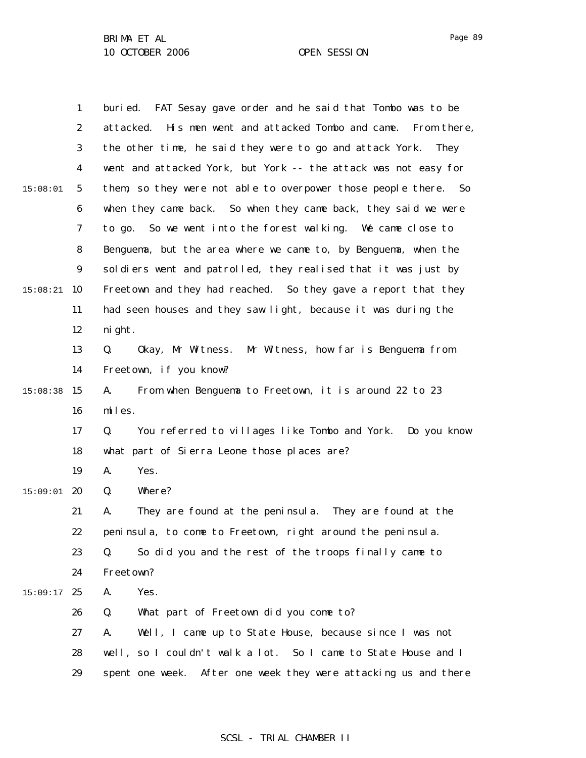|          | $\mathbf{1}$     | buried. FAT Sesay gave order and he said that Tombo was to be      |
|----------|------------------|--------------------------------------------------------------------|
|          | $\boldsymbol{2}$ | attacked.<br>His men went and attacked Tombo and came. From there, |
|          | 3                | the other time, he said they were to go and attack York. They      |
|          | 4                | went and attacked York, but York -- the attack was not easy for    |
| 15:08:01 | $5\phantom{.0}$  | them, so they were not able to overpower those people there. So    |
|          | 6                | when they came back. So when they came back, they said we were     |
|          | 7                | to go. So we went into the forest walking. We came close to        |
|          | 8                | Benguema, but the area where we came to, by Benguema, when the     |
|          | 9                | soldiers went and patrolled, they realised that it was just by     |
| 15:08:21 | 10               | Freetown and they had reached. So they gave a report that they     |
|          | 11               | had seen houses and they saw light, because it was during the      |
|          | 12               | ni ght.                                                            |
|          | 13               | Okay, Mr Witness. Mr Witness, how far is Benguema from<br>Q.       |
|          | 14               | Freetown, if you know?                                             |
| 15:08:38 | 15               | A.<br>From when Benguema to Freetown, it is around 22 to 23        |
|          | 16               | miles.                                                             |
|          | 17               | You referred to villages like Tombo and York. Do you know<br>Q.    |
|          | 18               | what part of Sierra Leone those places are?                        |
|          | 19               | Yes.<br>A.                                                         |
| 15:09:01 | 20               | Where?<br>Q.                                                       |
|          | 21               | They are found at the peninsula. They are found at the<br>A.       |
|          | 22               | peninsula, to come to Freetown, right around the peninsula.        |
|          | 23               | Q.<br>So did you and the rest of the troops finally came to        |
|          | 24               | Freetown?                                                          |
| 15:09:17 | 25               | Yes.<br>A.                                                         |
|          | 26               | Q.<br>What part of Freetown did you come to?                       |
|          | 27               | Well, I came up to State House, because since I was not<br>A.      |
|          | 28               | well, so I couldn't walk a lot. So I came to State House and I     |
|          | 29               | spent one week. After one week they were attacking us and there    |

# SCSL - TRIAL CHAMBER II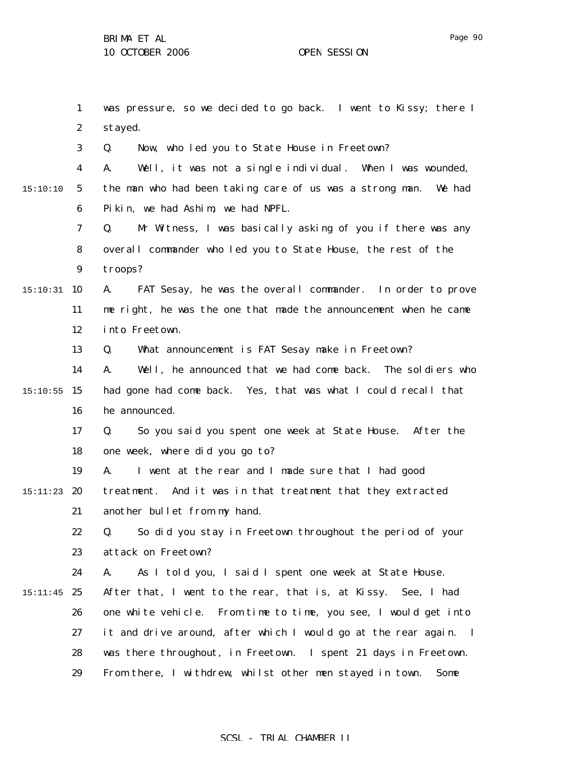1 2 3 4 5 6 7 8 9  $15:10:31$  10 11 12 13 14 15 15:10:55 16 17 18 19 15:11:23 **20** 21 22 23 24  $15:11:45$  25 26 27 28 29 15:10:10 was pressure, so we decided to go back. I went to Kissy; there I stayed. Q. Now, who led you to State House in Freetown? A. Well, it was not a single individual. When I was wounded, the man who had been taking care of us was a strong man. We had Pikin, we had Ashim, we had NPFL. Q. Mr Witness, I was basically asking of you if there was any overall commander who led you to State House, the rest of the troops? A. FAT Sesay, he was the overall commander. In order to prove me right, he was the one that made the announcement when he came into Freetown. Q. What announcement is FAT Sesay make in Freetown? A. Well, he announced that we had come back. The soldiers who had gone had come back. Yes, that was what I could recall that he announced. Q. So you said you spent one week at State House. After the one week, where did you go to? A. I went at the rear and I made sure that I had good treatment. And it was in that treatment that they extracted another bullet from my hand. Q. So did you stay in Freetown throughout the period of your attack on Freetown? A. As I told you, I said I spent one week at State House. After that, I went to the rear, that is, at Kissy. See, I had one white vehicle. From time to time, you see, I would get into it and drive around, after which I would go at the rear again. I was there throughout, in Freetown. I spent 21 days in Freetown. From there, I withdrew, whilst other men stayed in town. Some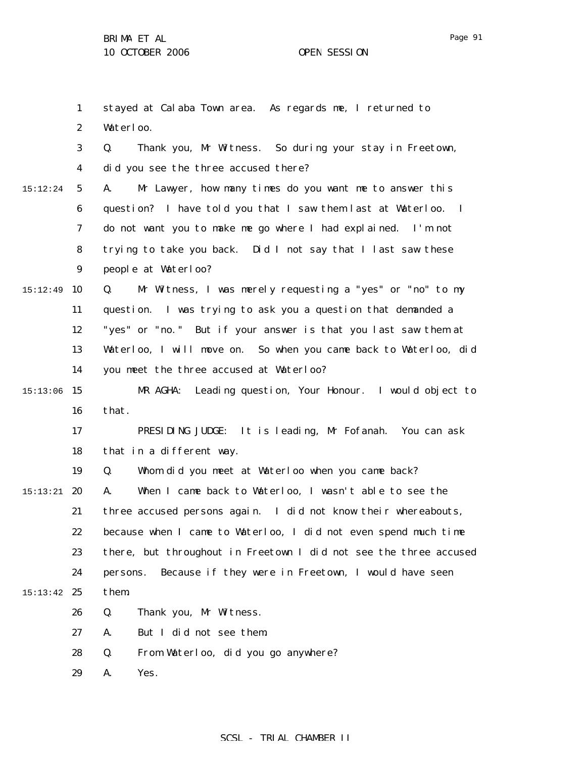1 2 3 4 5 6 7 8 9 15:12:49 10 11 12 13 14 15 15:13:06 16 17 18 19 15:13:21 **20** 21 22 23 24 15:13:42 25 26 27 28 29 15:12:24 stayed at Calaba Town area. As regards me, I returned to Waterloo. Q. Thank you, Mr Witness. So during your stay in Freetown, did you see the three accused there? A. Mr Lawyer, how many times do you want me to answer this question? I have told you that I saw them last at Waterloo. I do not want you to make me go where I had explained. I'm not trying to take you back. Did I not say that I last saw these people at Waterloo? Q. Mr Witness, I was merely requesting a "yes" or "no" to my question. I was trying to ask you a question that demanded a "yes" or "no." But if your answer is that you last saw them at Waterloo, I will move on. So when you came back to Waterloo, did you meet the three accused at Waterloo? MR AGHA: Leading question, Your Honour. I would object to that. PRESIDING JUDGE: It is leading, Mr Fofanah. You can ask that in a different way. Q. Whom did you meet at Waterloo when you came back? A. When I came back to Waterloo, I wasn't able to see the three accused persons again. I did not know their whereabouts, because when I came to Waterloo, I did not even spend much time there, but throughout in Freetown I did not see the three accused persons. Because if they were in Freetown, I would have seen them. Q. Thank you, Mr Witness. A. But I did not see them. Q. From Waterloo, did you go anywhere? A. Yes.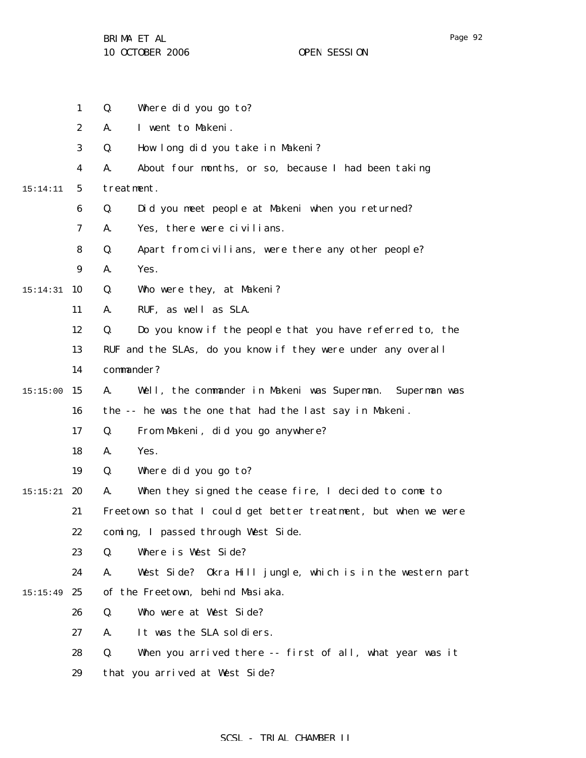1 2 3 4 5 6 7 8 9 15:14:31 10 11 12 13 14 15 15:15:00 16 17 18 19  $15:15:21$  20 21 22 23 24  $15:15:49$  25 26 27 28 29 15:14:11 Q. Where did you go to? A. I went to Makeni. Q. How long did you take in Makeni? A. About four months, or so, because I had been taking treatment. Q. Did you meet people at Makeni when you returned? A. Yes, there were civilians. Q. Apart from civilians, were there any other people? A. Yes. Q. Who were they, at Makeni? A. RUF, as well as SLA. Q. Do you know if the people that you have referred to, the RUF and the SLAs, do you know if they were under any overall commander? A. Well, the commander in Makeni was Superman. Superman was the -- he was the one that had the last say in Makeni. Q. From Makeni, did you go anywhere? A. Yes. Q. Where did you go to? A. When they signed the cease fire, I decided to come to Freetown so that I could get better treatment, but when we were coming, I passed through West Side. Q. Where is West Side? A. West Side? Okra Hill jungle, which is in the western part of the Freetown, behind Masiaka. Q. Who were at West Side? A. It was the SLA soldiers. Q. When you arrived there -- first of all, what year was it that you arrived at West Side?

## Page 92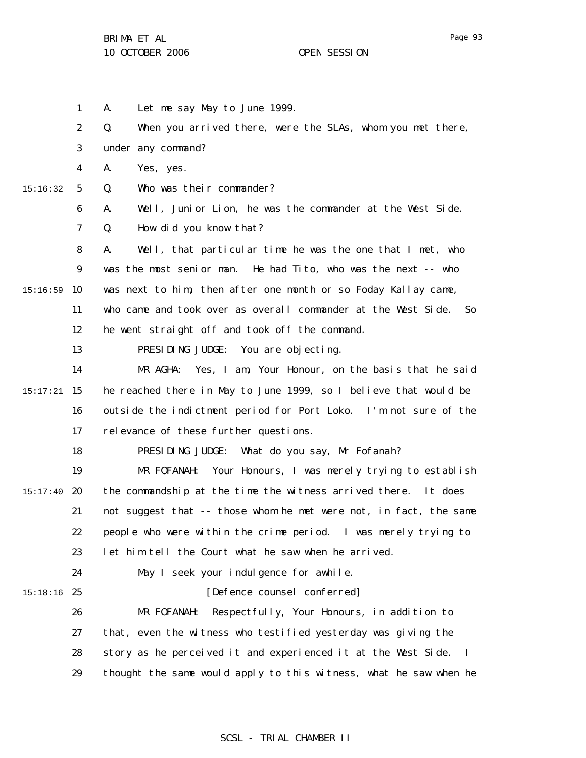1 2 3 4 5 6 7 8 9  $15:16:59$  10 11 12 13 14 15 15:17:21 16 17 18 19  $15:17:40$  20 21 22 23 24 15:18:16 25 26 27 28 29 15:16:32 A. Let me say May to June 1999. Q. When you arrived there, were the SLAs, whom you met there, under any command? A. Yes, yes. Q. Who was their commander? A. Well, Junior Lion, he was the commander at the West Side. Q. How did you know that? A. Well, that particular time he was the one that I met, who was the most senior man. He had Tito, who was the next -- who was next to him, then after one month or so Foday Kallay came, who came and took over as overall commander at the West Side. So he went straight off and took off the command. PRESIDING JUDGE: You are objecting. MR AGHA: Yes, I am, Your Honour, on the basis that he said he reached there in May to June 1999, so I believe that would be outside the indictment period for Port Loko. I'm not sure of the relevance of these further questions. PRESIDING JUDGE: What do you say, Mr Fofanah? MR FOFANAH: Your Honours, I was merely trying to establish the commandship at the time the witness arrived there. It does not suggest that -- those whom he met were not, in fact, the same people who were within the crime period. I was merely trying to let him tell the Court what he saw when he arrived. May I seek your indulgence for awhile. [Defence counsel conferred] MR FOFANAH: Respectfully, Your Honours, in addition to that, even the witness who testified yesterday was giving the story as he perceived it and experienced it at the West Side. I thought the same would apply to this witness, what he saw when he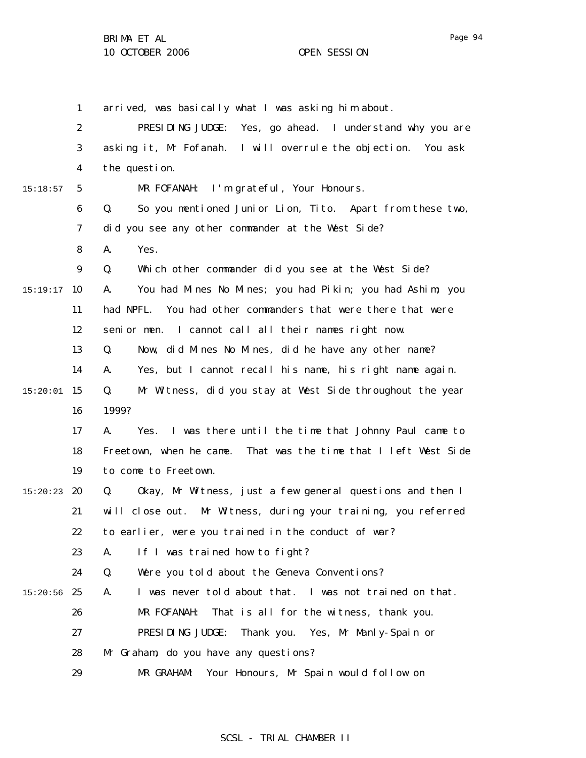1 2 3 4 5 6 7 8 9  $15:19:17$  10 11 12 13 14 15 15:20:01 16 17 18 19  $15:20:23$  20 21 22 23 24  $15:20:56$  25 26 27 28 29 15:18:57 arrived, was basically what I was asking him about. PRESIDING JUDGE: Yes, go ahead. I understand why you are asking it, Mr Fofanah. I will overrule the objection. You ask the question. MR FOFANAH: I'm grateful, Your Honours. Q. So you mentioned Junior Lion, Tito. Apart from these two, did you see any other commander at the West Side? A. Yes. Q. Which other commander did you see at the West Side? A. You had Mines No Mines; you had Pikin; you had Ashim; you had NPFL. You had other commanders that were there that were senior men. I cannot call all their names right now. Q. Now, did Mines No Mines, did he have any other name? A. Yes, but I cannot recall his name, his right name again. Q. Mr Witness, did you stay at West Side throughout the year 1999? A. Yes. I was there until the time that Johnny Paul came to Freetown, when he came. That was the time that I left West Side to come to Freetown. Q. Okay, Mr Witness, just a few general questions and then I will close out. Mr Witness, during your training, you referred to earlier, were you trained in the conduct of war? A. If I was trained how to fight? Q. Were you told about the Geneva Conventions? A. I was never told about that. I was not trained on that. MR FOFANAH: That is all for the witness, thank you. PRESIDING JUDGE: Thank you. Yes, Mr Manly-Spain or Mr Graham, do you have any questions? MR GRAHAM: Your Honours, Mr Spain would follow on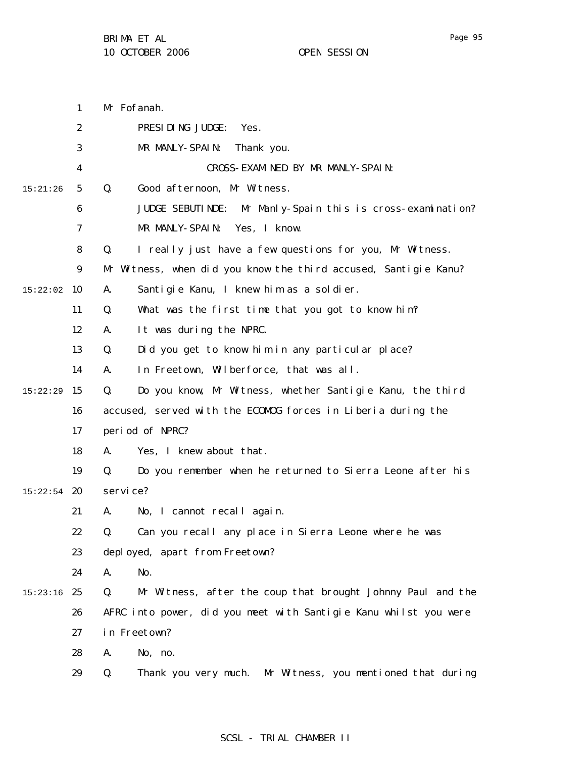1 2 3 4 5 6 7 8 9  $15:22:02$  10 11 12 13 14 15 15:22:29 16 17 18 19  $15:22:54$  20 21 22 23 24  $15:23:16$  25 26 27 28 29 15:21:26 Mr Fofanah. PRESIDING JUDGE: Yes. MR MANLY-SPAIN: Thank you. CROSS-EXAMINED BY MR MANLY-SPAIN: Q. Good afternoon, Mr Witness. JUDGE SEBUTINDE: Mr Manly-Spain this is cross-examination? MR MANLY-SPAIN: Yes, I know. Q. I really just have a few questions for you, Mr Witness. Mr Witness, when did you know the third accused, Santigie Kanu? A. Santigie Kanu, I knew him as a soldier. Q. What was the first time that you got to know him? A. It was during the NPRC. Q. Did you get to know him in any particular place? A. In Freetown, Wilberforce, that was all. Q. Do you know, Mr Witness, whether Santigie Kanu, the third accused, served with the ECOMOG forces in Liberia during the period of NPRC? A. Yes, I knew about that. Q. Do you remember when he returned to Sierra Leone after his service? A. No, I cannot recall again. Q. Can you recall any place in Sierra Leone where he was deployed, apart from Freetown? A. No. Q. Mr Witness, after the coup that brought Johnny Paul and the AFRC into power, did you meet with Santigie Kanu whilst you were in Freetown? A. No, no. Q. Thank you very much. Mr Witness, you mentioned that during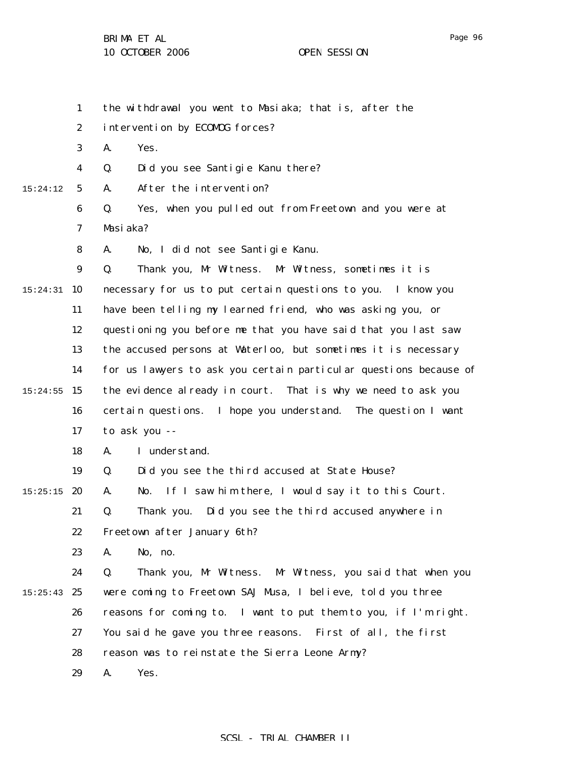1 2 3 4 5 6 7 8 9 15:24:31 10 11 12 13 14 15 15:24:55 16 17 18 19  $15:25:15$  20 21 22 23 24  $15:25:43$  25 26 27 28 29 15:24:12 the withdrawal you went to Masiaka; that is, after the intervention by ECOMOG forces? A. Yes. Q. Did you see Santigie Kanu there? A. After the intervention? Q. Yes, when you pulled out from Freetown and you were at Masiaka? A. No, I did not see Santigie Kanu. Q. Thank you, Mr Witness. Mr Witness, sometimes it is necessary for us to put certain questions to you. I know you have been telling my learned friend, who was asking you, or questioning you before me that you have said that you last saw the accused persons at Waterloo, but sometimes it is necessary for us lawyers to ask you certain particular questions because of the evidence already in court. That is why we need to ask you certain questions. I hope you understand. The question I want to ask you -- A. I understand. Q. Did you see the third accused at State House? A. No. If I saw him there, I would say it to this Court. Q. Thank you. Did you see the third accused anywhere in Freetown after January 6th? A. No, no. Q. Thank you, Mr Witness. Mr Witness, you said that when you were coming to Freetown SAJ Musa, I believe, told you three reasons for coming to. I want to put them to you, if I'm right. You said he gave you three reasons. First of all, the first reason was to reinstate the Sierra Leone Army? A. Yes.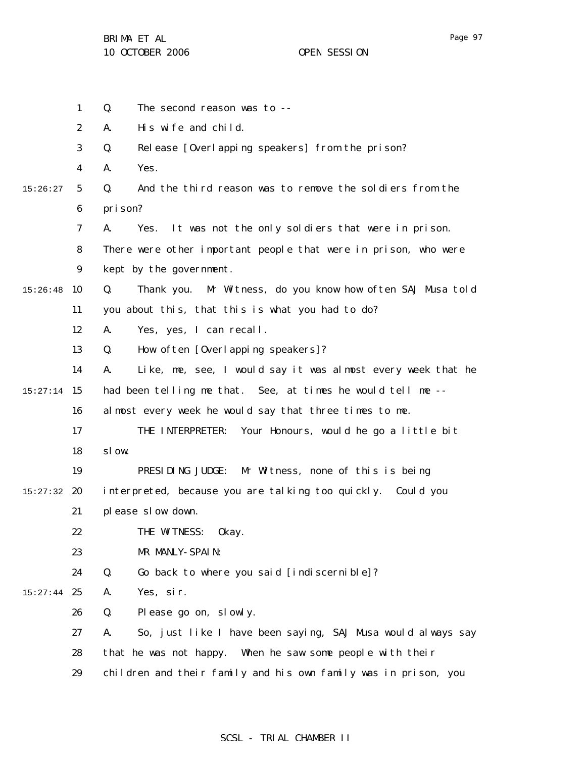|          | $\mathbf{1}$     | The second reason was to --<br>Q.                                 |
|----------|------------------|-------------------------------------------------------------------|
|          | $\boldsymbol{2}$ | His wife and child.<br>A.                                         |
|          | 3                | Release [Overlapping speakers] from the prison?<br>Q.             |
|          | 4                | Yes.<br>A.                                                        |
| 15:26:27 | $5\phantom{.0}$  | Q.<br>And the third reason was to remove the soldiers from the    |
|          | 6                | prison?                                                           |
|          | $\boldsymbol{7}$ | It was not the only soldiers that were in prison.<br>A.<br>Yes.   |
|          | 8                | There were other important people that were in prison, who were   |
|          | $\boldsymbol{9}$ | kept by the government.                                           |
| 15:26:48 | 10               | Thank you. Mr Witness, do you know how often SAJ Musa told<br>Q.  |
|          | 11               | you about this, that this is what you had to do?                  |
|          | 12               | Yes, yes, I can recall.<br>A.                                     |
|          | 13               | How often [Overlapping speakers]?<br>Q.                           |
|          | 14               | Like, me, see, I would say it was almost every week that he<br>A. |
| 15:27:14 | 15               | had been telling me that. See, at times he would tell me --       |
|          | 16               | almost every week he would say that three times to me.            |
|          | 17               | Your Honours, would he go a little bit<br>THE INTERPRETER:        |
|          | 18               | sl ow.                                                            |
|          | 19               | PRESIDING JUDGE:<br>Mr Witness, none of this is being             |
| 15:27:32 | 20               | interpreted, because you are talking too quickly. Could you       |
|          | 21               | please slow down.                                                 |
|          | 22               | THE WITNESS:<br>0kay.                                             |
|          | 23               | MR MANLY-SPAIN:                                                   |
|          | 24               | Q.<br>Go back to where you said [indiscernible]?                  |
| 15:27:44 | 25               | Yes, sir.<br>A.                                                   |
|          | 26               | Q.<br>Please go on, slowly.                                       |
|          | 27               | So, just like I have been saying, SAJ Musa would always say<br>A. |
|          | 28               | that he was not happy. When he saw some people with their         |
|          | 29               | children and their family and his own family was in prison, you   |
|          |                  |                                                                   |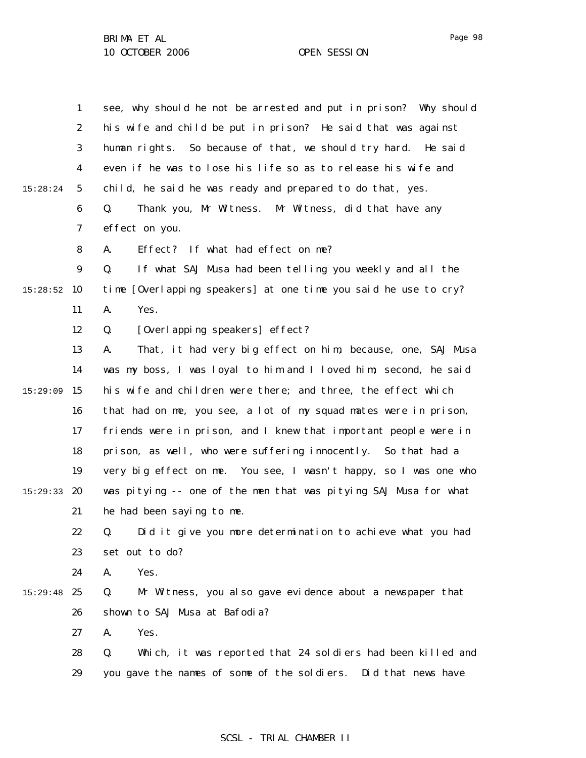|          | $\mathbf{1}$     | see, why should he not be arrested and put in prison? Why should  |
|----------|------------------|-------------------------------------------------------------------|
|          | $\boldsymbol{2}$ | his wife and child be put in prison? He said that was against     |
|          | 3                | human rights. So because of that, we should try hard. He said     |
|          | 4                | even if he was to lose his life so as to release his wife and     |
| 15:28:24 | $\mathbf{5}$     | child, he said he was ready and prepared to do that, yes.         |
|          | 6                | Thank you, Mr Witness. Mr Witness, did that have any<br>Q.        |
|          | 7                | effect on you.                                                    |
|          | 8                | Effect? If what had effect on me?<br>A.                           |
|          | $\boldsymbol{9}$ | Q.<br>If what SAJ Musa had been telling you weekly and all the    |
| 15:28:52 | 10               | time [Overlapping speakers] at one time you said he use to cry?   |
|          | 11               | Yes.<br>A.                                                        |
|          | 12               | Q.<br>[Overlapping speakers] effect?                              |
|          | 13               | That, it had very big effect on him, because, one, SAJ Musa<br>A. |
|          | 14               | was my boss, I was loyal to him and I loved him; second, he said  |
| 15:29:09 | 15               | his wife and children were there; and three, the effect which     |
|          | 16               | that had on me, you see, a lot of my squad mates were in prison,  |
|          | 17               | friends were in prison, and I knew that important people were in  |
|          | 18               | prison, as well, who were suffering innocently. So that had a     |
|          | 19               | very big effect on me. You see, I wasn't happy, so I was one who  |
| 15:29:33 | 20               | was pitying -- one of the men that was pitying SAJ Musa for what  |
|          | 21               | he had been saying to me.                                         |
|          | 22               | Did it give you more determination to achieve what you had<br>Q.  |
|          | 23               | set out to do?                                                    |
|          | 24               | Yes.<br>A.                                                        |
| 15:29:48 | 25               | Mr Witness, you also gave evidence about a newspaper that<br>Q.   |
|          | 26               | shown to SAJ Musa at Bafodia?                                     |
|          | 27               | Yes.<br>A.                                                        |
|          | 28               | Q.<br>Which, it was reported that 24 soldiers had been killed and |
|          | 29               | you gave the names of some of the soldiers. Did that news have    |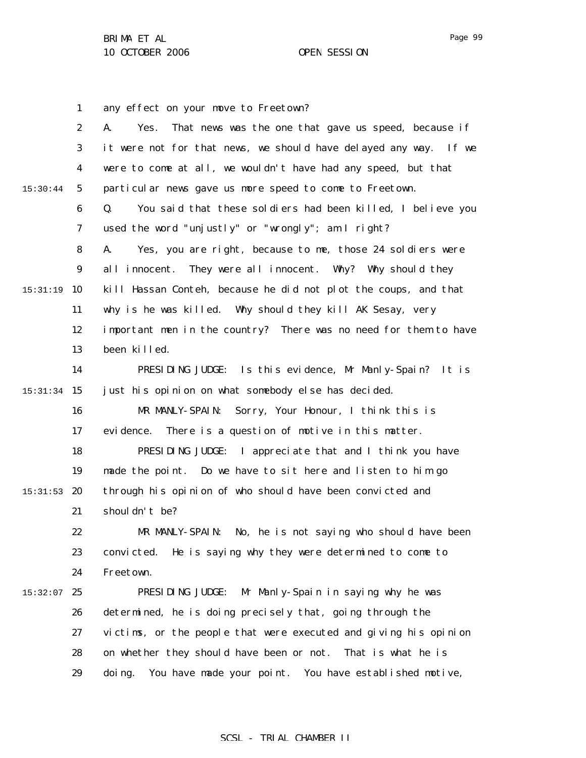1 2 3 4 5 6 7 8 9 15:31:19 10 11 12 13 14 15 15:31:34 16 17 18 19  $15:31:53$  20 21 22 23 24  $15:32:07$  25 26 27 28 29 15:30:44 any effect on your move to Freetown? A. Yes. That news was the one that gave us speed, because if it were not for that news, we should have delayed any way. If we were to come at all, we wouldn't have had any speed, but that particular news gave us more speed to come to Freetown. Q. You said that these soldiers had been killed, I believe you used the word "unjustly" or "wrongly"; am I right? A. Yes, you are right, because to me, those 24 soldiers were all innocent. They were all innocent. Why? Why should they kill Hassan Conteh, because he did not plot the coups, and that why is he was killed. Why should they kill AK Sesay, very important men in the country? There was no need for them to have been killed. PRESIDING JUDGE: Is this evidence, Mr Manly-Spain? It is just his opinion on what somebody else has decided. MR MANLY-SPAIN: Sorry, Your Honour, I think this is evidence. There is a question of motive in this matter. PRESIDING JUDGE: I appreciate that and I think you have made the point. Do we have to sit here and listen to him go through his opinion of who should have been convicted and shouldn't be? MR MANLY-SPAIN: No, he is not saying who should have been convicted. He is saying why they were determined to come to Freetown. PRESIDING JUDGE: Mr Manly-Spain in saying why he was determined, he is doing precisely that, going through the victims, or the people that were executed and giving his opinion on whether they should have been or not. That is what he is doing. You have made your point. You have established motive,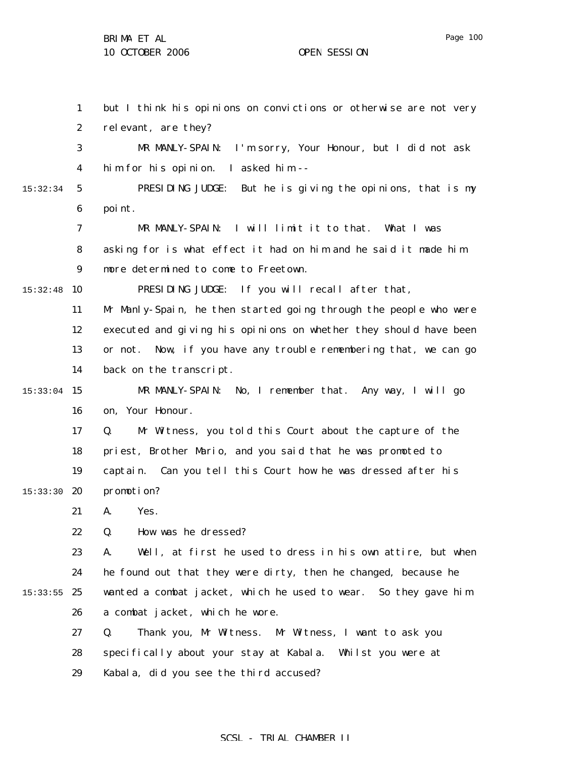1 2 3 4 5 6 7 8 9  $15:32:48$  10 11 12 13 14 15:33:04 15 16 17 18 19 15:33:30 **20** 21 22 23 24  $15:33:55$  25 26 27 28 29 15:32:34 but I think his opinions on convictions or otherwise are not very relevant, are they? MR MANLY-SPAIN: I'm sorry, Your Honour, but I did not ask him for his opinion. I asked him -- PRESIDING JUDGE: But he is giving the opinions, that is my point. MR MANLY-SPAIN: I will limit it to that. What I was asking for is what effect it had on him and he said it made him more determined to come to Freetown. PRESIDING JUDGE: If you will recall after that, Mr Manly-Spain, he then started going through the people who were executed and giving his opinions on whether they should have been or not. Now, if you have any trouble remembering that, we can go back on the transcript. MR MANLY-SPAIN: No, I remember that. Any way, I will go on, Your Honour. Q. Mr Witness, you told this Court about the capture of the priest, Brother Mario, and you said that he was promoted to captain. Can you tell this Court how he was dressed after his promotion? A. Yes. Q. How was he dressed? A. Well, at first he used to dress in his own attire, but when he found out that they were dirty, then he changed, because he wanted a combat jacket, which he used to wear. So they gave him a combat jacket, which he wore. Q. Thank you, Mr Witness. Mr Witness, I want to ask you specifically about your stay at Kabala. Whilst you were at Kabala, did you see the third accused?

## SCSL - TRIAL CHAMBER II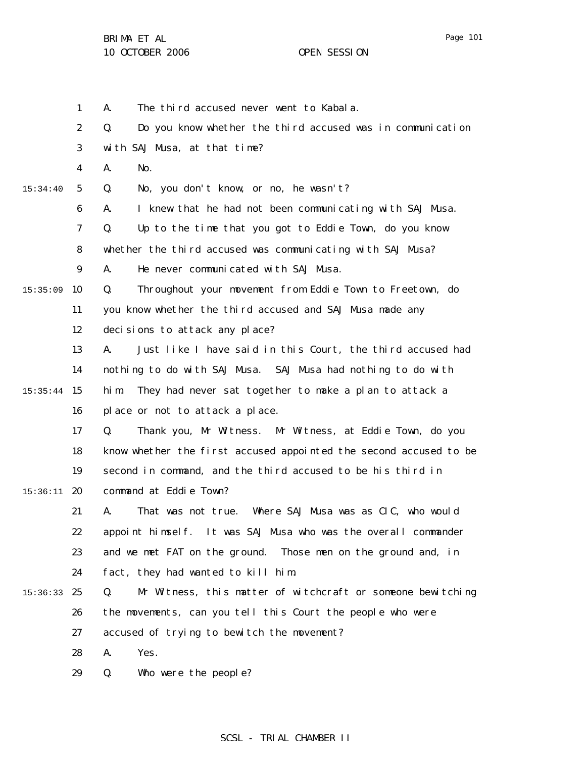1 2 3 4 5 6 7 8 9  $15:35:09$  10 11 12 13 14 15:35:44 15 16 17 18 19  $15:36:11$  20 21 22 23 24 15:36:33 25 26 27 28 29 15:34:40 A. The third accused never went to Kabala. Q. Do you know whether the third accused was in communication with SAJ Musa, at that time? A. No. Q. No, you don't know, or no, he wasn't? A. I knew that he had not been communicating with SAJ Musa. Q. Up to the time that you got to Eddie Town, do you know whether the third accused was communicating with SAJ Musa? A. He never communicated with SAJ Musa. Q. Throughout your movement from Eddie Town to Freetown, do you know whether the third accused and SAJ Musa made any decisions to attack any place? A. Just like I have said in this Court, the third accused had nothing to do with SAJ Musa. SAJ Musa had nothing to do with him. They had never sat together to make a plan to attack a place or not to attack a place. Q. Thank you, Mr Witness. Mr Witness, at Eddie Town, do you know whether the first accused appointed the second accused to be second in command, and the third accused to be his third in command at Eddie Town? A. That was not true. Where SAJ Musa was as CIC, who would appoint himself. It was SAJ Musa who was the overall commander and we met FAT on the ground. Those men on the ground and, in fact, they had wanted to kill him. Q. Mr Witness, this matter of witchcraft or someone bewitching the movements, can you tell this Court the people who were accused of trying to bewitch the movement? A. Yes. Q. Who were the people?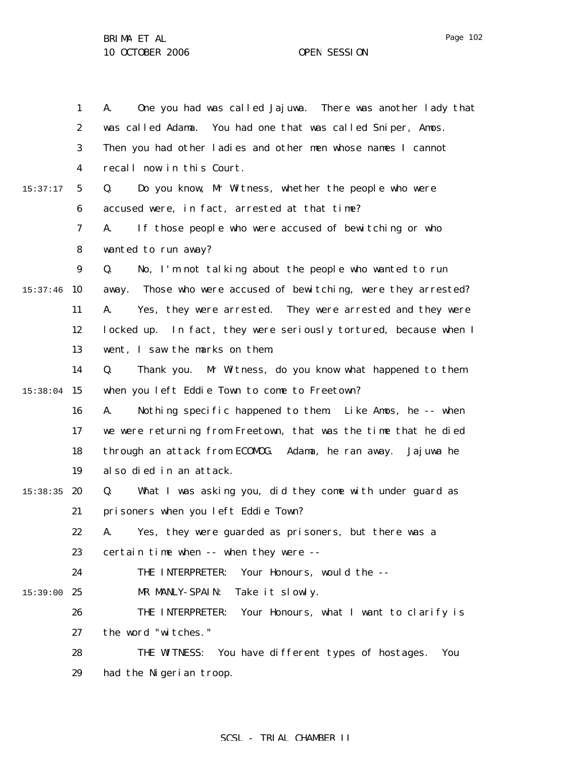|          | $\mathbf{1}$     | One you had was called Jajuwa. There was another lady that<br>A.    |
|----------|------------------|---------------------------------------------------------------------|
|          | $\boldsymbol{2}$ | was called Adama.<br>You had one that was called Sniper, Amos.      |
|          | 3                | Then you had other ladies and other men whose names I cannot        |
|          | 4                | recall now in this Court.                                           |
| 15:37:17 | $\mathbf{5}$     | Do you know, Mr Witness, whether the people who were<br>Q.          |
|          | 6                | accused were, in fact, arrested at that time?                       |
|          | 7                | If those people who were accused of bewitching or who<br>A.         |
|          | 8                | wanted to run away?                                                 |
|          | $\boldsymbol{9}$ | No, I'm not talking about the people who wanted to run<br>Q.        |
| 15:37:46 | 10               | Those who were accused of bewitching, were they arrested?<br>away.  |
|          | 11               | Yes, they were arrested. They were arrested and they were<br>A.     |
|          | 12               | In fact, they were seriously tortured, because when I<br>locked up. |
|          | 13               | went, I saw the marks on them.                                      |
|          | 14               | Mr Witness, do you know what happened to them<br>Q.<br>Thank you.   |
| 15:38:04 | 15               | when you left Eddie Town to come to Freetown?                       |
|          | 16               | Nothing specific happened to them. Like Amos, he -- when<br>A.      |
|          | 17               | we were returning from Freetown, that was the time that he died     |
|          | 18               | through an attack from ECOMOG. Adama, he ran away.<br>Jaj uwa he    |
|          | 19               | also died in an attack.                                             |
| 15:38:35 | 20               | What I was asking you, did they come with under guard as<br>Q.      |
|          | 21               | prisoners when you left Eddie Town?                                 |
|          | 22               | Yes, they were guarded as prisoners, but there was a<br>А.          |
|          | 23               | certain time when -- when they were --                              |
|          | 24               | Your Honours, would the --<br>THE INTERPRETER:                      |
| 15:39:00 | 25               | MR MANLY-SPAIN:<br>Take it slowly.                                  |
|          | 26               | THE INTERPRETER:<br>Your Honours, what I want to clarify is         |
|          | 27               | the word "witches."                                                 |
|          | 28               | You have different types of hostages.<br>THE WITNESS:<br>You        |
|          | 29               | had the Nigerian troop.                                             |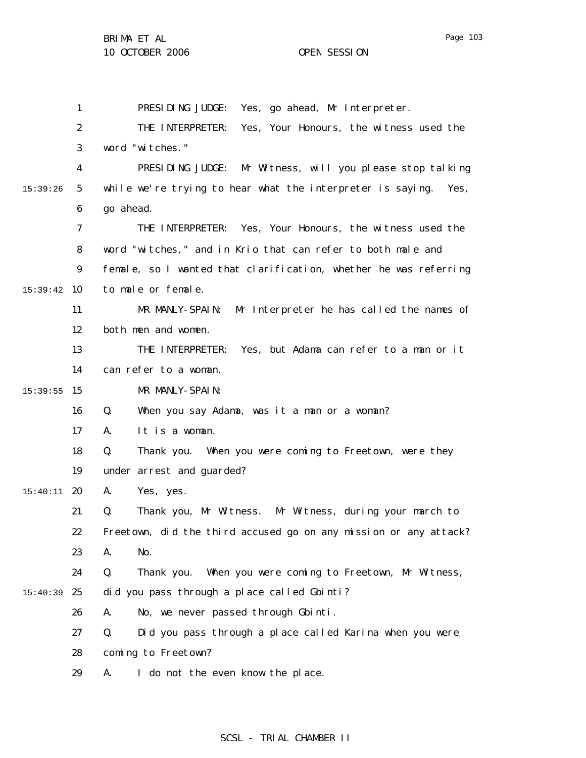BRIMA ET AL

1 2 3 4 5 6 7 8 9  $15:39:42$  10 11 12 13 14 15:39:55 15 16 17 18 19  $15:40:11$  20 21 22 23 24 15:40:39 25 26 27 28 15:39:26 PRESIDING JUDGE: Yes, go ahead, Mr Interpreter. THE INTERPRETER: Yes, Your Honours, the witness used the word "witches." PRESIDING JUDGE: Mr Witness, will you please stop talking while we're trying to hear what the interpreter is saying. Yes, go ahead. THE INTERPRETER: Yes, Your Honours, the witness used the word "witches," and in Krio that can refer to both male and female, so I wanted that clarification, whether he was referring to male or female. MR MANLY-SPAIN: Mr Interpreter he has called the names of both men and women. THE INTERPRETER: Yes, but Adama can refer to a man or it can refer to a woman. MR MANLY-SPAIN: Q. When you say Adama, was it a man or a woman? A. It is a woman. Q. Thank you. When you were coming to Freetown, were they under arrest and guarded? A. Yes, yes. Q. Thank you, Mr Witness. Mr Witness, during your march to Freetown, did the third accused go on any mission or any attack? A. No. Q. Thank you. When you were coming to Freetown, Mr Witness, did you pass through a place called Gbinti? A. No, we never passed through Gbinti. Q. Did you pass through a place called Karina when you were coming to Freetown?

29 A. I do not the even know the place.

## SCSL - TRIAL CHAMBER II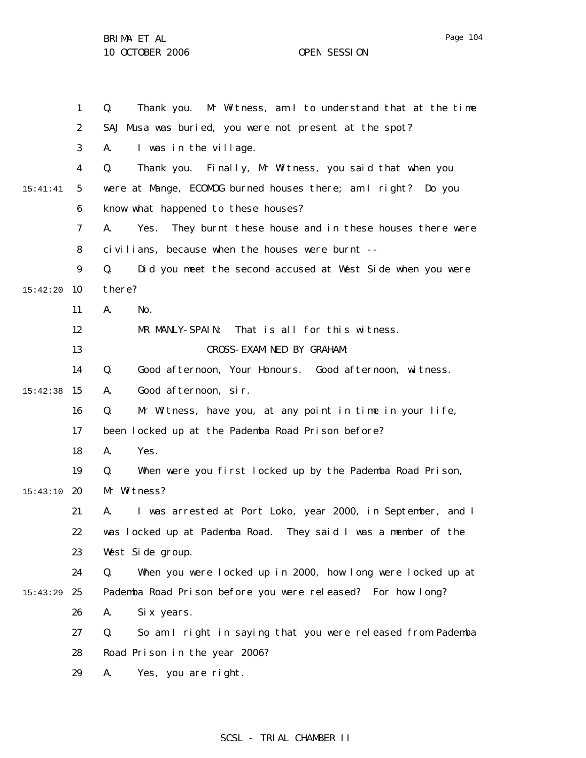1 2 3 4 5 6 7 8 9 15:42:20 10 11 12 13 14 15 15:42:38 16 17 18 19 15:43:10 20 21 22 23 24 15:43:29 25 26 27 28 29 15:41:41 Q. Thank you. Mr Witness, am I to understand that at the time SAJ Musa was buried, you were not present at the spot? A. I was in the village. Q. Thank you. Finally, Mr Witness, you said that when you were at Mange, ECOMOG burned houses there; am I right? Do you know what happened to these houses? A. Yes. They burnt these house and in these houses there were civilians, because when the houses were burnt -- Q. Did you meet the second accused at West Side when you were there? A. No. MR MANLY-SPAIN: That is all for this witness. CROSS-EXAMINED BY GRAHAM: Q. Good afternoon, Your Honours. Good afternoon, witness. A. Good afternoon, sir. Q. Mr Witness, have you, at any point in time in your life, been locked up at the Pademba Road Prison before? A. Yes. Q. When were you first locked up by the Pademba Road Prison, Mr Witness? A. I was arrested at Port Loko, year 2000, in September, and I was locked up at Pademba Road. They said I was a member of the West Side group. Q. When you were locked up in 2000, how long were locked up at Pademba Road Prison before you were released? For how long? A. Six years. Q. So am I right in saying that you were released from Pademba Road Prison in the year 2006? A. Yes, you are right.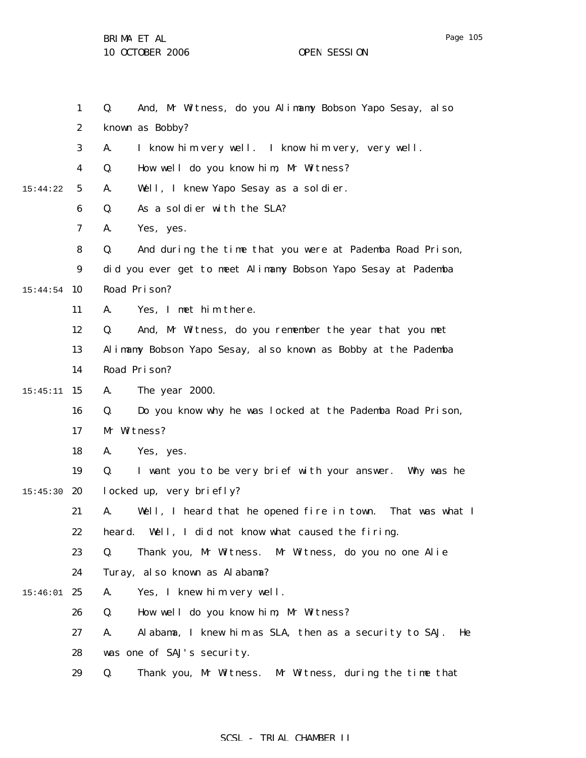1 2 3 4 5 6 7 8 9 15:44:54 10 11 12 13 14 15 15:45:11 16 17 18 19 15:45:30 **20** 21 22 23 24  $15:46:01$  25 26 27 28 29 15:44:22 Q. And, Mr Witness, do you Alimamy Bobson Yapo Sesay, also known as Bobby? A. I know him very well. I know him very, very well. Q. How well do you know him, Mr Witness? A. Well, I knew Yapo Sesay as a soldier. Q. As a soldier with the SLA? A. Yes, yes. Q. And during the time that you were at Pademba Road Prison, did you ever get to meet Alimamy Bobson Yapo Sesay at Pademba Road Prison? A. Yes, I met him there. Q. And, Mr Witness, do you remember the year that you met Alimamy Bobson Yapo Sesay, also known as Bobby at the Pademba Road Prison? A. The year 2000. Q. Do you know why he was locked at the Pademba Road Prison, Mr Witness? A. Yes, yes. Q. I want you to be very brief with your answer. Why was he locked up, very briefly? A. Well, I heard that he opened fire in town. That was what I heard. Well, I did not know what caused the firing. Q. Thank you, Mr Witness. Mr Witness, do you no one Alie Turay, also known as Alabama? A. Yes, I knew him very well. Q. How well do you know him, Mr Witness? A. Alabama, I knew him as SLA, then as a security to SAJ. He was one of SAJ's security. Q. Thank you, Mr Witness. Mr Witness, during the time that

## SCSL - TRIAL CHAMBER II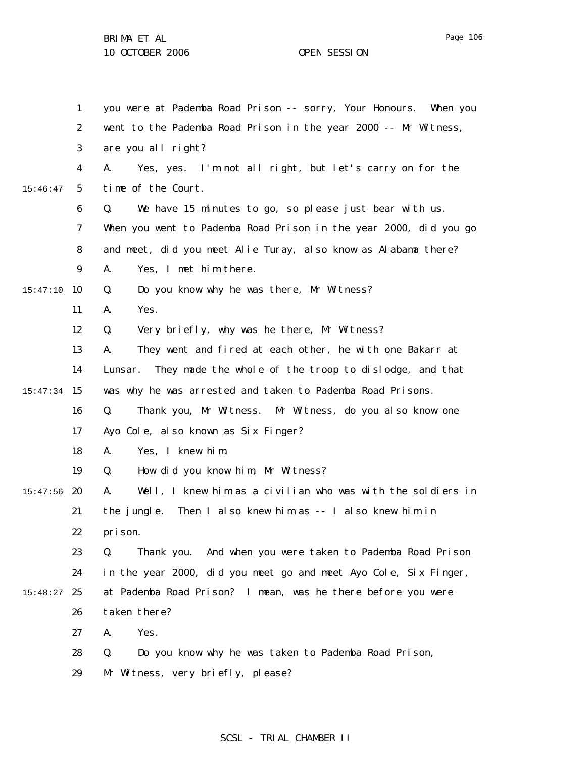|          | $\mathbf{1}$            | you were at Pademba Road Prison -- sorry, Your Honours. When you   |
|----------|-------------------------|--------------------------------------------------------------------|
|          | $\boldsymbol{2}$        | went to the Pademba Road Prison in the year 2000 -- Mr Witness,    |
|          | $\bf{3}$                | are you all right?                                                 |
|          | $\overline{\mathbf{4}}$ | Yes, yes. I'm not all right, but let's carry on for the<br>A.      |
| 15:46:47 | $\sqrt{5}$              | time of the Court.                                                 |
|          | 6                       | We have 15 minutes to go, so please just bear with us.<br>Q.       |
|          | $\boldsymbol{7}$        | When you went to Pademba Road Prison in the year 2000, did you go  |
|          | 8                       | and meet, did you meet Alie Turay, also know as Alabama there?     |
|          | $\boldsymbol{9}$        | Yes, I met him there.<br>A.                                        |
| 15:47:10 | 10                      | Do you know why he was there, Mr Witness?<br>Q.                    |
|          | 11                      | Yes.<br>A.                                                         |
|          | 12                      | Very briefly, why was he there, Mr Witness?<br>Q.                  |
|          | 13                      | They went and fired at each other, he with one Bakarr at<br>A.     |
|          | 14                      | They made the whole of the troop to dislodge, and that<br>Lunsar.  |
| 15:47:34 | 15                      | was why he was arrested and taken to Pademba Road Prisons.         |
|          | 16                      | Q.<br>Thank you, Mr Witness. Mr Witness, do you also know one      |
|          | 17                      | Ayo Cole, also known as Six Finger?                                |
|          | 18                      | Yes, I knew him.<br>A.                                             |
|          | 19                      | How did you know him, Mr Witness?<br>Q.                            |
| 15:47:56 | 20                      | Well, I knew him as a civilian who was with the soldiers in<br>A.  |
|          | 21                      | the jungle. Then I also knew him as -- I also knew him in          |
|          | 22                      | pri son.                                                           |
|          | 23                      | And when you were taken to Pademba Road Prison<br>Q.<br>Thank you. |
|          | 24                      | in the year 2000, did you meet go and meet Ayo Cole, Six Finger,   |
| 15:48:27 | 25                      | at Pademba Road Prison? I mean, was he there before you were       |
|          | 26                      | taken there?                                                       |
|          | 27                      | Yes.<br>A.                                                         |
|          | 28                      | Do you know why he was taken to Pademba Road Prison,<br>Q.         |
|          | 29                      | Mr Witness, very briefly, please?                                  |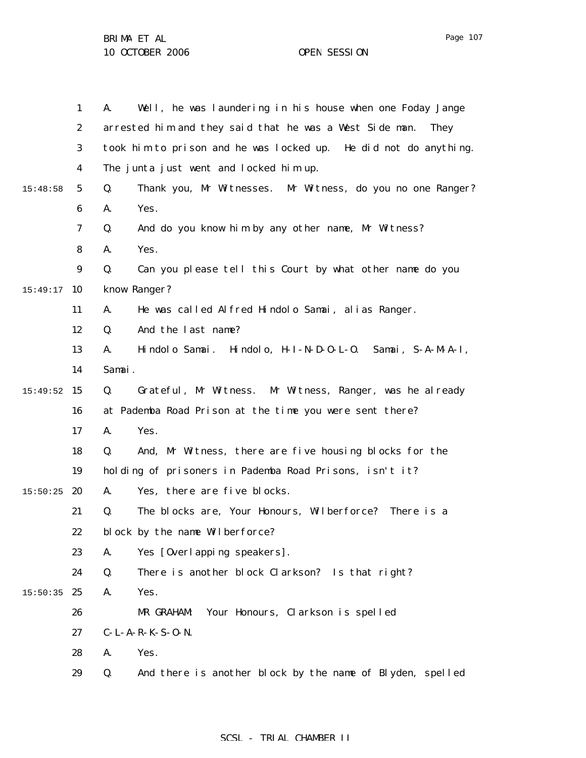1 2 3 4 5 6 7 8 9  $15:49:17$  10 11 12 13 14 15 15:49:52 16 17 18 19  $15:50:25$  20 21 22 23 24  $15:50:35$  25 26 27 28 29 15:48:58 A. Well, he was laundering in his house when one Foday Jange arrested him and they said that he was a West Side man. They took him to prison and he was locked up. He did not do anything. The junta just went and locked him up. Q. Thank you, Mr Witnesses. Mr Witness, do you no one Ranger? A. Yes. Q. And do you know him by any other name, Mr Witness? A. Yes. Q. Can you please tell this Court by what other name do you know Ranger? A. He was called Alfred Hindolo Samai, alias Ranger. Q. And the last name? A. Hindolo Samai. Hindolo, H-I-N-D-O-L-O. Samai, S-A-M-A-I, Samai. Q. Grateful, Mr Witness. Mr Witness, Ranger, was he already at Pademba Road Prison at the time you were sent there? A. Yes. Q. And, Mr Witness, there are five housing blocks for the holding of prisoners in Pademba Road Prisons, isn't it? A. Yes, there are five blocks. Q. The blocks are, Your Honours, Wilberforce? There is a block by the name Wilberforce? A. Yes [Overlapping speakers]. Q. There is another block Clarkson? Is that right? A. Yes. MR GRAHAM: Your Honours, Clarkson is spelled C-L-A-R-K-S-O-N. A. Yes. Q. And there is another block by the name of Blyden, spelled

## SCSL - TRIAL CHAMBER II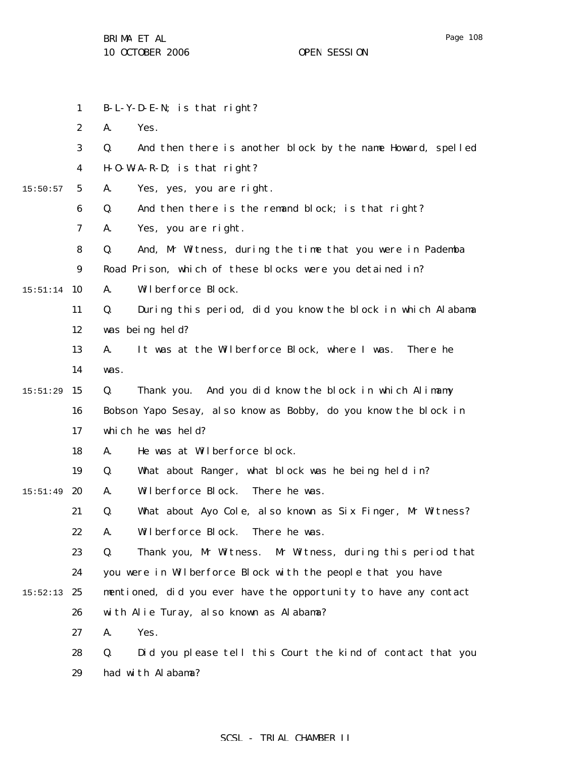1 2 3 4 5 6 7 8 9  $15:51:14$  10 11 12 13 14 15 15:51:29 16 17 18 19  $15:51:49$  20 21 22 23 24  $15:52:13$  25 26 27 28 29 15:50:57 B-L-Y-D-E-N; is that right? A. Yes. Q. And then there is another block by the name Howard, spelled H-O-W-A-R-D; is that right? A. Yes, yes, you are right. Q. And then there is the remand block; is that right? A. Yes, you are right. Q. And, Mr Witness, during the time that you were in Pademba Road Prison, which of these blocks were you detained in? A. Wilberforce Block. Q. During this period, did you know the block in which Alabama was being held? A. It was at the Wilberforce Block, where I was. There he was. Q. Thank you. And you did know the block in which Alimamy Bobson Yapo Sesay, also know as Bobby, do you know the block in which he was held? A. He was at Wilberforce block. Q. What about Ranger, what block was he being held in? A. Wilberforce Block. There he was. Q. What about Ayo Cole, also known as Six Finger, Mr Witness? A. Wilberforce Block. There he was. Q. Thank you, Mr Witness. Mr Witness, during this period that you were in Wilberforce Block with the people that you have mentioned, did you ever have the opportunity to have any contact with Alie Turay, also known as Alabama? A. Yes. Q. Did you please tell this Court the kind of contact that you had with Alabama?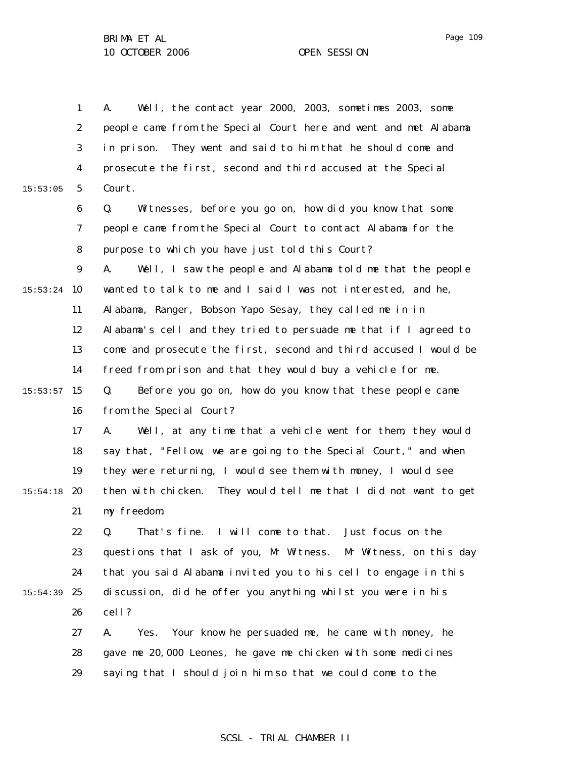1 2 3 4 5 6 7 8 9  $15:53:24$  10 11 12 13 14  $15:53:57$  15 16 17 18 19  $15:54:18$  20 21 22 23 24  $15:54:39$  25 26 27 28 29 15:53:05 A. Well, the contact year 2000, 2003, sometimes 2003, some people came from the Special Court here and went and met Alabama in prison. They went and said to him that he should come and prosecute the first, second and third accused at the Special Court. Q. Witnesses, before you go on, how did you know that some people came from the Special Court to contact Alabama for the purpose to which you have just told this Court? A. Well, I saw the people and Alabama told me that the people wanted to talk to me and I said I was not interested, and he, Alabama, Ranger, Bobson Yapo Sesay, they called me in in Alabama's cell and they tried to persuade me that if I agreed to come and prosecute the first, second and third accused I would be freed from prison and that they would buy a vehicle for me. Q. Before you go on, how do you know that these people came from the Special Court? A. Well, at any time that a vehicle went for them, they would say that, "Fellow, we are going to the Special Court," and when they were returning, I would see them with money, I would see then with chicken. They would tell me that I did not want to get my freedom. Q. That's fine. I will come to that. Just focus on the questions that I ask of you, Mr Witness. Mr Witness, on this day that you said Alabama invited you to his cell to engage in this discussion, did he offer you anything whilst you were in his cell? A. Yes. Your know he persuaded me, he came with money, he gave me 20,000 Leones, he gave me chicken with some medicines saying that I should join him so that we could come to the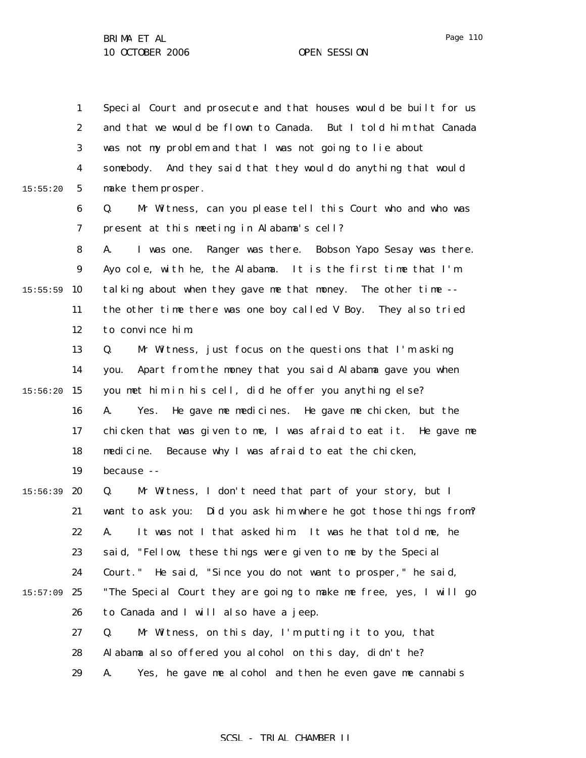1 2 3 4 5 6 7 8 9  $15:55:59$  10 11 12 13 14 15:56:20 15 16 17 18 19  $15:56:39$  20 21 22 23 24  $15:57:09$  25 26 27 28 29 15:55:20 Special Court and prosecute and that houses would be built for us and that we would be flown to Canada. But I told him that Canada was not my problem and that I was not going to lie about somebody. And they said that they would do anything that would make them prosper. Q. Mr Witness, can you please tell this Court who and who was present at this meeting in Alabama's cell? A. I was one. Ranger was there. Bobson Yapo Sesay was there. Ayo cole, with he, the Alabama. It is the first time that I'm talking about when they gave me that money. The other time - the other time there was one boy called V Boy. They also tried to convince him. Q. Mr Witness, just focus on the questions that I'm asking you. Apart from the money that you said Alabama gave you when you met him in his cell, did he offer you anything else? A. Yes. He gave me medicines. He gave me chicken, but the chicken that was given to me, I was afraid to eat it. He gave me medicine. Because why I was afraid to eat the chicken, because -- Q. Mr Witness, I don't need that part of your story, but I want to ask you: Did you ask him where he got those things from? A. It was not I that asked him. It was he that told me, he said, "Fellow, these things were given to me by the Special Court." He said, "Since you do not want to prosper," he said, "The Special Court they are going to make me free, yes, I will go to Canada and I will also have a jeep. Q. Mr Witness, on this day, I'm putting it to you, that Alabama also offered you alcohol on this day, didn't he? A. Yes, he gave me alcohol and then he even gave me cannabis

Page 110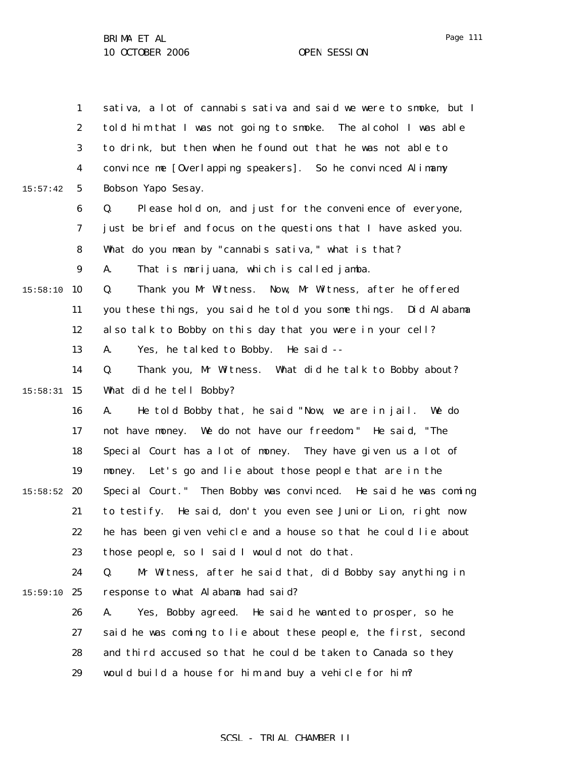|          | $\mathbf{1}$     | sativa, a lot of cannabis sativa and said we were to smoke, but I |
|----------|------------------|-------------------------------------------------------------------|
|          | $\boldsymbol{2}$ | told him that I was not going to smoke. The alcohol I was able    |
|          | 3                | to drink, but then when he found out that he was not able to      |
|          | 4                | convince me [Overlapping speakers]. So he convinced Alimamy       |
| 15:57:42 | $\mathbf{5}$     | Bobson Yapo Sesay.                                                |
|          | 6                | Please hold on, and just for the convenience of everyone,<br>Q.   |
|          | 7                | just be brief and focus on the questions that I have asked you.   |
|          | 8                | What do you mean by "cannabis sativa," what is that?              |
|          | $\boldsymbol{9}$ | That is marijuana, which is called jamba.<br>A.                   |
| 15:58:10 | 10               | Thank you Mr Witness. Now, Mr Witness, after he offered<br>Q.     |
|          | 11               | you these things, you said he told you some things. Did Alabama   |
|          | 12               | also talk to Bobby on this day that you were in your cell?        |
|          | 13               | Yes, he talked to Bobby. He said --<br>A.                         |
|          | 14               | Thank you, Mr Witness. What did he talk to Bobby about?<br>Q.     |
| 15:58:31 | 15               | What did he tell Bobby?                                           |
|          | 16               | He told Bobby that, he said "Now, we are in jail. We do<br>A.     |
|          | 17               | not have money. We do not have our freedom." He said, "The        |
|          | 18               | Special Court has a lot of money. They have given us a lot of     |
|          | 19               | Let's go and lie about those people that are in the<br>money.     |
| 15:58:52 | 20               | Special Court." Then Bobby was convinced. He said he was coming   |
|          | 21               | to testify. He said, don't you even see Junior Lion, right now    |
|          | 22               | he has been given vehicle and a house so that he could lie about  |
|          | 23               | those people, so I said I would not do that.                      |
|          | 24               | Mr Witness, after he said that, did Bobby say anything in<br>Q.   |
| 15:59:10 | 25               | response to what Alabama had said?                                |
|          | 26               | Yes, Bobby agreed. He said he wanted to prosper, so he<br>A.      |
|          | 27               | said he was coming to lie about these people, the first, second   |
|          | 28               | and third accused so that he could be taken to Canada so they     |
|          | 29               | would build a house for him and buy a vehicle for him?            |
|          |                  |                                                                   |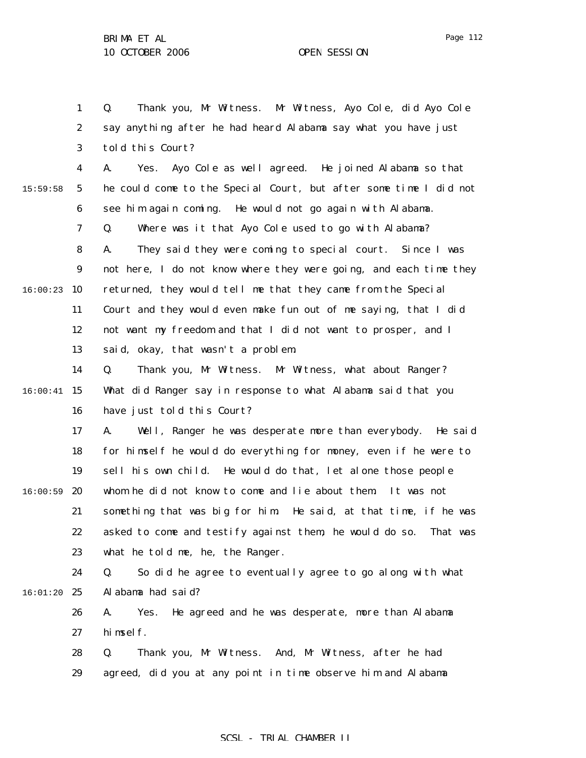1 2 3 4 5 6 7 8 9  $16:00:23$  10 11 12 13 14 15 16:00:41 16 17 18 19  $16:00:59$  20 21 22 23 24 16:01:20 25 26 27 28 29 15:59:58 Q. Thank you, Mr Witness. Mr Witness, Ayo Cole, did Ayo Cole say anything after he had heard Alabama say what you have just told this Court? A. Yes. Ayo Cole as well agreed. He joined Alabama so that he could come to the Special Court, but after some time I did not see him again coming. He would not go again with Alabama. Q. Where was it that Ayo Cole used to go with Alabama? A. They said they were coming to special court. Since I was not here, I do not know where they were going, and each time they returned, they would tell me that they came from the Special Court and they would even make fun out of me saying, that I did not want my freedom and that I did not want to prosper, and I said, okay, that wasn't a problem. Q. Thank you, Mr Witness. Mr Witness, what about Ranger? What did Ranger say in response to what Alabama said that you have just told this Court? A. Well, Ranger he was desperate more than everybody. He said for himself he would do everything for money, even if he were to sell his own child. He would do that, let alone those people whom he did not know to come and lie about them. It was not something that was big for him. He said, at that time, if he was asked to come and testify against them, he would do so. That was what he told me, he, the Ranger. Q. So did he agree to eventually agree to go along with what Alabama had said? A. Yes. He agreed and he was desperate, more than Alabama himself. Q. Thank you, Mr Witness. And, Mr Witness, after he had agreed, did you at any point in time observe him and Alabama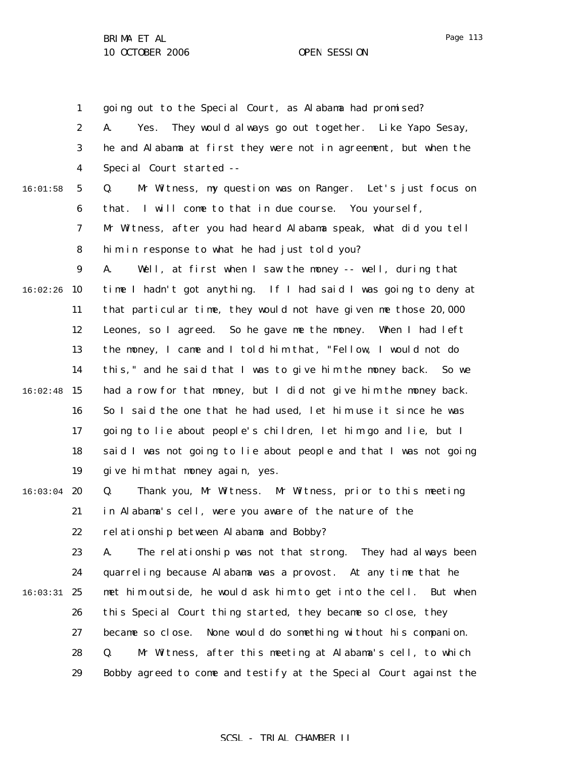1 2 3 4 5 6 7 8 9  $16:02:26$  10 11 12 13 14  $16:02:48$  15 16 17 18 19  $16:03:04$  20 21 22 23 24 16:03:31 25 26 27 28 29 16:01:58 going out to the Special Court, as Alabama had promised? A. Yes. They would always go out together. Like Yapo Sesay, he and Alabama at first they were not in agreement, but when the Special Court started -- Q. Mr Witness, my question was on Ranger. Let's just focus on that. I will come to that in due course. You yourself, Mr Witness, after you had heard Alabama speak, what did you tell him in response to what he had just told you? A. Well, at first when I saw the money -- well, during that time I hadn't got anything. If I had said I was going to deny at that particular time, they would not have given me those 20,000 Leones, so I agreed. So he gave me the money. When I had left the money, I came and I told him that, "Fellow, I would not do this," and he said that I was to give him the money back. So we had a row for that money, but I did not give him the money back. So I said the one that he had used, let him use it since he was going to lie about people's children, let him go and lie, but I said I was not going to lie about people and that I was not going give him that money again, yes. Q. Thank you, Mr Witness. Mr Witness, prior to this meeting in Alabama's cell, were you aware of the nature of the relationship between Alabama and Bobby? A. The relationship was not that strong. They had always been quarreling because Alabama was a provost. At any time that he met him outside, he would ask him to get into the cell. But when this Special Court thing started, they became so close, they became so close. None would do something without his companion. Q. Mr Witness, after this meeting at Alabama's cell, to which Bobby agreed to come and testify at the Special Court against the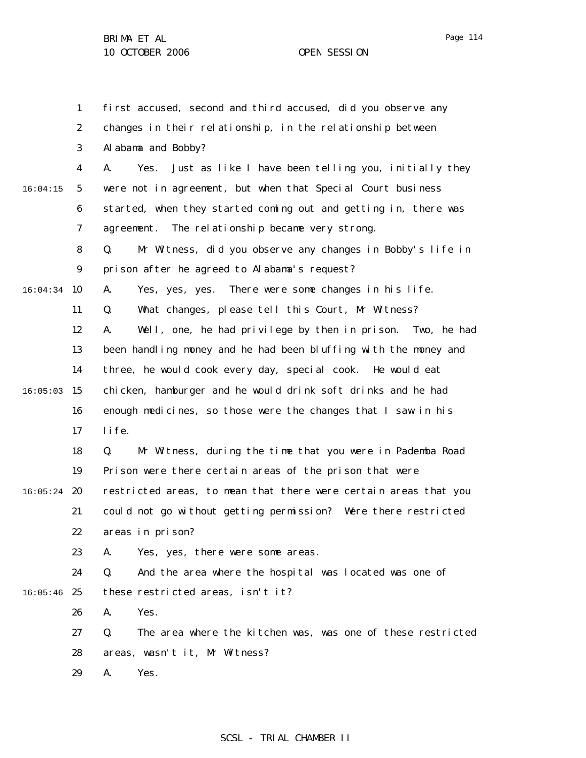1 2 3 4 5 6 7 8 9  $16:04:34$  10 11 12 13 14  $16:05:03$  15 16 17 18 19  $16:05:24$  20 21 22 23 24  $16:05:46$  25 26 27 28 29 16:04:15 first accused, second and third accused, did you observe any changes in their relationship, in the relationship between Alabama and Bobby? A. Yes. Just as like I have been telling you, initially they were not in agreement, but when that Special Court business started, when they started coming out and getting in, there was agreement. The relationship became very strong. Q. Mr Witness, did you observe any changes in Bobby's life in prison after he agreed to Alabama's request? A. Yes, yes, yes. There were some changes in his life. Q. What changes, please tell this Court, Mr Witness? A. Well, one, he had privilege by then in prison. Two, he had been handling money and he had been bluffing with the money and three, he would cook every day, special cook. He would eat chicken, hamburger and he would drink soft drinks and he had enough medicines, so those were the changes that I saw in his life. Q. Mr Witness, during the time that you were in Pademba Road Prison were there certain areas of the prison that were restricted areas, to mean that there were certain areas that you could not go without getting permission? Were there restricted areas in prison? A. Yes, yes, there were some areas. Q. And the area where the hospital was located was one of these restricted areas, isn't it? A. Yes. Q. The area where the kitchen was, was one of these restricted areas, wasn't it, Mr Witness? A. Yes.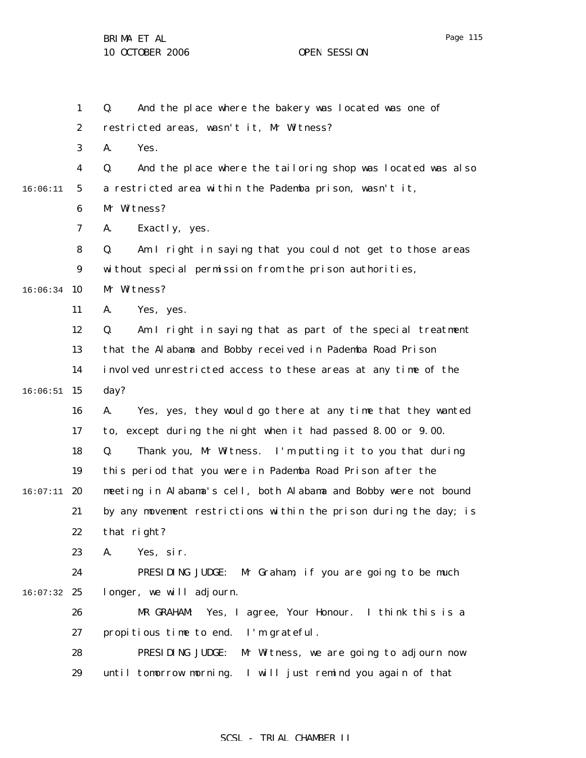BRIMA ET AL 10 OCTOBER 2006 OPEN SESSION

|          | $\mathbf{1}$                                                            | And the place where the bakery was located was one of<br>Q.       |  |  |
|----------|-------------------------------------------------------------------------|-------------------------------------------------------------------|--|--|
|          | $\boldsymbol{2}$                                                        | restricted areas, wasn't it, Mr Witness?                          |  |  |
|          | 3                                                                       | Yes.<br>A.                                                        |  |  |
|          | 4                                                                       | And the place where the tailoring shop was located was also<br>Q. |  |  |
| 16:06:11 | a restricted area within the Pademba prison, wasn't it,<br>$\mathbf{5}$ |                                                                   |  |  |
|          | $\boldsymbol{6}$                                                        | Mr Witness?                                                       |  |  |
|          | 7                                                                       | Exactly, yes.<br>A.                                               |  |  |
|          | 8                                                                       | Am I right in saying that you could not get to those areas<br>Q.  |  |  |
|          | 9                                                                       | without special permission from the prison authorities,           |  |  |
| 16:06:34 | 10                                                                      | Mr Witness?                                                       |  |  |
|          | 11                                                                      | Yes, yes.<br>A.                                                   |  |  |
|          | 12                                                                      | Am I right in saying that as part of the special treatment<br>Q.  |  |  |
|          | 13                                                                      | that the Alabama and Bobby received in Pademba Road Prison        |  |  |
|          | 14                                                                      | involved unrestricted access to these areas at any time of the    |  |  |
| 16:06:51 | 15                                                                      | day?                                                              |  |  |
|          | 16                                                                      | Yes, yes, they would go there at any time that they wanted<br>A.  |  |  |
|          | 17                                                                      | to, except during the night when it had passed 8.00 or 9.00.      |  |  |
|          | 18                                                                      | Thank you, Mr Witness. I'm putting it to you that during<br>Q.    |  |  |
|          | 19                                                                      | this period that you were in Pademba Road Prison after the        |  |  |
| 16:07:11 | 20                                                                      | meeting in Alabama's cell, both Alabama and Bobby were not bound  |  |  |
|          | by any movement restrictions within the prison during the day; is<br>21 |                                                                   |  |  |
|          | 22                                                                      | that right?                                                       |  |  |
|          | 23                                                                      | Yes, sir.<br>A.                                                   |  |  |
|          | 24                                                                      | PRESIDING JUDGE: Mr Graham, if you are going to be much           |  |  |
| 16:07:32 | 25                                                                      | longer, we will adjourn.                                          |  |  |
|          | 26                                                                      | Yes, I agree, Your Honour. I think this is a<br>MR GRAHAM:        |  |  |
|          | 27                                                                      | propitious time to end. I'm grateful.                             |  |  |
|          | 28                                                                      | PRESIDING JUDGE:<br>Mr Witness, we are going to adjourn now       |  |  |
|          | 29                                                                      | I will just remind you again of that<br>until tomorrow morning.   |  |  |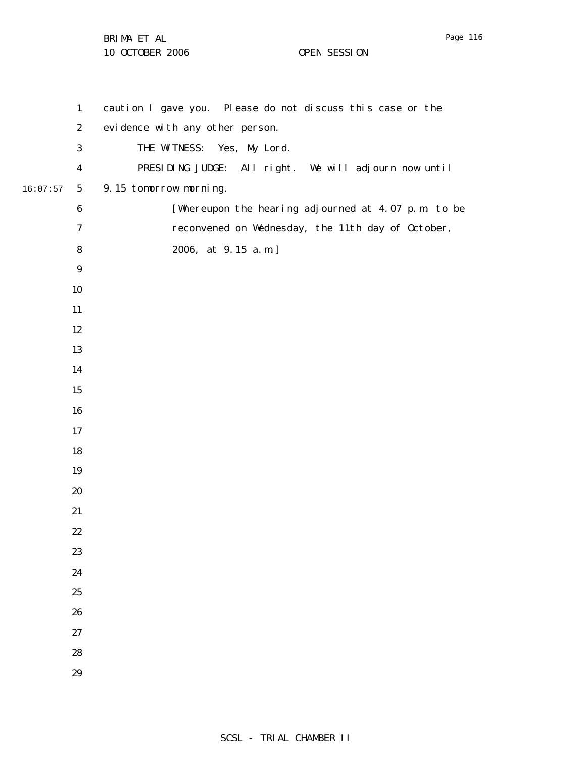BRIMA ET AL 10 OCTOBER 2006 OPEN SESSION

 16:07:57 caution I gave you. Please do not discuss this case or the evidence with any other person. THE WITNESS: Yes, My Lord. PRESIDING JUDGE: All right. We will adjourn now until 9.15 tomorrow morning. [Whereupon the hearing adjourned at 4.07 p.m. to be reconvened on Wednesday, the 11th day of October, 2006, at 9.15 a.m.]

Page 116